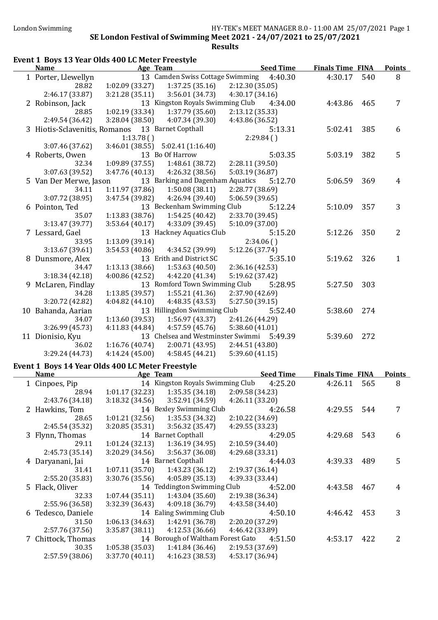| Event 1 Boys 13 Year Olds 400 LC Meter Freestyle |                 |                                           |                 |                  |                         |     |                |
|--------------------------------------------------|-----------------|-------------------------------------------|-----------------|------------------|-------------------------|-----|----------------|
| <b>Name</b>                                      |                 | Age Team                                  |                 | <b>Seed Time</b> | <b>Finals Time FINA</b> |     | <b>Points</b>  |
| 1 Porter, Llewellyn                              |                 | 13 Camden Swiss Cottage Swimming          |                 | 4:40.30          | 4:30.17                 | 540 | 8              |
| 28.82                                            | 1:02.09(33.27)  | 1:37.25(35.16)                            | 2:12.30(35.05)  |                  |                         |     |                |
| 2:46.17 (33.87)                                  | 3:21.28(35.11)  | 3:56.01(34.73)                            | 4:30.17(34.16)  |                  |                         |     |                |
| 2 Robinson, Jack                                 |                 | 13 Kingston Royals Swimming Club          |                 | 4:34.00          | 4:43.86                 | 465 | 7              |
| 28.85                                            | 1:02.19(33.34)  | 1:37.79(35.60)                            | 2:13.12 (35.33) |                  |                         |     |                |
| 2:49.54 (36.42)                                  | 3:28.04 (38.50) | 4:07.34 (39.30)                           | 4:43.86 (36.52) |                  |                         |     |                |
| 3 Hiotis-Sclavenitis, Romanos 13 Barnet Copthall |                 |                                           |                 | 5:13.31          | 5:02.41                 | 385 | 6              |
|                                                  | 1:13.78()       |                                           | 2:29.84(        |                  |                         |     |                |
| 3:07.46 (37.62)                                  |                 | $3:46.01(38.55)$ $5:02.41(1:16.40)$       |                 |                  |                         |     |                |
| 4 Roberts, Owen                                  |                 | 13 Bo Of Harrow                           |                 | 5:03.35          | 5:03.19                 | 382 | 5              |
| 32.34                                            | 1:09.89(37.55)  | 1:48.61 (38.72)                           | 2:28.11 (39.50) |                  |                         |     |                |
| 3:07.63 (39.52)                                  | 3:47.76(40.13)  | 4:26.32 (38.56)                           | 5:03.19 (36.87) |                  |                         |     |                |
| 5 Van Der Merwe, Jason                           |                 | 13 Barking and Dagenham Aquatics          |                 | 5:12.70          | 5:06.59                 | 369 | $\overline{4}$ |
| 34.11                                            | 1:11.97 (37.86) | 1:50.08(38.11)                            | 2:28.77 (38.69) |                  |                         |     |                |
| 3:07.72 (38.95)                                  | 3:47.54 (39.82) | 4:26.94 (39.40)                           | 5:06.59(39.65)  |                  |                         |     |                |
| 6 Pointon, Ted                                   |                 | 13 Beckenham Swimming Club                |                 | 5:12.24          | 5:10.09                 | 357 | 3              |
| 35.07                                            | 1:13.83(38.76)  | 1:54.25(40.42)                            | 2:33.70 (39.45) |                  |                         |     |                |
| 3:13.47 (39.77)                                  | 3:53.64(40.17)  | 4:33.09 (39.45)                           | 5:10.09 (37.00) |                  |                         |     |                |
| 7 Lessard, Gael                                  |                 | 13 Hackney Aquatics Club                  |                 | 5:15.20          | 5:12.26                 | 350 | $\overline{2}$ |
| 33.95                                            | 1:13.09 (39.14) |                                           | 2:34.06()       |                  |                         |     |                |
| 3:13.67(39.61)                                   | 3:54.53(40.86)  | 4:34.52 (39.99)                           | 5:12.26 (37.74) |                  |                         |     |                |
| 8 Dunsmore, Alex                                 |                 | 13 Erith and District SC                  |                 | 5:35.10          | 5:19.62                 | 326 | 1              |
| 34.47                                            | 1:13.13(38.66)  | 1:53.63(40.50)                            | 2:36.16 (42.53) |                  |                         |     |                |
| 3:18.34(42.18)                                   | 4:00.86(42.52)  | 4:42.20 (41.34)                           | 5:19.62 (37.42) |                  |                         |     |                |
| 9 McLaren, Findlay                               |                 | 13 Romford Town Swimming Club             |                 | 5:28.95          | 5:27.50                 | 303 |                |
| 34.28                                            | 1:13.85 (39.57) | 1:55.21(41.36)                            | 2:37.90 (42.69) |                  |                         |     |                |
| 3:20.72 (42.82)                                  | 4:04.82(44.10)  | 4:48.35 (43.53)                           | 5:27.50(39.15)  |                  |                         |     |                |
| 10 Bahanda, Aarian                               |                 | 13 Hillingdon Swimming Club               |                 | 5:52.40          | 5:38.60                 | 274 |                |
| 34.07                                            | 1:13.60 (39.53) | 1:56.97(43.37)                            | 2:41.26 (44.29) |                  |                         |     |                |
| 3:26.99 (45.73)                                  | 4:11.83 (44.84) | 4:57.59(45.76)                            | 5:38.60 (41.01) |                  |                         |     |                |
| 11 Dionisio, Kyu                                 |                 | 13 Chelsea and Westminster Swimmi 5:49.39 |                 |                  | 5:39.60                 | 272 |                |
| 36.02                                            | 1:16.76(40.74)  | 2:00.71 (43.95)                           | 2:44.51 (43.80) |                  |                         |     |                |
| 3:29.24 (44.73)                                  | 4:14.24(45.00)  | 4:58.45(44.21)                            | 5:39.60(41.15)  |                  |                         |     |                |

#### Event 1 Boys 14 Year Olds 400 LC Meter Freestyle

 $\overline{a}$ 

| <b>Name</b>        | Age Team       |                                   | <b>Seed Time</b> | <b>Finals Time FINA</b> |     | <b>Points</b> |
|--------------------|----------------|-----------------------------------|------------------|-------------------------|-----|---------------|
| 1 Cinpoes, Pip     |                | 14 Kingston Royals Swimming Club  | 4:25.20          | 4:26.11                 | 565 | 8             |
| 28.94              | 1:01.17(32.23) | 1:35.35(34.18)                    | 2:09.58 (34.23)  |                         |     |               |
| 2:43.76 (34.18)    | 3:18.32(34.56) | 3:52.91 (34.59)                   | 4:26.11(33.20)   |                         |     |               |
| 2 Hawkins, Tom     |                | 14 Bexley Swimming Club           | 4:26.58          | 4:29.55                 | 544 | 7             |
| 28.65              | 1:01.21(32.56) | 1:35.53(34.32)                    | 2:10.22 (34.69)  |                         |     |               |
| 2:45.54 (35.32)    | 3:20.85(35.31) | 3:56.32(35.47)                    | 4:29.55 (33.23)  |                         |     |               |
| 3 Flynn, Thomas    |                | 14 Barnet Copthall                | 4:29.05          | 4:29.68                 | 543 | 6             |
| 29.11              | 1:01.24(32.13) | 1:36.19(34.95)                    | 2:10.59(34.40)   |                         |     |               |
| 2:45.73 (35.14)    | 3:20.29(34.56) | 3:56.37 (36.08)                   | 4:29.68 (33.31)  |                         |     |               |
| 4 Daryanani, Jai   |                | 14 Barnet Copthall                | 4:44.03          | 4:39.33                 | 489 | 5             |
| 31.41              | 1:07.11(35.70) | 1:43.23(36.12)                    | 2:19.37 (36.14)  |                         |     |               |
| 2:55.20 (35.83)    | 3:30.76(35.56) | 4:05.89(35.13)                    | 4:39.33 (33.44)  |                         |     |               |
| 5 Flack, Oliver    |                | 14 Teddington Swimming Club       | 4:52.00          | 4:43.58                 | 467 | 4             |
| 32.33              | 1:07.44(35.11) | 1:43.04(35.60)                    | 2:19.38 (36.34)  |                         |     |               |
| 2:55.96 (36.58)    | 3:32.39(36.43) | 4:09.18 (36.79)                   | 4:43.58 (34.40)  |                         |     |               |
| 6 Tedesco, Daniele |                | 14 Ealing Swimming Club           | 4:50.10          | 4:46.42                 | 453 | 3             |
| 31.50              | 1:06.13(34.63) | 1:42.91(36.78)                    | 2:20.20 (37.29)  |                         |     |               |
| 2:57.76 (37.56)    | 3:35.87(38.11) | 4:12.53(36.66)                    | 4:46.42 (33.89)  |                         |     |               |
| 7 Chittock, Thomas |                | 14 Borough of Waltham Forest Gato | 4:51.50          | 4:53.17                 | 422 | 2             |
| 30.35              | 1:05.38(35.03) | 1:41.84(36.46)                    | 2:19.53 (37.69)  |                         |     |               |
| 2:57.59 (38.06)    | 3:37.70(40.11) | 4:16.23(38.53)                    | 4:53.17 (36.94)  |                         |     |               |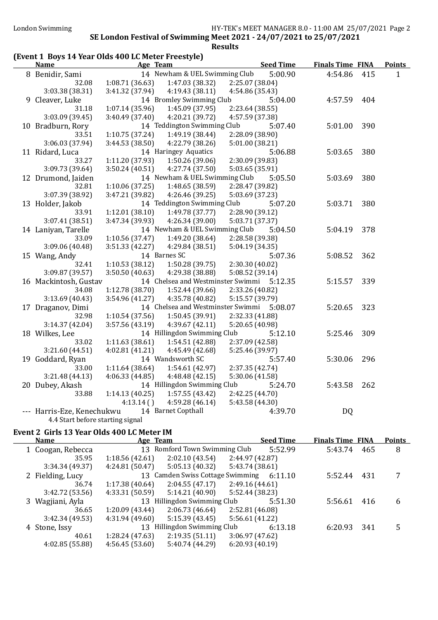### (Event 1 Boys 14 Year Olds 400 LC Meter Freestyle)

| <b>Name</b>                      |                 | Age Team                                  |                 | <b>Seed Time</b> | <b>Finals Time FINA</b> |     | <b>Points</b> |
|----------------------------------|-----------------|-------------------------------------------|-----------------|------------------|-------------------------|-----|---------------|
| 8 Benidir, Sami                  |                 | 14 Newham & UEL Swimming Club             |                 | 5:00.90          | 4:54.86                 | 415 | $\mathbf{1}$  |
| 32.08                            | 1:08.71(36.63)  | 1:47.03 (38.32)                           | 2:25.07 (38.04) |                  |                         |     |               |
| 3:03.38 (38.31)                  | 3:41.32 (37.94) | 4:19.43 (38.11)                           | 4:54.86 (35.43) |                  |                         |     |               |
| 9 Cleaver, Luke                  |                 | 14 Bromley Swimming Club                  |                 | 5:04.00          | 4:57.59                 | 404 |               |
| 31.18                            | 1:07.14(35.96)  | 1:45.09(37.95)                            | 2:23.64 (38.55) |                  |                         |     |               |
| 3:03.09 (39.45)                  | 3:40.49 (37.40) | 4:20.21 (39.72)                           | 4:57.59 (37.38) |                  |                         |     |               |
| 10 Bradburn, Rory                |                 | 14 Teddington Swimming Club               |                 | 5:07.40          | 5:01.00                 | 390 |               |
| 33.51                            | 1:10.75(37.24)  | 1:49.19 (38.44)                           | 2:28.09 (38.90) |                  |                         |     |               |
| 3:06.03 (37.94)                  | 3:44.53 (38.50) | 4:22.79 (38.26)                           | 5:01.00 (38.21) |                  |                         |     |               |
| 11 Ridard, Luca                  |                 | 14 Haringey Aquatics                      |                 | 5:06.88          | 5:03.65                 | 380 |               |
| 33.27                            | 1:11.20 (37.93) | 1:50.26 (39.06)                           | 2:30.09 (39.83) |                  |                         |     |               |
| 3:09.73 (39.64)                  | 3:50.24(40.51)  | 4:27.74 (37.50)                           | 5:03.65 (35.91) |                  |                         |     |               |
| 12 Drumond, Jaiden               |                 | 14 Newham & UEL Swimming Club             |                 | 5:05.50          | 5:03.69                 | 380 |               |
| 32.81                            | 1:10.06(37.25)  | 1:48.65 (38.59)                           | 2:28.47 (39.82) |                  |                         |     |               |
| 3:07.39 (38.92)                  | 3:47.21 (39.82) | 4:26.46(39.25)                            | 5:03.69 (37.23) |                  |                         |     |               |
| 13 Holder, Jakob                 |                 | 14 Teddington Swimming Club               |                 | 5:07.20          | 5:03.71                 | 380 |               |
| 33.91                            | 1:12.01(38.10)  | 1:49.78 (37.77)                           | 2:28.90 (39.12) |                  |                         |     |               |
| 3:07.41 (38.51)                  | 3:47.34 (39.93) | 4:26.34 (39.00)                           | 5:03.71 (37.37) |                  |                         |     |               |
| 14 Laniyan, Tarelle              |                 | 14 Newham & UEL Swimming Club             |                 | 5:04.50          | 5:04.19                 | 378 |               |
| 33.09                            | 1:10.56(37.47)  | 1:49.20 (38.64)                           | 2:28.58 (39.38) |                  |                         |     |               |
| 3:09.06 (40.48)                  | 3:51.33(42.27)  | 4:29.84 (38.51)                           | 5:04.19 (34.35) |                  |                         |     |               |
| 15 Wang, Andy                    |                 | 14 Barnes SC                              |                 | 5:07.36          | 5:08.52                 | 362 |               |
| 32.41                            | 1:10.53(38.12)  | 1:50.28 (39.75)                           | 2:30.30 (40.02) |                  |                         |     |               |
| 3:09.87 (39.57)                  | 3:50.50(40.63)  | 4:29.38 (38.88)                           | 5:08.52 (39.14) |                  |                         |     |               |
| 16 Mackintosh, Gustav            |                 | 14 Chelsea and Westminster Swimmi 5:12.35 |                 |                  | 5:15.57                 | 339 |               |
| 34.08                            | 1:12.78 (38.70) | 1:52.44 (39.66)                           | 2:33.26 (40.82) |                  |                         |     |               |
| 3:13.69 (40.43)                  | 3:54.96(41.27)  | 4:35.78 (40.82)                           | 5:15.57 (39.79) |                  |                         |     |               |
| 17 Draganov, Dimi                |                 | 14 Chelsea and Westminster Swimmi 5:08.07 |                 |                  | 5:20.65                 | 323 |               |
| 32.98                            | 1:10.54(37.56)  | 1:50.45 (39.91)                           | 2:32.33 (41.88) |                  |                         |     |               |
| 3:14.37(42.04)                   | 3:57.56 (43.19) | 4:39.67(42.11)                            | 5:20.65 (40.98) |                  |                         |     |               |
| 18 Wilkes, Lee                   |                 | 14 Hillingdon Swimming Club               |                 | 5:12.10          | 5:25.46                 | 309 |               |
| 33.02                            | 1:11.63(38.61)  | 1:54.51 (42.88)                           | 2:37.09 (42.58) |                  |                         |     |               |
| 3:21.60 (44.51)                  | 4:02.81 (41.21) | 4:45.49 (42.68)                           | 5:25.46 (39.97) |                  |                         |     |               |
| 19 Goddard, Ryan                 |                 | 14 Wandsworth SC                          |                 | 5:57.40          | 5:30.06                 | 296 |               |
| 33.00                            | 1:11.64(38.64)  | 1:54.61 (42.97)                           | 2:37.35 (42.74) |                  |                         |     |               |
| 3:21.48(44.13)                   | 4:06.33(44.85)  | 4:48.48(42.15)                            | 5:30.06 (41.58) |                  |                         |     |               |
| 20 Dubey, Akash                  |                 | 14 Hillingdon Swimming Club               |                 | 5:24.70          | 5:43.58                 | 262 |               |
| 33.88                            | 1:14.13(40.25)  | 1:57.55(43.42)                            | 2:42.25 (44.70) |                  |                         |     |               |
|                                  | $4:13.14($ )    | 4:59.28 (46.14)                           | 5:43.58 (44.30) |                  |                         |     |               |
| --- Harris-Eze, Kenechukwu       |                 | 14 Barnet Copthall                        |                 | 4:39.70          | <b>DQ</b>               |     |               |
| 4.4 Start before starting signal |                 |                                           |                 |                  |                         |     |               |

### Event 2 Girls 13 Year Olds 400 LC Meter IM

| <b>Finals Time FINA</b><br><b>Points</b> |
|------------------------------------------|
| 465<br>8                                 |
|                                          |
|                                          |
| 431                                      |
|                                          |
|                                          |
| 6<br>416                                 |
|                                          |
|                                          |
| 341<br>5                                 |
|                                          |
|                                          |
|                                          |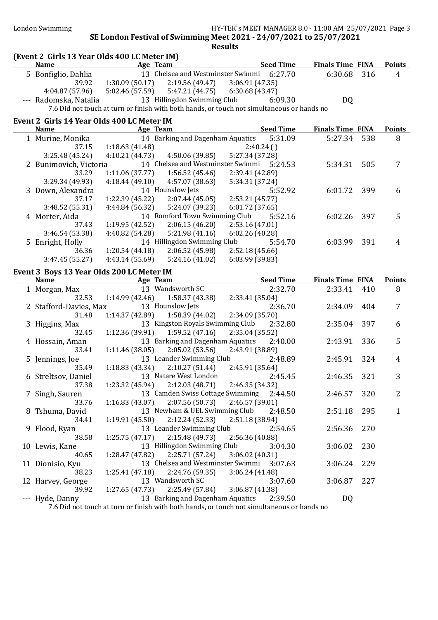#### London Swimming HY-TEK's MEET MANAGER 8.0 - 11:00 AM 25/07/2021 Page 3

#### SE London Festival of Swimming Meet 2021 - 24/07/2021 to 25/07/2021 **Results**

#### (Event 2 Girls 13 Year Olds 400 LC Meter IM) Name Age Team Seed Time Finals Time FINA Points 5 Bonfiglio, Dahlia 13 Chelsea and Westminster Swimmi 6:27.70 6:30.68 316 4 39.92 1:30.09 (50.17) 2:19.56 (49.47) 3:06.91 (47.35) 4:04.87 (57.96) 5:02.46 (57.59) 5:47.21 (44.75) 6:30.68 (43.47) --- Radomska, Natalia 13 Hillingdon Swimming Club 6:09.30 DQ 7.6 Did not touch at turn or finish with both hands, or touch not simultaneous or hands no Event 2 Girls 14 Year Olds 400 LC Meter IM Name **Age Team** Age Team Seed Time Finals Time FINA Points 1 Murine, Monika 14 Barking and Dagenham Aquatics 5:31.09 5:27.34 538 8 37.15 1:18.63 (41.48) 2:40.24 ( ) 3:25.48 (45.24) 4:10.21 (44.73) 4:50.06 (39.85) 5:27.34 (37.28) 2 Bunimovich, Victoria 14 Chelsea and Westminster Swimmi 5:24.53 5:34.31 505 7 33.29 1:11.06 (37.77) 1:56.52 (45.46) 2:39.41 (42.89) 3:29.34 (49.93) 4:18.44 (49.10) 4:57.07 (38.63) 5:34.31 (37.24) 3 Down, Alexandra 14 Hounslow Jets 5:52.92 6:01.72 399 6 37.17 1:22.39 (45.22) 2:07.44 (45.05) 2:53.21 (45.77) 3:48.52 (55.31) 4:44.84 (56.32) 5:24.07 (39.23) 6:01.72 (37.65) 4 Morter, Aida 14 Romford Town Swimming Club 5:52.16 6:02.26 397 5 37.43 1:19.95 (42.52) 2:06.15 (46.20) 2:53.16 (47.01) 3:46.54 (53.38) 4:40.82 (54.28) 5:21.98 (41.16) 6:02.26 (40.28) 5 Enright, Holly 14 Hillingdon Swimming Club 5:54.70 6:03.99 391 4 36.36 1:20.54 (44.18) 2:06.52 (45.98) 2:52.18 (45.66) 3:47.45 (55.27) 4:43.14 (55.69) 5:24.16 (41.02) 6:03.99 (39.83) Event 3 Boys 13 Year Olds 200 LC Meter IM Name **Age Team** Seed Time Finals Time FINA Points 1 Morgan, Max 13 Wandsworth SC 2:32.70 2:33.41 410 8 32.53 1:14.99 (42.46) 1:58.37 (43.38) 2:33.41 (35.04) 2 Stafford-Davies, Max 13 Hounslow Jets 2:36.70 2:34.09 404 7<br>31.48 1:14.37 (42.89) 1:58.39 (44.02) 2:34.09 (35.70) 31.48 1:14.37 (42.89) 1:58.39 (44.02) 2:34.09 (35.70) 3 Higgins, Max 13 Kingston Royals Swimming Club 2:32.80 2:35.04 397 6 32.45 1:12.36 (39.91) 1:59.52 (47.16) 2:35.04 (35.52) 4 Hossain, Aman 13 Barking and Dagenham Aquatics 2:40.00 2:43.91 336 5<br>33.41 1:11.46 (38.05) 2:05.02 (53.56) 2:43.91 (38.89) 33.41 1:11.46 (38.05) 2:05.02 (53.56) 5 Jennings, Joe 13 Leander Swimming Club 2:48.89 2:45.91 324 4 35.49 1:18.83 (43.34) 2:10.27 (51.44) 2:45.91 (35.64) 6 Streltsov, Daniel 13 Natare West London 2:45.45 2:46.35 321 3 37.38 1:23.32 (45.94) 2:12.03 (48.71) 2:46.35 (34.32) 7 Singh, Sauren 13 Camden Swiss Cottage Swimming 2:44.50 2:46.57 320 2 33.76 1:16.83 (43.07) 2:07.56 (50.73) 2:46.57 (39.01) 8 Tshuma, David 13 Newham & UEL Swimming Club 2:48.50 2:51.18 295 1 34.41 1:19.91 (45.50) 2:12.24 (52.33) 2:51.18 (38.94) 9 Flood, Ryan 13 Leander Swimming Club 2:54.65 2:56.36 270 38.58 1:25.75 (47.17) 2:15.48 (49.73) 2:56.36 (40.88) 10 Lewis, Kane 13 Hillingdon Swimming Club 3:04.30 3:06.02 230 40.65 1:28.47 (47.82) 2:25.71 (57.24) 3:06.02 (40.31) 11 Dionisio, Kyu 13 Chelsea and Westminster Swimmi 3:07.63 3:06.24 229 38.23 1:25.41 (47.18) 2:24.76 (59.35) 3:06.24 (41.48) 12 Harvey, George 13 Wandsworth SC 3:07.60 3:06.87 227 39.92 1:27.65 (47.73) 2:25.49 (57.84) 3:06.87 (41.38) --- Hyde, Danny 13 Barking and Dagenham Aquatics 2:39.50 DQ

7.6 Did not touch at turn or finish with both hands, or touch not simultaneous or hands no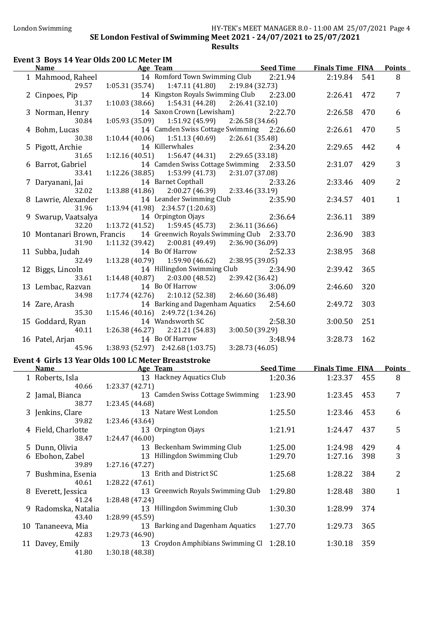### Event 3 Boys 14 Year Olds 200 LC Meter IM

|   | <b>Name</b>                          | Age Team                                                                                           | <b>Seed Time</b> | <b>Finals Time FINA</b> |     | <b>Points</b>   |
|---|--------------------------------------|----------------------------------------------------------------------------------------------------|------------------|-------------------------|-----|-----------------|
|   | 1 Mahmood, Raheel<br>29.57           | 14 Romford Town Swimming Club<br>1:05.31(35.74)<br>2:19.84 (32.73)<br>1:47.11 (41.80)              | 2:21.94          | 2:19.84                 | 541 | 8               |
|   | 2 Cinpoes, Pip<br>31.37              | 14 Kingston Royals Swimming Club<br>$1:10.03(38.66)$ $1:54.31(44.28)$<br>2:26.41(32.10)            | 2:23.00          | 2:26.41                 | 472 | $\overline{7}$  |
|   | 3 Norman, Henry                      | 14 Saxon Crown (Lewisham)                                                                          | 2:22.70          | 2:26.58                 | 470 | 6               |
|   | 30.84<br>4 Bohm, Lucas               | 1:05.93(35.09)<br>1:51.92 (45.99)<br>2:26.58(34.66)<br>14 Camden Swiss Cottage Swimming 2:26.60    |                  | 2:26.61                 | 470 | 5               |
|   | 30.38<br>5 Pigott, Archie            | $1:10.44(40.06)$ $1:51.13(40.69)$<br>2:26.61 (35.48)<br>14 Killerwhales                            | 2:34.20          | 2:29.65                 | 442 | $\overline{4}$  |
|   | 31.65<br>6 Barrot, Gabriel           | 2:29.65 (33.18)<br>1:12.16(40.51)<br>1:56.47 (44.31)<br>14 Camden Swiss Cottage Swimming 2:33.50   |                  | 2:31.07                 | 429 | 3               |
|   | 33.41<br>7 Daryanani, Jai            | 1:12.26(38.85)<br>1:53.99 (41.73)<br>2:31.07 (37.08)<br>14 Barnet Copthall                         | 2:33.26          | 2:33.46                 | 409 | $\overline{2}$  |
|   | 32.02<br>8 Lawrie, Alexander         | 2:33.46 (33.19)<br>1:13.88 (41.86)<br>2:00.27 (46.39)<br>14 Leander Swimming Club                  | 2:35.90          | 2:34.57                 | 401 | $\mathbf{1}$    |
|   | 31.96<br>9 Swarup, Vaatsalya         | $1:13.94(41.98)$ $2:34.57(1:20.63)$<br>14 Orpington Ojays                                          | 2:36.64          | 2:36.11                 | 389 |                 |
|   | 32.20<br>10 Montanari Brown, Francis | $1:13.72$ (41.52) $1:59.45$ (45.73)<br>2:36.11(36.66)<br>14 Greenwich Royals Swimming Club 2:33.70 |                  | 2:36.90                 | 383 |                 |
|   | 31.90<br>11 Subba, Judah             | 2:36.90 (36.09)<br>$1:11.32(39.42)$ $2:00.81(49.49)$<br>14 Bo Of Harrow                            | 2:52.33          | 2:38.95                 | 368 |                 |
|   | 32.49                                | 2:38.95 (39.05)<br>$1:13.28(40.79)$ $1:59.90(46.62)$                                               |                  |                         |     |                 |
|   | 12 Biggs, Lincoln<br>33.61           | 14 Hillingdon Swimming Club<br>$1:14.48(40.87)$ $2:03.00(48.52)$<br>2:39.42 (36.42)                | 2:34.90          | 2:39.42                 | 365 |                 |
|   | 13 Lembac, Razvan<br>34.98           | 14 Bo Of Harrow<br>2:46.60 (36.48)<br>$1:17.74(42.76)$ $2:10.12(52.38)$                            | 3:06.09          | 2:46.60                 | 320 |                 |
|   | 14 Zare, Arash<br>35.30              | 14 Barking and Dagenham Aquatics 2:54.60<br>1:15.46 (40.16) 2:49.72 (1:34.26)                      |                  | 2:49.72                 | 303 |                 |
|   | 15 Goddard, Ryan<br>40.11            | 14 Wandsworth SC<br>3:00.50 (39.29)<br>$1:26.38(46.27)$ $2:21.21(54.83)$                           | 2:58.30          | 3:00.50                 | 251 |                 |
|   | 16 Patel, Arjan<br>45.96             | 14 Bo Of Harrow<br>1:38.93 (52.97) 2:42.68 (1:03.75)<br>3:28.73 (46.05)                            | 3:48.94          | 3:28.73                 | 162 |                 |
|   |                                      | Event 4 Girls 13 Year Olds 100 LC Meter Breaststroke                                               |                  |                         |     |                 |
|   | <b>Name</b>                          | <b>Example 2</b> Age Team                                                                          | <b>Seed Time</b> | <b>Finals Time FINA</b> |     | <b>Points</b>   |
|   | 1 Roberts, Isla<br>40.66             | 13 Hackney Aquatics Club<br>1:23.37 (42.71)                                                        | 1:20.36          | 1:23.37 455             |     | 8               |
|   | 38.77                                | 2 Jamal, Bianca 13 Camden Swiss Cottage Swimming 1:23.90 1:23.45 453<br>1:23.45 (44.68)            |                  |                         |     | $7\overline{ }$ |
|   | 3 Jenkins, Clare<br>39.82            | 13 Natare West London<br>1:23.46 (43.64)                                                           | 1:25.50          | 1:23.46                 | 453 | 6               |
|   | 4 Field, Charlotte<br>38.47          | 13 Orpington Ojays<br>1:24.47 (46.00)                                                              | 1:21.91          | 1:24.47                 | 437 | 5               |
|   | 5 Dunn, Olivia                       | 13 Beckenham Swimming Club                                                                         | 1:25.00          | 1:24.98                 | 429 | 4               |
| 6 | Ebohon, Zabel                        | 13 Hillingdon Swimming Club                                                                        | 1:29.70          | 1:27.16                 | 398 | 3               |
|   | 39.89<br>7 Bushmina, Esenia          | 1:27.16(47.27)<br>13 Erith and District SC                                                         | 1:25.68          | 1:28.22                 | 384 | 2               |
|   | 40.61<br>8 Everett, Jessica          | 1:28.22(47.61)<br>13 Greenwich Royals Swimming Club                                                | 1:29.80          | 1:28.48                 | 380 | 1               |
|   | 41.24<br>9 Radomska, Natalia         | 1:28.48 (47.24)<br>13 Hillingdon Swimming Club                                                     | 1:30.30          | 1:28.99                 | 374 |                 |
|   | 43.40<br>10 Tananeeva, Mia           | 1:28.99 (45.59)<br>13 Barking and Dagenham Aquatics                                                | 1:27.70          | 1:29.73                 | 365 |                 |
|   | 42.83                                | 1:29.73 (46.90)                                                                                    |                  |                         |     |                 |
|   | 11 Davey, Emily<br>41.80             | 13 Croydon Amphibians Swimming Cl 1:28.10<br>1:30.18 (48.38)                                       |                  | 1:30.18                 | 359 |                 |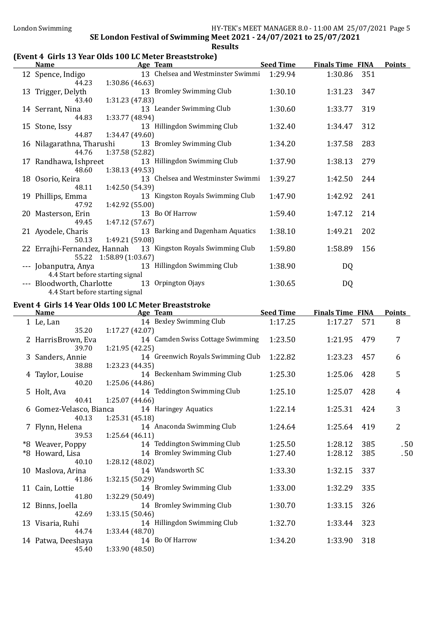### (Event 4 Girls 13 Year Olds 100 LC Meter Breaststroke)

| <b>Name</b>                    | Age Team                                                      | <b>Seed Time</b> | <b>Finals Time FINA</b> | <b>Points</b> |
|--------------------------------|---------------------------------------------------------------|------------------|-------------------------|---------------|
| 12 Spence, Indigo              | 13 Chelsea and Westminster Swimmi                             | 1:29.94          | 1:30.86                 | 351           |
| 44.23                          | 1:30.86 (46.63)                                               |                  |                         |               |
| 13 Trigger, Delyth             | 13 Bromley Swimming Club                                      | 1:30.10          | 1:31.23                 | 347           |
| 43.40                          | 1:31.23(47.83)                                                |                  |                         |               |
| 14 Serrant, Nina               | 13 Leander Swimming Club                                      | 1:30.60          | 1:33.77                 | 319           |
| 44.83                          | 1:33.77 (48.94)                                               |                  |                         |               |
| 15 Stone, Issy                 | 13 Hillingdon Swimming Club                                   | 1:32.40          | 1:34.47                 | 312           |
| 44.87                          | 1:34.47(49.60)                                                |                  |                         |               |
| 16 Nilagarathna, Tharushi      | 13 Bromley Swimming Club                                      | 1:34.20          | 1:37.58                 | 283           |
| 44.76                          | 1:37.58 (52.82)                                               |                  |                         |               |
| 17 Randhawa, Ishpreet<br>48.60 | 13 Hillingdon Swimming Club                                   | 1:37.90          | 1:38.13                 | 279           |
| 18 Osorio, Keira               | 1:38.13(49.53)<br>13 Chelsea and Westminster Swimmi           | 1:39.27          | 1:42.50                 | 244           |
| 48.11                          | 1:42.50 (54.39)                                               |                  |                         |               |
| 19 Phillips, Emma              | 13 Kingston Royals Swimming Club                              | 1:47.90          | 1:42.92                 | 241           |
| 47.92                          | 1:42.92 (55.00)                                               |                  |                         |               |
| 20 Masterson, Erin             | 13 Bo Of Harrow                                               | 1:59.40          | 1:47.12                 | 214           |
| 49.45                          | 1:47.12 (57.67)                                               |                  |                         |               |
| 21 Ayodele, Charis             | 13 Barking and Dagenham Aquatics                              | 1:38.10          | 1:49.21                 | 202           |
| 50.13                          | 1:49.21 (59.08)                                               |                  |                         |               |
|                                | 22 Errajhi-Fernandez, Hannah 13 Kingston Royals Swimming Club | 1:59.80          | 1:58.89                 | 156           |
|                                | 55.22 1:58.89 (1:03.67)                                       |                  |                         |               |
| --- Jobanputra, Anya           | 13 Hillingdon Swimming Club                                   | 1:38.90          | DQ                      |               |
|                                | 4.4 Start before starting signal                              |                  |                         |               |
| --- Bloodworth, Charlotte      | 13 Orpington Ojays                                            | 1:30.65          | DQ                      |               |
|                                | 4.4 Start before starting signal                              |                  |                         |               |

#### Event 4 Girls 14 Year Olds 100 LC Meter Breaststroke

| <b>Name</b>             | Age Team                          | <b>Seed Time</b> | <b>Finals Time FINA</b> |     | <b>Points</b>  |
|-------------------------|-----------------------------------|------------------|-------------------------|-----|----------------|
| 1 Le, Lan               | 14 Bexley Swimming Club           | 1:17.25          | 1:17.27                 | 571 | 8              |
| 35.20                   | 1:17.27(42.07)                    |                  |                         |     |                |
| 2 HarrisBrown, Eva      | 14 Camden Swiss Cottage Swimming  | 1:23.50          | 1:21.95                 | 479 | $\overline{7}$ |
| 39.70                   | 1:21.95 (42.25)                   |                  |                         |     |                |
| 3 Sanders, Annie        | 14 Greenwich Royals Swimming Club | 1:22.82          | 1:23.23                 | 457 | 6              |
| 38.88                   | 1:23.23 (44.35)                   |                  |                         |     |                |
| 4 Taylor, Louise        | 14 Beckenham Swimming Club        | 1:25.30          | 1:25.06                 | 428 | 5              |
| 40.20                   | 1:25.06 (44.86)                   |                  |                         |     |                |
| 5 Holt, Ava             | 14 Teddington Swimming Club       | 1:25.10          | 1:25.07                 | 428 | $\overline{4}$ |
| 40.41                   | 1:25.07 (44.66)                   |                  |                         |     |                |
| 6 Gomez-Velasco, Bianca | 14 Haringey Aquatics              | 1:22.14          | 1:25.31                 | 424 | 3              |
| 40.13                   | 1:25.31(45.18)                    |                  |                         |     |                |
| 7 Flynn, Helena         | 14 Anaconda Swimming Club         | 1:24.64          | 1:25.64                 | 419 | $\overline{2}$ |
| 39.53                   | 1:25.64(46.11)                    |                  |                         |     |                |
| *8 Weaver, Poppy        | 14 Teddington Swimming Club       | 1:25.50          | 1:28.12                 | 385 | .50            |
| *8 Howard, Lisa         | 14 Bromley Swimming Club          | 1:27.40          | 1:28.12                 | 385 | .50            |
| 40.10                   | 1:28.12(48.02)                    |                  |                         |     |                |
| 10 Maslova, Arina       | 14 Wandsworth SC                  | 1:33.30          | 1:32.15                 | 337 |                |
| 41.86                   | 1:32.15(50.29)                    |                  |                         |     |                |
| 11 Cain, Lottie         | 14 Bromley Swimming Club          | 1:33.00          | 1:32.29                 | 335 |                |
| 41.80                   | 1:32.29 (50.49)                   |                  |                         |     |                |
| 12 Binns, Joella        | 14 Bromley Swimming Club          | 1:30.70          | 1:33.15                 | 326 |                |
| 42.69                   | 1:33.15 (50.46)                   |                  |                         |     |                |
| 13 Visaria, Ruhi        | 14 Hillingdon Swimming Club       | 1:32.70          | 1:33.44                 | 323 |                |
| 44.74                   | 1:33.44 (48.70)                   |                  |                         |     |                |
| 14 Patwa, Deeshaya      | 14 Bo Of Harrow                   | 1:34.20          | 1:33.90                 | 318 |                |
| 45.40                   | 1:33.90 (48.50)                   |                  |                         |     |                |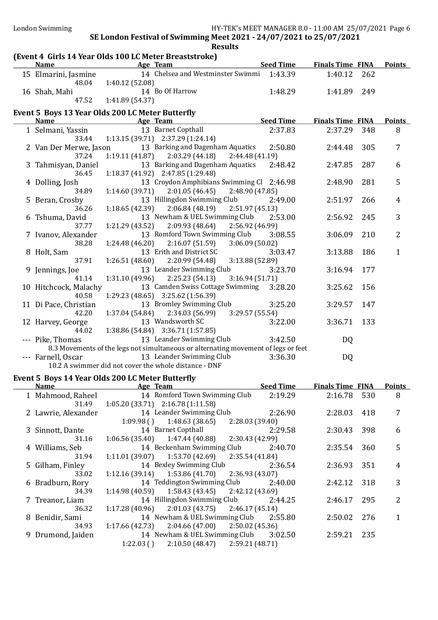### (Event 4 Girls 14 Year Olds 100 LC Meter Breaststroke)

| <b>Name</b>            | <b>Example 2</b> Age Team                                                          | <b>Seed Time</b>           | <b>Finals Time FINA</b> |     | <b>Points</b>  |
|------------------------|------------------------------------------------------------------------------------|----------------------------|-------------------------|-----|----------------|
| 15 Elmarini, Jasmine   | 14 Chelsea and Westminster Swimmi 1:43.39                                          |                            | 1:40.12                 | 262 |                |
| 48.04                  | 1:40.12 (52.08)                                                                    |                            |                         |     |                |
| 16 Shah, Mahi          | 14 Bo Of Harrow                                                                    | 1:48.29                    | 1:41.89                 | 249 |                |
| 47.52                  | 1:41.89 (54.37)                                                                    |                            |                         |     |                |
|                        | Event 5 Boys 13 Year Olds 200 LC Meter Butterfly                                   |                            |                         |     |                |
| Name                   | Age Team                                                                           | <b>Example 2 Seed Time</b> | <b>Finals Time FINA</b> |     | <b>Points</b>  |
| 1 Selmani, Yassin      | 13 Barnet Copthall                                                                 | 2:37.83                    | 2:37.29                 | 348 | 8              |
| 33.44                  | $1:13.15(39.71)$ $2:37.29(1:24.14)$                                                |                            |                         |     |                |
| 2 Van Der Merwe, Jason | 13 Barking and Dagenham Aquatics                                                   | 2:50.80                    | 2:44.48                 | 305 | 7              |
| 37.24                  | 2:03.29 (44.18)<br>1:19.11(41.87)                                                  | 2:44.48 (41.19)            |                         |     |                |
| 3 Tahmisyan, Daniel    | 13 Barking and Dagenham Aquatics                                                   | 2:48.42                    | 2:47.85                 | 287 | 6              |
| 36.45                  | 1:18.37 (41.92) 2:47.85 (1:29.48)                                                  |                            |                         |     |                |
| 4 Dolling, Josh        | 13 Croydon Amphibians Swimming Cl 2:46.98                                          |                            | 2:48.90                 | 281 | 5              |
| 34.89                  | $1:14.60(39.71)$ $2:01.05(46.45)$                                                  | 2:48.90 (47.85)            |                         |     |                |
| 5 Beran, Crosby        | 13 Hillingdon Swimming Club                                                        | 2:49.00                    | 2:51.97                 | 266 | $\overline{4}$ |
| 36.26                  | 1:18.65(42.39)<br>2:06.84(48.19)                                                   | 2:51.97 (45.13)            |                         |     |                |
| 6 Tshuma, David        | 13 Newham & UEL Swimming Club 2:53.00                                              |                            | 2:56.92                 | 245 | 3              |
| 37.77                  | $1:21.29(43.52)$ $2:09.93(48.64)$                                                  | 2:56.92 (46.99)            |                         |     |                |
| 7 Ivanov, Alexander    | 13 Romford Town Swimming Club                                                      | 3:08.55                    | 3:06.09                 | 210 | $\overline{2}$ |
| 38.28                  | 1:24.48 (46.20)<br>2:16.07(51.59)                                                  | 3:06.09(50.02)             |                         |     |                |
| 8 Holt, Sam            | 13 Erith and District SC                                                           | 3:03.47                    | 3:13.88                 | 186 | $\mathbf{1}$   |
| 37.91                  | 1:26.51 (48.60)<br>2:20.99 (54.48)                                                 | 3:13.88 (52.89)            |                         |     |                |
| 9 Jennings, Joe        | 13 Leander Swimming Club                                                           | 3:23.70                    | 3:16.94                 | 177 |                |
| 41.14                  | $1:31.10(49.96)$ $2:25.23(54.13)$                                                  | 3:16.94(51.71)             |                         |     |                |
| 10 Hitchcock, Malachy  | 13 Camden Swiss Cottage Swimming                                                   | 3:28.20                    | 3:25.62                 | 156 |                |
| 40.58                  | 1:29.23 (48.65) 3:25.62 (1:56.39)                                                  |                            |                         |     |                |
| 11 Di Pace, Christian  | 13 Bromley Swimming Club                                                           | 3:25.20                    | 3:29.57                 | 147 |                |
| 42.20                  | 1:37.04(54.84)<br>2:34.03 (56.99)                                                  | 3:29.57 (55.54)            |                         |     |                |
| 12 Harvey, George      | 13 Wandsworth SC                                                                   | 3:22.00                    | 3:36.71                 | 133 |                |
| 44.02                  | 1:38.86 (54.84) 3:36.71 (1:57.85)                                                  |                            |                         |     |                |
| --- Pike, Thomas       | 13 Leander Swimming Club                                                           | 3:42.50                    | DQ                      |     |                |
|                        | 8.3 Movements of the legs not simultaneous or alternating movement of legs or feet |                            |                         |     |                |
| --- Farnell, Oscar     | 13 Leander Swimming Club                                                           | 3:36.30                    | <b>DQ</b>               |     |                |
|                        | 10.2 A swimmer did not cover the whole distance - DNF                              |                            |                         |     |                |

### Event 5 Boys 14 Year Olds 200 LC Meter Butterfly

| <b>Name</b>         | Age Team                                            | <b>Seed Time</b> | <b>Finals Time FINA</b> |     | <b>Points</b> |
|---------------------|-----------------------------------------------------|------------------|-------------------------|-----|---------------|
| 1 Mahmood, Raheel   | 14 Romford Town Swimming Club                       | 2:19.29          | 2:16.78                 | 530 | 8             |
| 31.49               | $1:05.20(33.71)$ $2:16.78(1:11.58)$                 |                  |                         |     |               |
| 2 Lawrie, Alexander | 14 Leander Swimming Club                            | 2:26.90          | 2:28.03                 | 418 | 7             |
|                     | 1:48.63 (38.65)<br>1:09.98()                        | 2:28.03 (39.40)  |                         |     |               |
| 3 Sinnott, Dante    | 14 Barnet Copthall                                  | 2:29.58          | 2:30.43                 | 398 | 6             |
| 31.16               | $1:06.56(35.40)$ $1:47.44(40.88)$ $2:30.43(42.99)$  |                  |                         |     |               |
| 4 Williams, Seb     | 14 Beckenham Swimming Club                          | 2:40.70          | 2:35.54                 | 360 | 5             |
| 31.94               | $1:11.01(39.07)$ $1:53.70(42.69)$ $2:35.54(41.84)$  |                  |                         |     |               |
| 5 Gilham, Finley    | 14 Bexley Swimming Club 2:36.54                     |                  | 2:36.93                 | 351 | 4             |
| 33.02               | $1:12.16(39.14)$ $1:53.86(41.70)$ $2:36.93(43.07)$  |                  |                         |     |               |
| 6 Bradburn, Rory    | 14 Teddington Swimming Club                         | 2:40.00          | 2:42.12                 | 318 | 3             |
| 34.39               | $1:14.98(40.59)$ $1:58.43(43.45)$ $2:42.12(43.69)$  |                  |                         |     |               |
| 7 Treanor, Liam     | 14 Hillingdon Swimming Club                         | 2:44.25          | 2:46.17                 | 295 | 2             |
| 36.32               | $1:17.28(40.96)$ $2:01.03(43.75)$ $2:46.17(45.14)$  |                  |                         |     |               |
| 8 Benidir, Sami     | 14 Newham & UEL Swimming Club                       | 2:55.80          | 2:50.02                 | 276 |               |
| 34.93               | 1:17.66(42.73)<br>$2:04.66(47.00)$ $2:50.02(45.36)$ |                  |                         |     |               |
| 9 Drumond, Jaiden   | 14 Newham & UEL Swimming Club                       | 3:02.50          | 2:59.21                 | 235 |               |
|                     | $2:10.50(48.47)$ $2:59.21(48.71)$<br>1:22.03(       |                  |                         |     |               |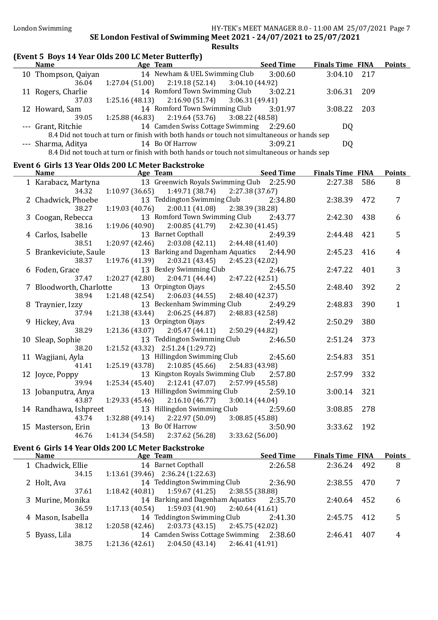| (Event 5 Boys 14 Year Olds 200 LC Meter Butterfly) |                            |                                                                                                               |                 |                  |                         |     |                |
|----------------------------------------------------|----------------------------|---------------------------------------------------------------------------------------------------------------|-----------------|------------------|-------------------------|-----|----------------|
| Name Age Team                                      |                            | <u>Seed Time</u>                                                                                              |                 |                  | <b>Finals Time FINA</b> |     | <b>Points</b>  |
| 10 Thompson, Qaiyan                                |                            | 14 Newham & UEL Swimming Club                                                                                 |                 | 3:00.60          | 3:04.10                 | 217 |                |
| 36.04                                              | 1:27.04 (51.00)            | 2:19.18(52.14)                                                                                                | 3:04.10 (44.92) |                  |                         |     |                |
| 11 Rogers, Charlie                                 |                            | 14 Romford Town Swimming Club                                                                                 |                 | 3:02.21          | 3:06.31                 | 209 |                |
| 37.03                                              | 1:25.16 (48.13)            | $2:16.90(51.74)$ $3:06.31(49.41)$                                                                             |                 |                  |                         |     |                |
| 12 Howard, Sam                                     |                            | 14 Romford Town Swimming Club                                                                                 |                 | 3:01.97          | 3:08.22                 | 203 |                |
| 39.05                                              | 1:25.88 (46.83)            | 2:19.64(53.76)                                                                                                | 3:08.22(48.58)  |                  |                         |     |                |
| --- Grant, Ritchie                                 |                            | 14 Camden Swiss Cottage Swimming 2:29.60                                                                      |                 |                  | DQ                      |     |                |
|                                                    |                            | 8.4 Did not touch at turn or finish with both hands or touch not simultaneous or hands sep                    |                 |                  |                         |     |                |
| --- Sharma, Aditya                                 |                            | 14 Bo Of Harrow<br>8.4 Did not touch at turn or finish with both hands or touch not simultaneous or hands sep |                 | 3:09.21          | DQ                      |     |                |
|                                                    |                            |                                                                                                               |                 |                  |                         |     |                |
| Event 6 Girls 13 Year Olds 200 LC Meter Backstroke |                            |                                                                                                               |                 |                  |                         |     |                |
| <b>Name</b>                                        | <b>Example 21 Age Team</b> | <u>Seed Time</u>                                                                                              |                 |                  | <b>Finals Time FINA</b> |     | <b>Points</b>  |
| 1 Karabacz, Martyna                                |                            | 13 Greenwich Royals Swimming Club 2:25.90                                                                     |                 |                  | 2:27.38                 | 586 | 8              |
| 34.32                                              |                            | $1:10.97(36.65)$ $1:49.71(38.74)$<br>13 Teddington Swimming Club                                              | 2:27.38 (37.67) |                  |                         |     |                |
| 2 Chadwick, Phoebe<br>38.27                        | 1:19.03 (40.76)            | 2:00.11(41.08)                                                                                                | 2:38.39 (38.28) | 2:34.80          | 2:38.39                 | 472 | 7              |
| 3 Coogan, Rebecca                                  |                            | 13 Romford Town Swimming Club 2:43.77                                                                         |                 |                  | 2:42.30                 | 438 | 6              |
| 38.16                                              |                            | $1:19.06(40.90)$ $2:00.85(41.79)$ $2:42.30(41.45)$                                                            |                 |                  |                         |     |                |
| 4 Carlos, Isabelle                                 |                            | 13 Barnet Copthall                                                                                            |                 | 2:49.39          | 2:44.48                 | 421 | 5              |
| 38.51                                              | 1:20.97 (42.46)            | $2:03.08(42.11)$ $2:44.48(41.40)$                                                                             |                 |                  |                         |     |                |
| 5 Brankeviciute, Saule                             |                            | 13 Barking and Dagenham Aquatics 2:44.90                                                                      |                 |                  | 2:45.23                 | 416 | $\overline{4}$ |
| 38.37                                              |                            | $1:19.76(41.39)$ $2:03.21(43.45)$                                                                             | 2:45.23 (42.02) |                  |                         |     |                |
| 6 Foden, Grace                                     |                            | 13 Bexley Swimming Club                                                                                       |                 | 2:46.75          | 2:47.22                 | 401 | 3              |
| 37.47                                              |                            | $1:20.27(42.80)$ $2:04.71(44.44)$                                                                             | 2:47.22 (42.51) |                  |                         |     |                |
| 7 Bloodworth, Charlotte                            |                            | 13 Orpington Ojays                                                                                            |                 | 2:45.50          | 2:48.40                 | 392 | 2              |
| 38.94                                              |                            | $1:21.48(42.54)$ $2:06.03(44.55)$                                                                             | 2:48.40 (42.37) |                  |                         |     |                |
| 8 Traynier, Izzy                                   |                            | 13 Beckenham Swimming Club                                                                                    |                 | 2:49.29          | 2:48.83                 | 390 | $\mathbf{1}$   |
| 37.94                                              |                            | $1:21.38(43.44)$ $2:06.25(44.87)$                                                                             | 2:48.83 (42.58) |                  |                         |     |                |
| 9 Hickey, Ava                                      |                            | 13 Orpington Ojays                                                                                            |                 | 2:49.42          | 2:50.29                 | 380 |                |
| 38.29                                              |                            | $1:21.36(43.07)$ $2:05.47(44.11)$                                                                             | 2:50.29 (44.82) |                  |                         |     |                |
| 10 Sleap, Sophie<br>38.20                          |                            | 13 Teddington Swimming Club 2:46.50<br>1:21.52 (43.32) 2:51.24 (1:29.72)                                      |                 |                  | 2:51.24                 | 373 |                |
| 11 Wagjiani, Ayla                                  |                            | 13 Hillingdon Swimming Club                                                                                   |                 | 2:45.60          | 2:54.83                 | 351 |                |
| 41.41                                              | 1:25.19(43.78)             | $2:10.85(45.66)$ $2:54.83(43.98)$                                                                             |                 |                  |                         |     |                |
| 12 Joyce, Poppy                                    |                            | 13 Kingston Royals Swimming Club 2:57.80                                                                      |                 |                  | 2:57.99                 | 332 |                |
| 39.94                                              | 1:25.34 (45.40)            | 2:12.41 (47.07)                                                                                               | 2:57.99 (45.58) |                  |                         |     |                |
| 13 Jobanputra, Anya                                |                            | 13 Hillingdon Swimming Club                                                                                   |                 | 2:59.10          | 3:00.14                 | 321 |                |
| 43.87                                              | 1:29.33 (45.46)            | 2:16.10(46.77)                                                                                                | 3:00.14(44.04)  |                  |                         |     |                |
| 14 Randhawa, Ishpreet                              |                            | 13 Hillingdon Swimming Club                                                                                   |                 | 2:59.60          | 3:08.85                 | 278 |                |
| 43.74                                              | 1:32.88 (49.14)            | 2:22.97 (50.09)                                                                                               | 3:08.85(45.88)  |                  |                         |     |                |
| 15 Masterson, Erin                                 |                            | 13 Bo Of Harrow                                                                                               |                 | 3:50.90          | 3:33.62                 | 192 |                |
| 46.76                                              | 1:41.34 (54.58)            | 2:37.62 (56.28)                                                                                               | 3:33.62 (56.00) |                  |                         |     |                |
| Event 6 Girls 14 Year Olds 200 LC Meter Backstroke |                            |                                                                                                               |                 |                  |                         |     |                |
| <b>Name</b>                                        |                            | Age Team                                                                                                      |                 | <b>Seed Time</b> | <b>Finals Time FINA</b> |     | <b>Points</b>  |
| 1 Chadwick, Ellie                                  |                            | 14 Barnet Copthall                                                                                            |                 | 2:26.58          | 2:36.24                 | 492 | 8              |

| 1 Chadwick, Ellie | 14 Barnet Copthall                                    | 2:26.58 | 2:36.24 492 |     | 8  |
|-------------------|-------------------------------------------------------|---------|-------------|-----|----|
| 34.15             | $1:13.61(39.46)$ $2:36.24(1:22.63)$                   |         |             |     |    |
| 2 Holt, Ava       | 14 Teddington Swimming Club                           | 2:36.90 | 2:38.55 470 |     | 7  |
| 37.61             | $1:18.42$ (40.81) $1:59.67$ (41.25) $2:38.55$ (38.88) |         |             |     |    |
| 3 Murine, Monika  | 14 Barking and Dagenham Aquatics 2:35.70              |         | 2:40.64 452 |     | 6  |
| 36.59             | $1:17.13(40.54)$ $1:59.03(41.90)$ $2:40.64(41.61)$    |         |             |     |    |
| 4 Mason, Isabella | 14 Teddington Swimming Club                           | 2:41.30 | 2:45.75 412 |     | .5 |
| 38.12             | $1:20.58(42.46)$ $2:03.73(43.15)$ $2:45.75(42.02)$    |         |             |     |    |
| 5 Byass, Lila     | 14 Camden Swiss Cottage Swimming 2:38.60              |         | 2:46.41     | 407 | 4  |
| 38.75             | 2:04.50 (43.14)<br>1:21.36 (42.61)<br>2:46.41 (41.91) |         |             |     |    |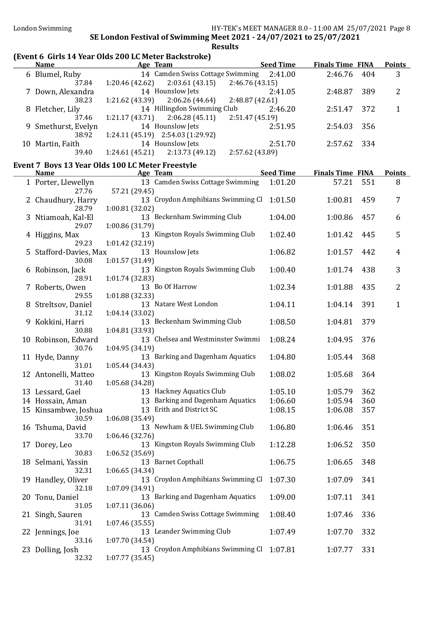### (Event 6 Girls 14 Year Olds 200 LC Meter Backstroke)

| <b>Name</b>                                      |                 | Age Team                                 | <b>Seed Time</b> | <b>Finals Time FINA</b> |     | <b>Points</b>  |
|--------------------------------------------------|-----------------|------------------------------------------|------------------|-------------------------|-----|----------------|
| 6 Blumel, Ruby                                   |                 | 14 Camden Swiss Cottage Swimming 2:41.00 |                  | 2:46.76                 | 404 | 3              |
| 37.84                                            | 1:20.46(42.62)  | 2:03.61(43.15)                           | 2:46.76(43.15)   |                         |     |                |
| 7 Down, Alexandra                                |                 | 14 Hounslow Jets                         | 2:41.05          | 2:48.87                 | 389 | 2              |
| 38.23                                            |                 | $1:21.62(43.39)$ $2:06.26(44.64)$        | 2:48.87 (42.61)  |                         |     |                |
| 8 Fletcher, Lily                                 |                 | 14 Hillingdon Swimming Club              | 2:46.20          | 2:51.47                 | 372 | 1              |
| 37.46                                            | 1:21.17 (43.71) | 2:06.28(45.11)                           | 2:51.47 (45.19)  |                         |     |                |
| 9 Smethurst, Evelyn                              |                 | 14 Hounslow Jets                         | 2:51.95          | 2:54.03                 | 356 |                |
| 38.92                                            |                 | $1:24.11(45.19)$ $2:54.03(1:29.92)$      |                  |                         |     |                |
| 10 Martin, Faith                                 |                 | 14 Hounslow Jets                         | 2:51.70          | 2:57.62                 | 334 |                |
| 39.40                                            |                 | $1:24.61(45.21)$ $2:13.73(49.12)$        | 2:57.62 (43.89)  |                         |     |                |
| Event 7 Boys 13 Year Olds 100 LC Meter Freestyle |                 |                                          |                  |                         |     |                |
| <b>Name</b>                                      |                 | Age Team                                 | <b>Seed Time</b> | <b>Finals Time FINA</b> |     | <b>Points</b>  |
| 1 Porter, Llewellyn                              |                 | 13 Camden Swiss Cottage Swimming         | 1:01.20          | 57.21                   | 551 | 8              |
| 27.76                                            | 57.21 (29.45)   |                                          |                  |                         |     |                |
| 2 Chaudhury, Harry                               |                 | 13 Croydon Amphibians Swimming Cl        | 1:01.50          | 1:00.81                 | 459 | 7              |
| 28.79                                            | 1:00.81 (32.02) |                                          |                  |                         |     |                |
| 3 Ntiamoah, Kal-El                               |                 | 13 Beckenham Swimming Club               | 1:04.00          | 1:00.86                 | 457 | 6              |
| 29.07                                            | 1:00.86 (31.79) |                                          |                  |                         |     |                |
| 4 Higgins, Max                                   |                 | 13 Kingston Royals Swimming Club         | 1:02.40          | 1:01.42                 | 445 | 5              |
| 29.23                                            | 1:01.42(32.19)  |                                          |                  |                         |     |                |
| 5 Stafford-Davies, Max                           |                 | 13 Hounslow Jets                         | 1:06.82          | 1:01.57                 | 442 | 4              |
| 30.08                                            | 1:01.57(31.49)  |                                          |                  |                         |     |                |
| 6 Robinson, Jack                                 |                 | 13 Kingston Royals Swimming Club         | 1:00.40          | 1:01.74                 | 438 | 3              |
| 28.91                                            | 1:01.74(32.83)  |                                          |                  |                         |     |                |
| 7 Roberts, Owen                                  |                 | 13 Bo Of Harrow                          | 1:02.34          | 1:01.88                 | 435 | $\overline{2}$ |
| 29.55                                            | 1:01.88(32.33)  |                                          |                  |                         |     |                |
| 8 Streltsov, Daniel                              |                 | 13 Natare West London                    | 1:04.11          | 1:04.14                 | 391 | 1              |
| 31.12                                            | 1:04.14(33.02)  |                                          |                  |                         |     |                |
| 9 Kokkini, Harri                                 |                 | 13 Beckenham Swimming Club               | 1:08.50          | 1:04.81                 | 379 |                |
| 30.88                                            | 1:04.81 (33.93) |                                          |                  |                         |     |                |
| 10 Robinson, Edward                              |                 | 13 Chelsea and Westminster Swimmi        | 1:08.24          | 1:04.95                 | 376 |                |
| 30.76                                            | 1:04.95(34.19)  |                                          |                  |                         |     |                |
| 11 Hyde, Danny                                   |                 | 13 Barking and Dagenham Aquatics         | 1:04.80          | 1:05.44                 | 368 |                |
| 31.01                                            | 1:05.44(34.43)  |                                          |                  |                         |     |                |
| 12 Antonelli, Matteo                             |                 | 13 Kingston Royals Swimming Club         | 1:08.02          | 1:05.68                 | 364 |                |
| 31.40                                            | 1:05.68(34.28)  |                                          |                  |                         |     |                |
| 13 Lessard, Gael                                 |                 | 13 Hackney Aquatics Club                 | 1:05.10          | 1:05.79                 | 362 |                |
| 14 Hossain, Aman                                 |                 | 13 Barking and Dagenham Aquatics         | 1:06.60          | 1:05.94                 | 360 |                |
| 15 Kinsambwe, Joshua                             |                 | 13 Erith and District SC                 | 1:08.15          | 1:06.08                 | 357 |                |
| 30.59                                            | 1:06.08 (35.49) | 13 Newham & UEL Swimming Club            | 1:06.80          |                         |     |                |
| 16 Tshuma, David                                 |                 |                                          |                  | 1:06.46                 | 351 |                |
| 33.70                                            | 1:06.46 (32.76) | 13 Kingston Royals Swimming Club         |                  |                         | 350 |                |
| 17 Dorey, Leo<br>30.83                           | 1:06.52(35.69)  |                                          | 1:12.28          | 1:06.52                 |     |                |
|                                                  |                 | 13 Barnet Copthall                       | 1:06.75          | 1:06.65                 | 348 |                |
| 18 Selmani, Yassin<br>32.31                      | 1:06.65(34.34)  |                                          |                  |                         |     |                |
| 19 Handley, Oliver                               |                 | 13 Croydon Amphibians Swimming Cl        | 1:07.30          | 1:07.09                 | 341 |                |
| 32.18                                            | 1:07.09 (34.91) |                                          |                  |                         |     |                |
| 20 Tonu, Daniel                                  |                 | 13 Barking and Dagenham Aquatics         | 1:09.00          | 1:07.11                 | 341 |                |
| 31.05                                            | 1:07.11(36.06)  |                                          |                  |                         |     |                |
| 21 Singh, Sauren                                 |                 | 13 Camden Swiss Cottage Swimming         | 1:08.40          | 1:07.46                 | 336 |                |
| 31.91                                            | 1:07.46(35.55)  |                                          |                  |                         |     |                |
| 22 Jennings, Joe                                 |                 | 13 Leander Swimming Club                 | 1:07.49          | 1:07.70                 | 332 |                |
| 33.16                                            | 1:07.70(34.54)  |                                          |                  |                         |     |                |
| 23 Dolling, Josh                                 |                 | 13 Croydon Amphibians Swimming Cl        | 1:07.81          | 1:07.77                 | 331 |                |
| 32.32                                            | 1:07.77(35.45)  |                                          |                  |                         |     |                |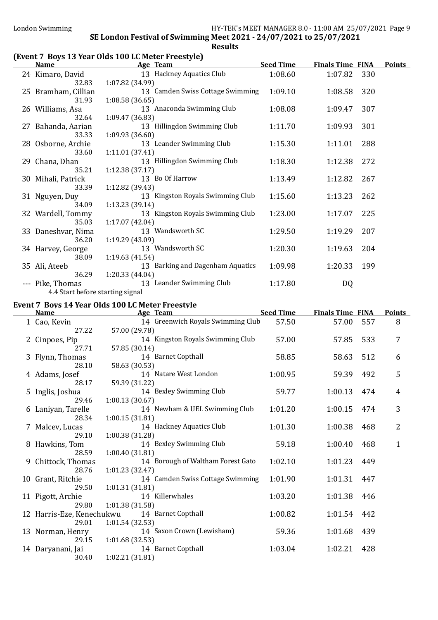### (Event 7 Boys 13 Year Olds 100 LC Meter Freestyle)

| <b>Name</b>                                      | Age Team                         | <b>Seed Time</b> | <b>Finals Time FINA</b> |     | <b>Points</b> |
|--------------------------------------------------|----------------------------------|------------------|-------------------------|-----|---------------|
| 24 Kimaro, David                                 | 13 Hackney Aquatics Club         | 1:08.60          | 1:07.82                 | 330 |               |
| 32.83                                            | 1:07.82 (34.99)                  |                  |                         |     |               |
| 25 Bramham, Cillian                              | 13 Camden Swiss Cottage Swimming | 1:09.10          | 1:08.58                 | 320 |               |
| 31.93                                            | 1:08.58(36.65)                   |                  |                         |     |               |
| 26 Williams, Asa                                 | 13 Anaconda Swimming Club        | 1:08.08          | 1:09.47                 | 307 |               |
| 32.64                                            | 1:09.47(36.83)                   |                  |                         |     |               |
| 27 Bahanda, Aarian                               | 13 Hillingdon Swimming Club      | 1:11.70          | 1:09.93                 | 301 |               |
| 33.33                                            | 1:09.93(36.60)                   |                  |                         |     |               |
| 28 Osborne, Archie                               | 13 Leander Swimming Club         | 1:15.30          | 1:11.01                 | 288 |               |
| 33.60                                            | 1:11.01(37.41)                   |                  |                         |     |               |
| 29 Chana, Dhan                                   | 13 Hillingdon Swimming Club      | 1:18.30          | 1:12.38                 | 272 |               |
| 35.21                                            | 1:12.38(37.17)                   |                  |                         |     |               |
| 30 Mihali, Patrick                               | 13 Bo Of Harrow                  | 1:13.49          | 1:12.82                 | 267 |               |
| 33.39                                            | 1:12.82 (39.43)                  |                  |                         |     |               |
| 31 Nguyen, Duy                                   | 13 Kingston Royals Swimming Club | 1:15.60          | 1:13.23                 | 262 |               |
| 34.09                                            | 1:13.23(39.14)                   |                  |                         |     |               |
| 32 Wardell, Tommy                                | 13 Kingston Royals Swimming Club | 1:23.00          | 1:17.07                 | 225 |               |
| 35.03                                            | 1:17.07(42.04)                   |                  |                         |     |               |
| 33 Daneshvar, Nima                               | 13 Wandsworth SC                 | 1:29.50          | 1:19.29                 | 207 |               |
| 36.20                                            | 1:19.29(43.09)                   |                  |                         |     |               |
| 34 Harvey, George                                | 13 Wandsworth SC                 | 1:20.30          | 1:19.63                 | 204 |               |
| 38.09                                            | 1:19.63(41.54)                   |                  |                         |     |               |
| 35 Ali, Ateeb                                    | 13 Barking and Dagenham Aquatics | 1:09.98          | 1:20.33                 | 199 |               |
| 36.29                                            | 1:20.33(44.04)                   |                  |                         |     |               |
| --- Pike, Thomas<br>$1.101 \t1.01 \t1.01 \t1.01$ | 13 Leander Swimming Club         | 1:17.80          | DQ                      |     |               |

4.4 Start before starting signal

### Event 7 Boys 14 Year Olds 100 LC Meter Freestyle

| <b>Name</b>     | Age Team                                                                                                                                                                                                                                                                                | <b>Seed Time</b>                                                                                                                                                                                                                                                                                                                                                                                                                                                                               |                                                                                                                                                                                                                               |                                                                                                                     | <b>Points</b>                                                                                 |
|-----------------|-----------------------------------------------------------------------------------------------------------------------------------------------------------------------------------------------------------------------------------------------------------------------------------------|------------------------------------------------------------------------------------------------------------------------------------------------------------------------------------------------------------------------------------------------------------------------------------------------------------------------------------------------------------------------------------------------------------------------------------------------------------------------------------------------|-------------------------------------------------------------------------------------------------------------------------------------------------------------------------------------------------------------------------------|---------------------------------------------------------------------------------------------------------------------|-----------------------------------------------------------------------------------------------|
| 1 Cao, Kevin    |                                                                                                                                                                                                                                                                                         | 57.50                                                                                                                                                                                                                                                                                                                                                                                                                                                                                          | 57.00                                                                                                                                                                                                                         | 557                                                                                                                 | 8                                                                                             |
| 27.22           | 57.00 (29.78)                                                                                                                                                                                                                                                                           |                                                                                                                                                                                                                                                                                                                                                                                                                                                                                                |                                                                                                                                                                                                                               |                                                                                                                     |                                                                                               |
| 2 Cinpoes, Pip  | 14 Kingston Royals Swimming Club                                                                                                                                                                                                                                                        | 57.00                                                                                                                                                                                                                                                                                                                                                                                                                                                                                          | 57.85                                                                                                                                                                                                                         | 533                                                                                                                 | 7                                                                                             |
| 27.71           | 57.85 (30.14)                                                                                                                                                                                                                                                                           |                                                                                                                                                                                                                                                                                                                                                                                                                                                                                                |                                                                                                                                                                                                                               |                                                                                                                     |                                                                                               |
| 3 Flynn, Thomas |                                                                                                                                                                                                                                                                                         | 58.85                                                                                                                                                                                                                                                                                                                                                                                                                                                                                          | 58.63                                                                                                                                                                                                                         | 512                                                                                                                 | 6                                                                                             |
| 28.10           |                                                                                                                                                                                                                                                                                         |                                                                                                                                                                                                                                                                                                                                                                                                                                                                                                |                                                                                                                                                                                                                               |                                                                                                                     |                                                                                               |
|                 |                                                                                                                                                                                                                                                                                         |                                                                                                                                                                                                                                                                                                                                                                                                                                                                                                |                                                                                                                                                                                                                               | 492                                                                                                                 | 5                                                                                             |
| 28.17           |                                                                                                                                                                                                                                                                                         |                                                                                                                                                                                                                                                                                                                                                                                                                                                                                                |                                                                                                                                                                                                                               |                                                                                                                     |                                                                                               |
|                 |                                                                                                                                                                                                                                                                                         |                                                                                                                                                                                                                                                                                                                                                                                                                                                                                                |                                                                                                                                                                                                                               |                                                                                                                     | 4                                                                                             |
|                 |                                                                                                                                                                                                                                                                                         |                                                                                                                                                                                                                                                                                                                                                                                                                                                                                                |                                                                                                                                                                                                                               |                                                                                                                     |                                                                                               |
|                 |                                                                                                                                                                                                                                                                                         |                                                                                                                                                                                                                                                                                                                                                                                                                                                                                                |                                                                                                                                                                                                                               |                                                                                                                     | 3                                                                                             |
|                 |                                                                                                                                                                                                                                                                                         |                                                                                                                                                                                                                                                                                                                                                                                                                                                                                                |                                                                                                                                                                                                                               |                                                                                                                     |                                                                                               |
|                 |                                                                                                                                                                                                                                                                                         |                                                                                                                                                                                                                                                                                                                                                                                                                                                                                                |                                                                                                                                                                                                                               |                                                                                                                     | $\overline{2}$                                                                                |
|                 |                                                                                                                                                                                                                                                                                         |                                                                                                                                                                                                                                                                                                                                                                                                                                                                                                |                                                                                                                                                                                                                               |                                                                                                                     |                                                                                               |
|                 |                                                                                                                                                                                                                                                                                         |                                                                                                                                                                                                                                                                                                                                                                                                                                                                                                |                                                                                                                                                                                                                               |                                                                                                                     | $\mathbf{1}$                                                                                  |
|                 |                                                                                                                                                                                                                                                                                         |                                                                                                                                                                                                                                                                                                                                                                                                                                                                                                |                                                                                                                                                                                                                               |                                                                                                                     |                                                                                               |
|                 |                                                                                                                                                                                                                                                                                         |                                                                                                                                                                                                                                                                                                                                                                                                                                                                                                |                                                                                                                                                                                                                               |                                                                                                                     |                                                                                               |
|                 |                                                                                                                                                                                                                                                                                         |                                                                                                                                                                                                                                                                                                                                                                                                                                                                                                |                                                                                                                                                                                                                               |                                                                                                                     |                                                                                               |
|                 |                                                                                                                                                                                                                                                                                         |                                                                                                                                                                                                                                                                                                                                                                                                                                                                                                |                                                                                                                                                                                                                               |                                                                                                                     |                                                                                               |
|                 |                                                                                                                                                                                                                                                                                         |                                                                                                                                                                                                                                                                                                                                                                                                                                                                                                |                                                                                                                                                                                                                               |                                                                                                                     |                                                                                               |
|                 |                                                                                                                                                                                                                                                                                         |                                                                                                                                                                                                                                                                                                                                                                                                                                                                                                |                                                                                                                                                                                                                               |                                                                                                                     |                                                                                               |
|                 |                                                                                                                                                                                                                                                                                         |                                                                                                                                                                                                                                                                                                                                                                                                                                                                                                |                                                                                                                                                                                                                               |                                                                                                                     |                                                                                               |
|                 |                                                                                                                                                                                                                                                                                         |                                                                                                                                                                                                                                                                                                                                                                                                                                                                                                |                                                                                                                                                                                                                               |                                                                                                                     |                                                                                               |
|                 |                                                                                                                                                                                                                                                                                         |                                                                                                                                                                                                                                                                                                                                                                                                                                                                                                |                                                                                                                                                                                                                               |                                                                                                                     |                                                                                               |
|                 |                                                                                                                                                                                                                                                                                         |                                                                                                                                                                                                                                                                                                                                                                                                                                                                                                |                                                                                                                                                                                                                               |                                                                                                                     |                                                                                               |
|                 |                                                                                                                                                                                                                                                                                         |                                                                                                                                                                                                                                                                                                                                                                                                                                                                                                |                                                                                                                                                                                                                               |                                                                                                                     |                                                                                               |
| 30.40           | 1:02.21 (31.81)                                                                                                                                                                                                                                                                         |                                                                                                                                                                                                                                                                                                                                                                                                                                                                                                |                                                                                                                                                                                                                               |                                                                                                                     |                                                                                               |
|                 | 4 Adams, Josef<br>5 Inglis, Joshua<br>29.46<br>6 Laniyan, Tarelle<br>28.34<br>7 Malcev, Lucas<br>29.10<br>8 Hawkins, Tom<br>28.59<br>9 Chittock, Thomas<br>28.76<br>10 Grant, Ritchie<br>29.50<br>11 Pigott, Archie<br>29.80<br>29.01<br>13 Norman, Henry<br>29.15<br>14 Daryanani, Jai | 14 Barnet Copthall<br>58.63 (30.53)<br>14 Natare West London<br>59.39 (31.22)<br>14 Bexley Swimming Club<br>1:00.13(30.67)<br>14 Newham & UEL Swimming Club<br>1:00.15(31.81)<br>14 Hackney Aquatics Club<br>1:00.38 (31.28)<br>14 Bexley Swimming Club<br>1:00.40(31.81)<br>1:01.23(32.47)<br>1:01.31(31.81)<br>14 Killerwhales<br>1:01.38 (31.58)<br>12 Harris-Eze, Kenechukwu<br>14 Barnet Copthall<br>1:01.54 (32.53)<br>14 Saxon Crown (Lewisham)<br>1:01.68(32.53)<br>14 Barnet Copthall | 14 Greenwich Royals Swimming Club<br>1:00.95<br>59.77<br>1:01.20<br>1:01.30<br>59.18<br>14 Borough of Waltham Forest Gato<br>1:02.10<br>14 Camden Swiss Cottage Swimming<br>1:01.90<br>1:03.20<br>1:00.82<br>59.36<br>1:03.04 | 59.39<br>1:00.13<br>1:00.15<br>1:00.38<br>1:00.40<br>1:01.23<br>1:01.31<br>1:01.38<br>1:01.54<br>1:01.68<br>1:02.21 | <b>Finals Time FINA</b><br>474<br>474<br>468<br>468<br>449<br>447<br>446<br>442<br>439<br>428 |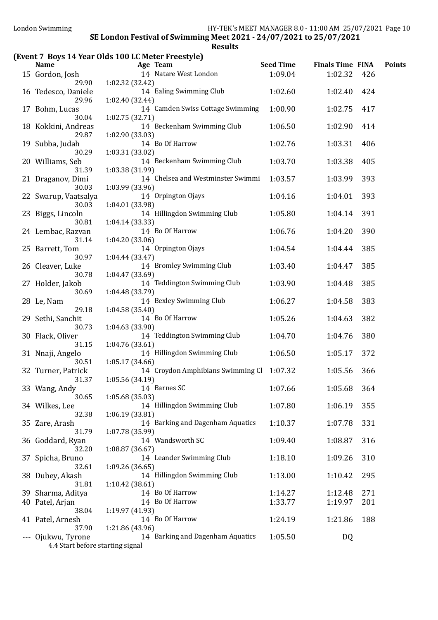# (Event 7 Boys 14 Year Olds 100 LC Meter Freestyle)

| <u>Name</u>                                        | <b>Example 2016</b> Age Team                                 | Seed Time | <b>Finals Time FINA</b> |     | <b>Points</b> |
|----------------------------------------------------|--------------------------------------------------------------|-----------|-------------------------|-----|---------------|
| 15 Gordon, Josh<br>29.90                           | 14 Natare West London<br>1:02.32 (32.42)                     | 1:09.04   | 1:02.32                 | 426 |               |
| 16 Tedesco, Daniele<br>29.96                       | 14 Ealing Swimming Club<br>1:02.40 (32.44)                   | 1:02.60   | 1:02.40                 | 424 |               |
| 17 Bohm, Lucas<br>30.04                            | 14 Camden Swiss Cottage Swimming<br>1:02.75(32.71)           | 1:00.90   | 1:02.75                 | 417 |               |
| 18 Kokkini, Andreas<br>29.87                       | 14 Beckenham Swimming Club<br>1:02.90 (33.03)                | 1:06.50   | 1:02.90                 | 414 |               |
| 19 Subba, Judah<br>30.29                           | 14 Bo Of Harrow                                              | 1:02.76   | 1:03.31                 | 406 |               |
| 20 Williams, Seb<br>31.39                          | 1:03.31 (33.02)<br>14 Beckenham Swimming Club                | 1:03.70   | 1:03.38                 | 405 |               |
| 21 Draganov, Dimi<br>30.03                         | 1:03.38 (31.99)<br>14 Chelsea and Westminster Swimmi         | 1:03.57   | 1:03.99                 | 393 |               |
| 22 Swarup, Vaatsalya<br>30.03                      | 1:03.99 (33.96)<br>14 Orpington Ojays                        | 1:04.16   | 1:04.01                 | 393 |               |
| 23 Biggs, Lincoln                                  | 1:04.01 (33.98)<br>14 Hillingdon Swimming Club               | 1:05.80   | 1:04.14                 | 391 |               |
| 30.81<br>24 Lembac, Razvan                         | 1:04.14 (33.33)<br>14 Bo Of Harrow                           | 1:06.76   | 1:04.20                 | 390 |               |
| 31.14<br>25 Barrett, Tom                           | 1:04.20(33.06)<br>14 Orpington Ojays                         | 1:04.54   | 1:04.44                 | 385 |               |
| 30.97<br>26 Cleaver, Luke                          | 1:04.44 (33.47)<br>14 Bromley Swimming Club                  | 1:03.40   | 1:04.47                 | 385 |               |
| 30.78<br>27 Holder, Jakob                          | 1:04.47 (33.69)<br>14 Teddington Swimming Club               | 1:03.90   | 1:04.48                 | 385 |               |
| 30.69<br>28 Le, Nam                                | 1:04.48 (33.79)<br>14 Bexley Swimming Club                   | 1:06.27   | 1:04.58                 | 383 |               |
| 29.18<br>29 Sethi, Sanchit                         | 1:04.58(35.40)<br>14 Bo Of Harrow                            | 1:05.26   | 1:04.63                 | 382 |               |
| 30.73<br>30 Flack, Oliver                          | 1:04.63 (33.90)<br>14 Teddington Swimming Club               | 1:04.70   | 1:04.76                 | 380 |               |
| 31.15<br>31 Nnaji, Angelo                          | 1:04.76 (33.61)<br>14 Hillingdon Swimming Club               | 1:06.50   | 1:05.17                 | 372 |               |
| 30.51<br>32 Turner, Patrick                        | 1:05.17 (34.66)<br>14 Croydon Amphibians Swimming Cl 1:07.32 |           | 1:05.56                 | 366 |               |
| 31.37<br>33 Wang, Andy                             | 1:05.56 (34.19)<br>14 Barnes SC                              | 1:07.66   | 1:05.68 364             |     |               |
| 30.65<br>34 Wilkes, Lee                            | 1:05.68(35.03)<br>14 Hillingdon Swimming Club                | 1:07.80   | 1:06.19                 | 355 |               |
| 32.38<br>35 Zare, Arash                            | 1:06.19 (33.81)<br>14 Barking and Dagenham Aquatics          | 1:10.37   | 1:07.78                 | 331 |               |
| 31.79<br>36 Goddard, Ryan                          | 1:07.78 (35.99)<br>14 Wandsworth SC                          | 1:09.40   | 1:08.87                 | 316 |               |
| 32.20<br>37 Spicha, Bruno                          | 1:08.87 (36.67)<br>14 Leander Swimming Club                  | 1:18.10   | 1:09.26                 | 310 |               |
| 32.61<br>38 Dubey, Akash                           | 1:09.26(36.65)<br>14 Hillingdon Swimming Club                | 1:13.00   | 1:10.42                 | 295 |               |
| 31.81<br>39 Sharma, Aditya                         | 1:10.42 (38.61)<br>14 Bo Of Harrow                           | 1:14.27   | 1:12.48                 | 271 |               |
| 40 Patel, Arjan<br>38.04                           | 14 Bo Of Harrow<br>1:19.97 (41.93)                           | 1:33.77   | 1:19.97                 | 201 |               |
| 41 Patel, Arnesh<br>37.90                          | 14 Bo Of Harrow<br>1:21.86 (43.96)                           | 1:24.19   | 1:21.86                 | 188 |               |
| Ojukwu, Tyrone<br>4.4 Start before starting signal | 14 Barking and Dagenham Aquatics                             | 1:05.50   | DQ                      |     |               |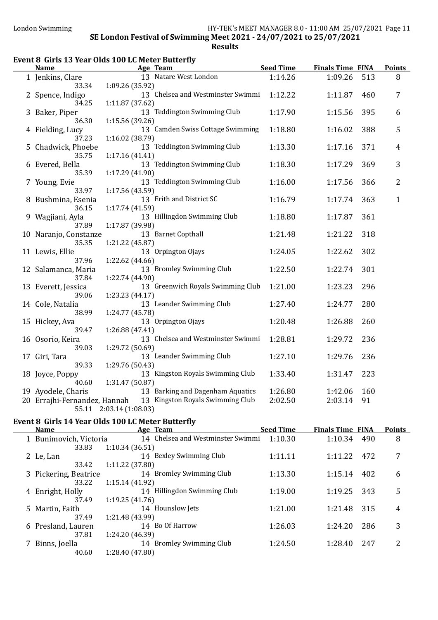### Event 8 Girls 13 Year Olds 100 LC Meter Butterfly

| 13 Natare West London<br>1:14.26<br>1:09.26<br>513<br>8<br>1 Jenkins, Clare<br>33.34<br>1:09.26 (35.92)<br>13 Chelsea and Westminster Swimmi<br>1:12.22<br>7<br>2 Spence, Indigo<br>1:11.87<br>460<br>34.25<br>1:11.87 (37.62)<br>13 Teddington Swimming Club<br>1:17.90<br>3 Baker, Piper<br>1:15.56<br>395<br>6<br>36.30<br>1:15.56 (39.26)<br>13 Camden Swiss Cottage Swimming<br>1:18.80<br>5<br>4 Fielding, Lucy<br>1:16.02<br>388<br>37.23<br>1:16.02 (38.79)<br>13 Teddington Swimming Club<br>1:13.30<br>5 Chadwick, Phoebe<br>1:17.16<br>371<br>$\overline{4}$<br>35.75<br>1:17.16(41.41)<br>13 Teddington Swimming Club<br>1:18.30<br>3<br>6 Evered, Bella<br>1:17.29<br>369<br>35.39<br>1:17.29 (41.90)<br>13 Teddington Swimming Club<br>$\overline{2}$<br>1:16.00<br>1:17.56<br>366<br>7 Young, Evie<br>33.97<br>1:17.56 (43.59)<br>13 Erith and District SC<br>8 Bushmina, Esenia<br>1:16.79<br>1:17.74<br>363<br>$\mathbf{1}$<br>36.15<br>1:17.74 (41.59)<br>13 Hillingdon Swimming Club<br>1:18.80<br>9 Wagjiani, Ayla<br>1:17.87<br>361<br>1:17.87 (39.98)<br>37.89<br>13 Barnet Copthall<br>318<br>10 Naranjo, Constanze<br>1:21.48<br>1:21.22<br>35.35<br>1:21.22 (45.87)<br>13 Orpington Ojays<br>302<br>11 Lewis, Ellie<br>1:24.05<br>1:22.62<br>37.96<br>1:22.62 (44.66)<br>13 Bromley Swimming Club<br>1:22.50<br>1:22.74<br>301<br>12 Salamanca, Maria<br>37.84<br>1:22.74 (44.90)<br>13 Greenwich Royals Swimming Club<br>1:21.00<br>1:23.23<br>296<br>13 Everett, Jessica<br>39.06<br>1:23.23 (44.17)<br>13 Leander Swimming Club<br>1:27.40<br>280<br>14 Cole, Natalia<br>1:24.77<br>38.99<br>1:24.77 (45.78)<br>13 Orpington Ojays<br>260<br>15 Hickey, Ava<br>1:20.48<br>1:26.88<br>1:26.88 (47.41)<br>39.47<br>13 Chelsea and Westminster Swimmi<br>1:28.81<br>1:29.72<br>236<br>16 Osorio, Keira<br>39.03<br>1:29.72 (50.69)<br>13 Leander Swimming Club<br>236<br>1:27.10<br>1:29.76<br>17 Giri, Tara<br>1:29.76 (50.43)<br>39.33<br>13 Kingston Royals Swimming Club<br>1:33.40<br>223<br>18 Joyce, Poppy<br>1:31.47<br>40.60<br>1:31.47 (50.87)<br>13 Barking and Dagenham Aquatics<br>19 Ayodele, Charis<br>1:26.80<br>1:42.06<br>160<br>20 Errajhi-Fernandez, Hannah 13 Kingston Royals Swimming Club<br>2:02.50<br>2:03.14<br>91<br>55.11 2:03.14 (1:08.03) |  | <b>Name</b> | Age Team | <b>Seed Time</b> | <b>Finals Time FINA</b> | <b>Points</b> |
|--------------------------------------------------------------------------------------------------------------------------------------------------------------------------------------------------------------------------------------------------------------------------------------------------------------------------------------------------------------------------------------------------------------------------------------------------------------------------------------------------------------------------------------------------------------------------------------------------------------------------------------------------------------------------------------------------------------------------------------------------------------------------------------------------------------------------------------------------------------------------------------------------------------------------------------------------------------------------------------------------------------------------------------------------------------------------------------------------------------------------------------------------------------------------------------------------------------------------------------------------------------------------------------------------------------------------------------------------------------------------------------------------------------------------------------------------------------------------------------------------------------------------------------------------------------------------------------------------------------------------------------------------------------------------------------------------------------------------------------------------------------------------------------------------------------------------------------------------------------------------------------------------------------------------------------------------------------------------------------------------------------------------------------------------------------------------------------------------------------------------------------------------------------------------------------------------------------------------------------------------------------------------------------------------|--|-------------|----------|------------------|-------------------------|---------------|
|                                                                                                                                                                                                                                                                                                                                                                                                                                                                                                                                                                                                                                                                                                                                                                                                                                                                                                                                                                                                                                                                                                                                                                                                                                                                                                                                                                                                                                                                                                                                                                                                                                                                                                                                                                                                                                                                                                                                                                                                                                                                                                                                                                                                                                                                                                  |  |             |          |                  |                         |               |
|                                                                                                                                                                                                                                                                                                                                                                                                                                                                                                                                                                                                                                                                                                                                                                                                                                                                                                                                                                                                                                                                                                                                                                                                                                                                                                                                                                                                                                                                                                                                                                                                                                                                                                                                                                                                                                                                                                                                                                                                                                                                                                                                                                                                                                                                                                  |  |             |          |                  |                         |               |
|                                                                                                                                                                                                                                                                                                                                                                                                                                                                                                                                                                                                                                                                                                                                                                                                                                                                                                                                                                                                                                                                                                                                                                                                                                                                                                                                                                                                                                                                                                                                                                                                                                                                                                                                                                                                                                                                                                                                                                                                                                                                                                                                                                                                                                                                                                  |  |             |          |                  |                         |               |
|                                                                                                                                                                                                                                                                                                                                                                                                                                                                                                                                                                                                                                                                                                                                                                                                                                                                                                                                                                                                                                                                                                                                                                                                                                                                                                                                                                                                                                                                                                                                                                                                                                                                                                                                                                                                                                                                                                                                                                                                                                                                                                                                                                                                                                                                                                  |  |             |          |                  |                         |               |
|                                                                                                                                                                                                                                                                                                                                                                                                                                                                                                                                                                                                                                                                                                                                                                                                                                                                                                                                                                                                                                                                                                                                                                                                                                                                                                                                                                                                                                                                                                                                                                                                                                                                                                                                                                                                                                                                                                                                                                                                                                                                                                                                                                                                                                                                                                  |  |             |          |                  |                         |               |
|                                                                                                                                                                                                                                                                                                                                                                                                                                                                                                                                                                                                                                                                                                                                                                                                                                                                                                                                                                                                                                                                                                                                                                                                                                                                                                                                                                                                                                                                                                                                                                                                                                                                                                                                                                                                                                                                                                                                                                                                                                                                                                                                                                                                                                                                                                  |  |             |          |                  |                         |               |
|                                                                                                                                                                                                                                                                                                                                                                                                                                                                                                                                                                                                                                                                                                                                                                                                                                                                                                                                                                                                                                                                                                                                                                                                                                                                                                                                                                                                                                                                                                                                                                                                                                                                                                                                                                                                                                                                                                                                                                                                                                                                                                                                                                                                                                                                                                  |  |             |          |                  |                         |               |
|                                                                                                                                                                                                                                                                                                                                                                                                                                                                                                                                                                                                                                                                                                                                                                                                                                                                                                                                                                                                                                                                                                                                                                                                                                                                                                                                                                                                                                                                                                                                                                                                                                                                                                                                                                                                                                                                                                                                                                                                                                                                                                                                                                                                                                                                                                  |  |             |          |                  |                         |               |
|                                                                                                                                                                                                                                                                                                                                                                                                                                                                                                                                                                                                                                                                                                                                                                                                                                                                                                                                                                                                                                                                                                                                                                                                                                                                                                                                                                                                                                                                                                                                                                                                                                                                                                                                                                                                                                                                                                                                                                                                                                                                                                                                                                                                                                                                                                  |  |             |          |                  |                         |               |
|                                                                                                                                                                                                                                                                                                                                                                                                                                                                                                                                                                                                                                                                                                                                                                                                                                                                                                                                                                                                                                                                                                                                                                                                                                                                                                                                                                                                                                                                                                                                                                                                                                                                                                                                                                                                                                                                                                                                                                                                                                                                                                                                                                                                                                                                                                  |  |             |          |                  |                         |               |
|                                                                                                                                                                                                                                                                                                                                                                                                                                                                                                                                                                                                                                                                                                                                                                                                                                                                                                                                                                                                                                                                                                                                                                                                                                                                                                                                                                                                                                                                                                                                                                                                                                                                                                                                                                                                                                                                                                                                                                                                                                                                                                                                                                                                                                                                                                  |  |             |          |                  |                         |               |
|                                                                                                                                                                                                                                                                                                                                                                                                                                                                                                                                                                                                                                                                                                                                                                                                                                                                                                                                                                                                                                                                                                                                                                                                                                                                                                                                                                                                                                                                                                                                                                                                                                                                                                                                                                                                                                                                                                                                                                                                                                                                                                                                                                                                                                                                                                  |  |             |          |                  |                         |               |
|                                                                                                                                                                                                                                                                                                                                                                                                                                                                                                                                                                                                                                                                                                                                                                                                                                                                                                                                                                                                                                                                                                                                                                                                                                                                                                                                                                                                                                                                                                                                                                                                                                                                                                                                                                                                                                                                                                                                                                                                                                                                                                                                                                                                                                                                                                  |  |             |          |                  |                         |               |
|                                                                                                                                                                                                                                                                                                                                                                                                                                                                                                                                                                                                                                                                                                                                                                                                                                                                                                                                                                                                                                                                                                                                                                                                                                                                                                                                                                                                                                                                                                                                                                                                                                                                                                                                                                                                                                                                                                                                                                                                                                                                                                                                                                                                                                                                                                  |  |             |          |                  |                         |               |
|                                                                                                                                                                                                                                                                                                                                                                                                                                                                                                                                                                                                                                                                                                                                                                                                                                                                                                                                                                                                                                                                                                                                                                                                                                                                                                                                                                                                                                                                                                                                                                                                                                                                                                                                                                                                                                                                                                                                                                                                                                                                                                                                                                                                                                                                                                  |  |             |          |                  |                         |               |
|                                                                                                                                                                                                                                                                                                                                                                                                                                                                                                                                                                                                                                                                                                                                                                                                                                                                                                                                                                                                                                                                                                                                                                                                                                                                                                                                                                                                                                                                                                                                                                                                                                                                                                                                                                                                                                                                                                                                                                                                                                                                                                                                                                                                                                                                                                  |  |             |          |                  |                         |               |
|                                                                                                                                                                                                                                                                                                                                                                                                                                                                                                                                                                                                                                                                                                                                                                                                                                                                                                                                                                                                                                                                                                                                                                                                                                                                                                                                                                                                                                                                                                                                                                                                                                                                                                                                                                                                                                                                                                                                                                                                                                                                                                                                                                                                                                                                                                  |  |             |          |                  |                         |               |
|                                                                                                                                                                                                                                                                                                                                                                                                                                                                                                                                                                                                                                                                                                                                                                                                                                                                                                                                                                                                                                                                                                                                                                                                                                                                                                                                                                                                                                                                                                                                                                                                                                                                                                                                                                                                                                                                                                                                                                                                                                                                                                                                                                                                                                                                                                  |  |             |          |                  |                         |               |
|                                                                                                                                                                                                                                                                                                                                                                                                                                                                                                                                                                                                                                                                                                                                                                                                                                                                                                                                                                                                                                                                                                                                                                                                                                                                                                                                                                                                                                                                                                                                                                                                                                                                                                                                                                                                                                                                                                                                                                                                                                                                                                                                                                                                                                                                                                  |  |             |          |                  |                         |               |
|                                                                                                                                                                                                                                                                                                                                                                                                                                                                                                                                                                                                                                                                                                                                                                                                                                                                                                                                                                                                                                                                                                                                                                                                                                                                                                                                                                                                                                                                                                                                                                                                                                                                                                                                                                                                                                                                                                                                                                                                                                                                                                                                                                                                                                                                                                  |  |             |          |                  |                         |               |
|                                                                                                                                                                                                                                                                                                                                                                                                                                                                                                                                                                                                                                                                                                                                                                                                                                                                                                                                                                                                                                                                                                                                                                                                                                                                                                                                                                                                                                                                                                                                                                                                                                                                                                                                                                                                                                                                                                                                                                                                                                                                                                                                                                                                                                                                                                  |  |             |          |                  |                         |               |
|                                                                                                                                                                                                                                                                                                                                                                                                                                                                                                                                                                                                                                                                                                                                                                                                                                                                                                                                                                                                                                                                                                                                                                                                                                                                                                                                                                                                                                                                                                                                                                                                                                                                                                                                                                                                                                                                                                                                                                                                                                                                                                                                                                                                                                                                                                  |  |             |          |                  |                         |               |
|                                                                                                                                                                                                                                                                                                                                                                                                                                                                                                                                                                                                                                                                                                                                                                                                                                                                                                                                                                                                                                                                                                                                                                                                                                                                                                                                                                                                                                                                                                                                                                                                                                                                                                                                                                                                                                                                                                                                                                                                                                                                                                                                                                                                                                                                                                  |  |             |          |                  |                         |               |
|                                                                                                                                                                                                                                                                                                                                                                                                                                                                                                                                                                                                                                                                                                                                                                                                                                                                                                                                                                                                                                                                                                                                                                                                                                                                                                                                                                                                                                                                                                                                                                                                                                                                                                                                                                                                                                                                                                                                                                                                                                                                                                                                                                                                                                                                                                  |  |             |          |                  |                         |               |
|                                                                                                                                                                                                                                                                                                                                                                                                                                                                                                                                                                                                                                                                                                                                                                                                                                                                                                                                                                                                                                                                                                                                                                                                                                                                                                                                                                                                                                                                                                                                                                                                                                                                                                                                                                                                                                                                                                                                                                                                                                                                                                                                                                                                                                                                                                  |  |             |          |                  |                         |               |
|                                                                                                                                                                                                                                                                                                                                                                                                                                                                                                                                                                                                                                                                                                                                                                                                                                                                                                                                                                                                                                                                                                                                                                                                                                                                                                                                                                                                                                                                                                                                                                                                                                                                                                                                                                                                                                                                                                                                                                                                                                                                                                                                                                                                                                                                                                  |  |             |          |                  |                         |               |
|                                                                                                                                                                                                                                                                                                                                                                                                                                                                                                                                                                                                                                                                                                                                                                                                                                                                                                                                                                                                                                                                                                                                                                                                                                                                                                                                                                                                                                                                                                                                                                                                                                                                                                                                                                                                                                                                                                                                                                                                                                                                                                                                                                                                                                                                                                  |  |             |          |                  |                         |               |
|                                                                                                                                                                                                                                                                                                                                                                                                                                                                                                                                                                                                                                                                                                                                                                                                                                                                                                                                                                                                                                                                                                                                                                                                                                                                                                                                                                                                                                                                                                                                                                                                                                                                                                                                                                                                                                                                                                                                                                                                                                                                                                                                                                                                                                                                                                  |  |             |          |                  |                         |               |
|                                                                                                                                                                                                                                                                                                                                                                                                                                                                                                                                                                                                                                                                                                                                                                                                                                                                                                                                                                                                                                                                                                                                                                                                                                                                                                                                                                                                                                                                                                                                                                                                                                                                                                                                                                                                                                                                                                                                                                                                                                                                                                                                                                                                                                                                                                  |  |             |          |                  |                         |               |
|                                                                                                                                                                                                                                                                                                                                                                                                                                                                                                                                                                                                                                                                                                                                                                                                                                                                                                                                                                                                                                                                                                                                                                                                                                                                                                                                                                                                                                                                                                                                                                                                                                                                                                                                                                                                                                                                                                                                                                                                                                                                                                                                                                                                                                                                                                  |  |             |          |                  |                         |               |
|                                                                                                                                                                                                                                                                                                                                                                                                                                                                                                                                                                                                                                                                                                                                                                                                                                                                                                                                                                                                                                                                                                                                                                                                                                                                                                                                                                                                                                                                                                                                                                                                                                                                                                                                                                                                                                                                                                                                                                                                                                                                                                                                                                                                                                                                                                  |  |             |          |                  |                         |               |
|                                                                                                                                                                                                                                                                                                                                                                                                                                                                                                                                                                                                                                                                                                                                                                                                                                                                                                                                                                                                                                                                                                                                                                                                                                                                                                                                                                                                                                                                                                                                                                                                                                                                                                                                                                                                                                                                                                                                                                                                                                                                                                                                                                                                                                                                                                  |  |             |          |                  |                         |               |
|                                                                                                                                                                                                                                                                                                                                                                                                                                                                                                                                                                                                                                                                                                                                                                                                                                                                                                                                                                                                                                                                                                                                                                                                                                                                                                                                                                                                                                                                                                                                                                                                                                                                                                                                                                                                                                                                                                                                                                                                                                                                                                                                                                                                                                                                                                  |  |             |          |                  |                         |               |
|                                                                                                                                                                                                                                                                                                                                                                                                                                                                                                                                                                                                                                                                                                                                                                                                                                                                                                                                                                                                                                                                                                                                                                                                                                                                                                                                                                                                                                                                                                                                                                                                                                                                                                                                                                                                                                                                                                                                                                                                                                                                                                                                                                                                                                                                                                  |  |             |          |                  |                         |               |
|                                                                                                                                                                                                                                                                                                                                                                                                                                                                                                                                                                                                                                                                                                                                                                                                                                                                                                                                                                                                                                                                                                                                                                                                                                                                                                                                                                                                                                                                                                                                                                                                                                                                                                                                                                                                                                                                                                                                                                                                                                                                                                                                                                                                                                                                                                  |  |             |          |                  |                         |               |
|                                                                                                                                                                                                                                                                                                                                                                                                                                                                                                                                                                                                                                                                                                                                                                                                                                                                                                                                                                                                                                                                                                                                                                                                                                                                                                                                                                                                                                                                                                                                                                                                                                                                                                                                                                                                                                                                                                                                                                                                                                                                                                                                                                                                                                                                                                  |  |             |          |                  |                         |               |
|                                                                                                                                                                                                                                                                                                                                                                                                                                                                                                                                                                                                                                                                                                                                                                                                                                                                                                                                                                                                                                                                                                                                                                                                                                                                                                                                                                                                                                                                                                                                                                                                                                                                                                                                                                                                                                                                                                                                                                                                                                                                                                                                                                                                                                                                                                  |  |             |          |                  |                         |               |
|                                                                                                                                                                                                                                                                                                                                                                                                                                                                                                                                                                                                                                                                                                                                                                                                                                                                                                                                                                                                                                                                                                                                                                                                                                                                                                                                                                                                                                                                                                                                                                                                                                                                                                                                                                                                                                                                                                                                                                                                                                                                                                                                                                                                                                                                                                  |  |             |          |                  |                         |               |

### Event 8 Girls 14 Year Olds 100 LC Meter Butterfly

| Event o mills I'm fear thus fou LC meter Butterily |                        |                                   |                  |                         |     |               |  |  |
|----------------------------------------------------|------------------------|-----------------------------------|------------------|-------------------------|-----|---------------|--|--|
|                                                    | <b>Name</b>            | Age Team                          | <b>Seed Time</b> | <b>Finals Time FINA</b> |     | <b>Points</b> |  |  |
|                                                    | 1 Bunimovich, Victoria | 14 Chelsea and Westminster Swimmi | 1:10.30          | 1:10.34                 | 490 | 8             |  |  |
|                                                    | 33.83                  | 1:10.34(36.51)                    |                  |                         |     |               |  |  |
|                                                    | 2 Le, Lan              | 14 Bexley Swimming Club           | 1:11.11          | 1:11.22                 | 472 | 7             |  |  |
|                                                    | 33.42                  | 1:11.22(37.80)                    |                  |                         |     |               |  |  |
|                                                    | 3 Pickering, Beatrice  | 14 Bromley Swimming Club          | 1:13.30          | 1:15.14                 | 402 | 6             |  |  |
|                                                    | 33.22                  | 1:15.14(41.92)                    |                  |                         |     |               |  |  |
|                                                    | 4 Enright, Holly       | 14 Hillingdon Swimming Club       | 1:19.00          | 1:19.25                 | 343 | 5             |  |  |
|                                                    | 37.49                  | 1:19.25(41.76)                    |                  |                         |     |               |  |  |
|                                                    | 5 Martin, Faith        | 14 Hounslow Jets                  | 1:21.00          | 1:21.48                 | 315 | 4             |  |  |
|                                                    | 37.49                  | 1:21.48 (43.99)                   |                  |                         |     |               |  |  |
|                                                    | 6 Presland, Lauren     | 14 Bo Of Harrow                   | 1:26.03          | 1:24.20                 | 286 | 3             |  |  |
|                                                    | 37.81                  | 1:24.20 (46.39)                   |                  |                         |     |               |  |  |
|                                                    | 7 Binns, Joella        | 14 Bromley Swimming Club          | 1:24.50          | 1:28.40                 | 247 | 2             |  |  |
|                                                    | 40.60                  | 1:28.40 (47.80)                   |                  |                         |     |               |  |  |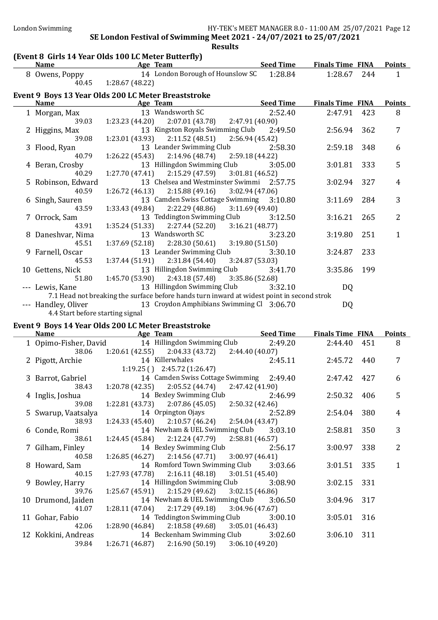$\overline{\phantom{a}}$ 

### SE London Festival of Swimming Meet 2021 - 24/07/2021 to 25/07/2021 Results

### (Event 8 Girls 14 Year Olds 100 LC Meter Butterfly)

| <b>Name</b>                                         | Age Team                         | <b>Seed Time</b> | <b>Finals Time FINA</b> | <b>Points</b> |  |  |  |  |  |
|-----------------------------------------------------|----------------------------------|------------------|-------------------------|---------------|--|--|--|--|--|
| 8 Owens, Poppy                                      | 14 London Borough of Hounslow SC | 1:28.84          | 244<br>1:28.67          |               |  |  |  |  |  |
| 40.45                                               | 1:28.67(48.22)                   |                  |                         |               |  |  |  |  |  |
| Event 9 Boys 13 Year Olds 200 LC Meter Breaststroke |                                  |                  |                         |               |  |  |  |  |  |
| <b>Name</b>                                         | Age Team                         | <b>Seed Time</b> | <b>Finals Time FINA</b> | <b>Points</b> |  |  |  |  |  |

| name                             | $\frac{115}{115}$ items                                                                    | <u>been been time</u>                    | THURD THUC THAT |     | 1 VIIILY     |
|----------------------------------|--------------------------------------------------------------------------------------------|------------------------------------------|-----------------|-----|--------------|
|                                  | 1 Morgan, Max 13 Wandsworth SC                                                             | 2:52.40                                  | 2:47.91 423     |     | 8            |
| 39.03                            | $1:23.23(44.20)$ $2:07.01(43.78)$ $2:47.91(40.90)$                                         |                                          |                 |     |              |
| 2 Higgins, Max                   |                                                                                            | 13 Kingston Royals Swimming Club 2:49.50 | 2:56.94         | 362 | 7            |
| 39.08                            | $1:23.01(43.93)$ $2:11.52(48.51)$ $2:56.94(45.42)$                                         |                                          |                 |     |              |
| 3 Flood, Ryan                    | 13 Leander Swimming Club 2:58.30                                                           |                                          | 2:59.18         | 348 | 6            |
| 40.79                            | $1:26.22(45.43)$ $2:14.96(48.74)$ $2:59.18(44.22)$                                         |                                          |                 |     |              |
| 4 Beran, Crosby                  | 13 Hillingdon Swimming Club 3:05.00                                                        |                                          | 3:01.81         | 333 | 5            |
| 40.29                            | $1:27.70(47.41)$ $2:15.29(47.59)$ $3:01.81(46.52)$                                         |                                          |                 |     |              |
| 5 Robinson, Edward               | 13 Chelsea and Westminster Swimmi 2:57.75                                                  |                                          | 3:02.94         | 327 | 4            |
| 40.59                            | $1:26.72$ (46.13) $2:15.88$ (49.16) $3:02.94$ (47.06)                                      |                                          |                 |     |              |
| 6 Singh, Sauren                  | 13 Camden Swiss Cottage Swimming 3:10.80                                                   |                                          | 3:11.69 284     |     | 3            |
| 43.59                            | $1:33.43(49.84)$ $2:22.29(48.86)$ $3:11.69(49.40)$                                         |                                          |                 |     |              |
| 7 Orrock, Sam                    | 13 Teddington Swimming Club 3:12.50                                                        |                                          | $3:16.21$ 265   |     | 2            |
| 43.91                            | $1:35.24(51.33)$ $2:27.44(52.20)$ $3:16.21(48.77)$                                         |                                          |                 |     |              |
| 8 Daneshvar, Nima                | 13 Wandsworth SC                                                                           | 3:23.20                                  | 3:19.80 251     |     | $\mathbf{1}$ |
| 45.51                            | $1:37.69$ (52.18) $2:28.30$ (50.61) $3:19.80$ (51.50)                                      |                                          |                 |     |              |
| 9 Farnell, Oscar                 | 13 Leander Swimming Club                                                                   | 3:30.10                                  | 3:24.87 233     |     |              |
| 45.53                            | $1:37.44(51.91)$ $2:31.84(54.40)$ $3:24.87(53.03)$                                         |                                          |                 |     |              |
|                                  | 10 Gettens, Nick 13 Hillingdon Swimming Club 3:41.70                                       |                                          | 3:35.86 199     |     |              |
|                                  | 51.80   1:45.70 (53.90)   2:43.18 (57.48)   3:35.86 (52.68)                                |                                          |                 |     |              |
|                                  | --- Lewis, Kane 13 Hillingdon Swimming Club 3:32.10                                        |                                          | DQ              |     |              |
|                                  | 7.1 Head not breaking the surface before hands turn inward at widest point in second strok |                                          |                 |     |              |
|                                  | --- Handley, Oliver 13 Croydon Amphibians Swimming Cl 3:06.70                              |                                          | DQ              |     |              |
| 4.4 Start before starting signal |                                                                                            |                                          |                 |     |              |

### Event 9 Boys 14 Year Olds 200 LC Meter Breaststroke

| <b>Name</b>         | Age Team                                                  | <u>Seed Time</u> | <b>Finals Time FINA</b> |     | <b>Points</b>  |
|---------------------|-----------------------------------------------------------|------------------|-------------------------|-----|----------------|
|                     | 1 Opimo-Fisher, David 14 Hillingdon Swimming Club 2:49.20 |                  | 2:44.40 451             |     | 8              |
| 38.06               | $1:20.61(42.55)$ $2:04.33(43.72)$ $2:44.40(40.07)$        |                  |                         |     |                |
| 2 Pigott, Archie    | 14 Killerwhales                                           | 2:45.11          | 2:45.72 440             |     | 7              |
|                     | $1:19.25$ ( ) $2:45.72$ (1:26.47)                         |                  |                         |     |                |
| 3 Barrot, Gabriel   | 14 Camden Swiss Cottage Swimming 2:49.40                  |                  | 2:47.42 427             |     | 6              |
| 38.43               | $1:20.78(42.35)$ $2:05.52(44.74)$ $2:47.42(41.90)$        |                  |                         |     |                |
| 4 Inglis, Joshua    | 14 Bexley Swimming Club 2:46.99                           |                  | 2:50.32                 | 406 | 5              |
| 39.08               | $1:22.81(43.73)$ $2:07.86(45.05)$ $2:50.32(42.46)$        |                  |                         |     |                |
| 5 Swarup, Vaatsalya | 14 Orpington Ojays 2:52.89                                |                  | 2:54.04                 | 380 | 4              |
| 38.93               | $1:24.33(45.40)$ $2:10.57(46.24)$ $2:54.04(43.47)$        |                  |                         |     |                |
| 6 Conde, Romi       | 14 Newham & UEL Swimming Club 3:03.10                     |                  | 2:58.81                 | 350 | 3              |
| 38.61               | $1:24.45(45.84)$ $2:12.24(47.79)$ $2:58.81(46.57)$        |                  |                         |     |                |
| 7 Gilham, Finley    | 14 Bexley Swimming Club 2:56.17                           |                  | 3:00.97                 | 338 | $\overline{2}$ |
| 40.58               | 1:26.85 (46.27) 2:14.56 (47.71) 3:00.97 (46.41)           |                  |                         |     |                |
| 8 Howard, Sam       | 14 Romford Town Swimming Club 3:03.66                     |                  | 3:01.51                 | 335 | $\mathbf{1}$   |
| 40.15               | $1:27.93(47.78)$ $2:16.11(48.18)$ $3:01.51(45.40)$        |                  |                         |     |                |
| 9 Bowley, Harry     | 14 Hillingdon Swimming Club 3:08.90                       |                  | 3:02.15 331             |     |                |
| 39.76               | $1:25.67(45.91)$ $2:15.29(49.62)$ $3:02.15(46.86)$        |                  |                         |     |                |
| 10 Drumond, Jaiden  | 14 Newham & UEL Swimming Club 3:06.50                     |                  | 3:04.96                 | 317 |                |
| 41.07               | $1:28.11(47.04)$ $2:17.29(49.18)$ $3:04.96(47.67)$        |                  |                         |     |                |
| 11 Gohar, Fabio     | 14 Teddington Swimming Club                               | 3:00.10          | 3:05.01                 | 316 |                |
| 42.06               | $1:28.90(46.84)$ $2:18.58(49.68)$ $3:05.01(46.43)$        |                  |                         |     |                |
| 12 Kokkini, Andreas | 14 Beckenham Swimming Club 3:02.60                        |                  | 3:06.10                 | 311 |                |
| 39.84               | $1:26.71(46.87)$ $2:16.90(50.19)$ $3:06.10(49.20)$        |                  |                         |     |                |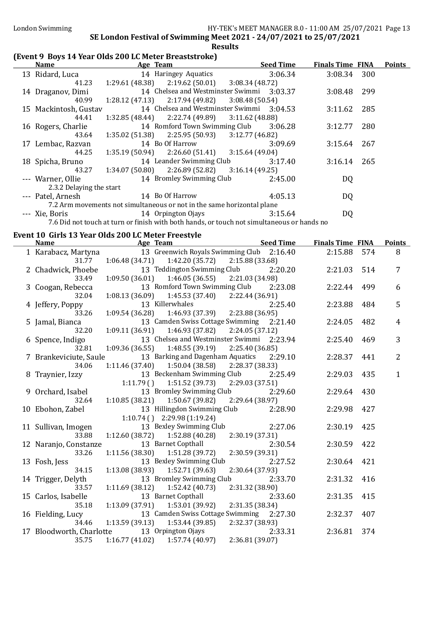### (Event 9 Boys 14 Year Olds 200 LC Meter Breaststroke)

| <b>Name</b>           |                          | Age Team                                                               | <b>Seed Time</b> | <b>Finals Time FINA</b> |     | <b>Points</b> |
|-----------------------|--------------------------|------------------------------------------------------------------------|------------------|-------------------------|-----|---------------|
| 13 Ridard, Luca       |                          | 14 Haringey Aquatics                                                   | 3:06.34          | 3:08.34 300             |     |               |
|                       | 41.23                    | $1:29.61(48.38)$ $2:19.62(50.01)$ $3:08.34(48.72)$                     |                  |                         |     |               |
| 14 Draganov, Dimi     |                          | 14 Chelsea and Westminster Swimmi 3:03.37                              |                  | 3:08.48                 | 299 |               |
|                       | 40.99                    | $1:28.12(47.13)$ $2:17.94(49.82)$ $3:08.48(50.54)$                     |                  |                         |     |               |
| 15 Mackintosh, Gustav |                          | 14 Chelsea and Westminster Swimmi 3:04.53                              |                  | 3:11.62                 | 285 |               |
|                       | 44.41                    | $1:32.85(48.44)$ $2:22.74(49.89)$ $3:11.62(48.88)$                     |                  |                         |     |               |
| 16 Rogers, Charlie    |                          | 14 Romford Town Swimming Club                                          | 3:06.28          | 3:12.77                 | 280 |               |
|                       | 43.64                    | $1:35.02(51.38)$ $2:25.95(50.93)$ $3:12.77(46.82)$                     |                  |                         |     |               |
| 17 Lembac, Razvan     |                          | 14 Bo Of Harrow                                                        | 3:09.69          | 3:15.64                 | 267 |               |
|                       | 44.25                    | $1:35.19(50.94)$ $2:26.60(51.41)$ $3:15.64(49.04)$                     |                  |                         |     |               |
| 18 Spicha, Bruno      |                          | 14 Leander Swimming Club                                               | 3:17.40          | 3:16.14                 | 265 |               |
|                       | 43.27                    | $1:34.07(50.80)$ $2:26.89(52.82)$ $3:16.14(49.25)$                     |                  |                         |     |               |
| --- Warner, Ollie     |                          | 14 Bromley Swimming Club                                               | 2:45.00          | DQ                      |     |               |
|                       | 2.3.2 Delaying the start |                                                                        |                  |                         |     |               |
| --- Patel, Arnesh     |                          | 14 Bo Of Harrow                                                        | 4:05.13          | DQ                      |     |               |
|                       |                          | 7.2 Arm movements not simultaneous or not in the same horizontal plane |                  |                         |     |               |
| --- Xie, Boris        |                          | 14 Orpington Ojays                                                     | 3:15.64          | DQ                      |     |               |
|                       |                          |                                                                        |                  |                         |     |               |

7.6 Did not touch at turn or finish with both hands, or touch not simultaneous or hands no

### Event 10 Girls 13 Year Olds 200 LC Meter Freestyle

| <b>Name</b>            | Age Team                                                   | <b>Seed Time</b> | <b>Finals Time FINA</b> |     | <b>Points</b>  |
|------------------------|------------------------------------------------------------|------------------|-------------------------|-----|----------------|
| 1 Karabacz, Martyna    | 13 Greenwich Royals Swimming Club 2:16.40                  |                  | 2:15.88 574             |     | 8              |
| 31.77                  | $1:06.48(34.71)$ $1:42.20(35.72)$                          | 2:15.88(33.68)   |                         |     |                |
| 2 Chadwick, Phoebe     | 13 Teddington Swimming Club                                | 2:20.20          | 2:21.03                 | 514 | $\overline{7}$ |
| 33.49                  | 1:09.50(36.01)<br>1:46.05(36.55)                           | 2:21.03 (34.98)  |                         |     |                |
| 3 Coogan, Rebecca      | 13 Romford Town Swimming Club                              | 2:23.08          | 2:22.44                 | 499 | 6              |
| 32.04                  | $1:08.13(36.09)$ $1:45.53(37.40)$ $2:22.44(36.91)$         |                  |                         |     |                |
| 4 Jeffery, Poppy       | 13 Killerwhales                                            | 2:25.40          | 2:23.88                 | 484 | 5              |
| 33.26                  | 2:2<br>2:2 1:09.54 (36.28) 1:46.93 (37.39) 1:09.54 (36.28) |                  |                         |     |                |
| 5 Jamal, Bianca        | 13 Camden Swiss Cottage Swimming 2:21.40                   |                  | 2:24.05                 | 482 | $\overline{4}$ |
| 32.20                  | $1:09.11(36.91)$ $1:46.93(37.82)$                          | 2:24.05(37.12)   |                         |     |                |
| 6 Spence, Indigo       | 13 Chelsea and Westminster Swimmi 2:23.94                  |                  | 2:25.40                 | 469 | 3              |
| 32.81                  | $1:09.36(36.55)$ $1:48.55(39.19)$                          | 2:25.40 (36.85)  |                         |     |                |
| 7 Brankeviciute, Saule | 13 Barking and Dagenham Aquatics                           | 2:29.10          | 2:28.37                 | 441 | $\overline{2}$ |
| 34.06                  | $1:11.46(37.40)$ $1:50.04(38.58)$ $2:28.37(38.33)$         |                  |                         |     |                |
| 8 Traynier, Izzy       | 13 Beckenham Swimming Club                                 | 2:25.49          | 2:29.03                 | 435 | $\mathbf{1}$   |
|                        | 1:11.79()<br>1:51.52(39.73)                                | 2:29.03 (37.51)  |                         |     |                |
| 9 Orchard, Isabel      | 13 Bromley Swimming Club                                   | 2:29.60          | 2:29.64                 | 430 |                |
| 32.64                  | 1:10.85(38.21)<br>1:50.67(39.82)                           | 2:29.64 (38.97)  |                         |     |                |
| 10 Ebohon, Zabel       | 13 Hillingdon Swimming Club                                | 2:28.90          | 2:29.98                 | 427 |                |
|                        | $1:10.74$ () $2:29.98$ (1:19.24)                           |                  |                         |     |                |
| 11 Sullivan, Imogen    | 13 Bexley Swimming Club                                    | 2:27.06          | 2:30.19                 | 425 |                |
| 33.88                  | $1:12.60$ (38.72) $1:52.88$ (40.28)                        | 2:30.19 (37.31)  |                         |     |                |
| 12 Naranjo, Constanze  | 13 Barnet Copthall                                         | 2:30.54          | 2:30.59                 | 422 |                |
| 33.26                  | 1:11.56(38.30)<br>1:51.28(39.72)                           | 2:30.59 (39.31)  |                         |     |                |
| 13 Fosh, Jess          | 13 Bexley Swimming Club                                    | 2:27.52          | 2:30.64                 | 421 |                |
| 34.15                  | $1:13.08(38.93)$ $1:52.71(39.63)$                          | 2:30.64 (37.93)  |                         |     |                |
| 14 Trigger, Delyth     | 13 Bromley Swimming Club                                   | 2:33.70          | 2:31.32                 | 416 |                |
| 33.57                  | 1:11.69(38.12)<br>1:52.42(40.73)                           | 2:31.32 (38.90)  |                         |     |                |
| 15 Carlos, Isabelle    | 13 Barnet Copthall                                         | 2:33.60          | 2:31.35                 | 415 |                |
| 35.18                  | 1:13.09(37.91)<br>1:53.01(39.92)                           | 2:31.35 (38.34)  |                         |     |                |
| 16 Fielding, Lucy      | 13 Camden Swiss Cottage Swimming 2:27.30                   |                  | 2:32.37                 | 407 |                |
| 34.46                  | $1:13.59(39.13)$ $1:53.44(39.85)$                          | 2:32.37 (38.93)  |                         |     |                |
|                        | 17 Bloodworth, Charlotte 13 Orpington Ojays                | 2:33.31          | 2:36.81                 | 374 |                |
| 35.75                  | 1:16.77(41.02)<br>1:57.74 (40.97)                          | 2:36.81 (39.07)  |                         |     |                |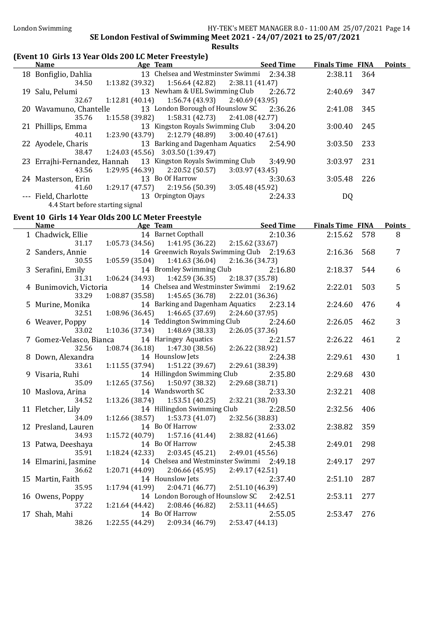| (Event 10 Girls 13 Year Olds 200 LC Meter Freestyle)<br><b>Name</b> |                 | Age Team                                           | <b>Seed Time</b>                          | <b>Finals Time FINA</b> |     | <b>Points</b>  |
|---------------------------------------------------------------------|-----------------|----------------------------------------------------|-------------------------------------------|-------------------------|-----|----------------|
| 18 Bonfiglio, Dahlia                                                |                 | 13 Chelsea and Westminster Swimmi                  | 2:34.38                                   | 2:38.11                 | 364 |                |
| 34.50                                                               | 1:13.82 (39.32) | 1:56.64(42.82)                                     | 2:38.11(41.47)                            |                         |     |                |
| 19 Salu, Pelumi                                                     |                 | 13 Newham & UEL Swimming Club                      | 2:26.72                                   | 2:40.69                 | 347 |                |
| 32.67                                                               | 1:12.81(40.14)  | 1:56.74(43.93)                                     | 2:40.69 (43.95)                           |                         |     |                |
| 20 Wavamuno, Chantelle                                              |                 | 13 London Borough of Hounslow SC                   | 2:36.26                                   | 2:41.08                 | 345 |                |
| 35.76                                                               | 1:15.58 (39.82) | 1:58.31(42.73)                                     | 2:41.08 (42.77)                           |                         |     |                |
| 21 Phillips, Emma                                                   |                 | 13 Kingston Royals Swimming Club                   | 3:04.20                                   | 3:00.40                 | 245 |                |
| 40.11                                                               | 1:23.90(43.79)  | 2:12.79 (48.89)                                    | 3:00.40(47.61)                            |                         |     |                |
| 22 Ayodele, Charis                                                  |                 | 13 Barking and Dagenham Aquatics                   | 2:54.90                                   | 3:03.50                 | 233 |                |
| 38.47                                                               |                 | 1:24.03 (45.56) 3:03.50 (1:39.47)                  |                                           |                         |     |                |
| 23 Errajhi-Fernandez, Hannah                                        |                 | 13 Kingston Royals Swimming Club                   | 3:49.90                                   | 3:03.97                 | 231 |                |
| 43.56                                                               | 1:29.95(46.39)  | 2:20.52(50.57)                                     | 3:03.97(43.45)                            |                         |     |                |
| 24 Masterson, Erin                                                  |                 | 13 Bo Of Harrow                                    | 3:30.63                                   | 3:05.48                 | 226 |                |
| 41.60                                                               | 1:29.17(47.57)  | 2:19.56 (50.39)                                    | 3:05.48 (45.92)                           |                         |     |                |
| --- Field, Charlotte                                                |                 | 13 Orpington Ojays                                 | 2:24.33                                   | DQ                      |     |                |
| 4.4 Start before starting signal                                    |                 |                                                    |                                           |                         |     |                |
| Event 10 Girls 14 Year Olds 200 LC Meter Freestyle                  |                 |                                                    |                                           |                         |     |                |
| <b>Name</b>                                                         |                 | Age Team                                           | <b>Seed Time</b>                          | <b>Finals Time FINA</b> |     | <b>Points</b>  |
| 1 Chadwick, Ellie                                                   |                 | 14 Barnet Copthall                                 | 2:10.36                                   | 2:15.62                 | 578 | 8              |
| 31.17                                                               | 1:05.73(34.56)  | 1:41.95 (36.22)                                    | 2:15.62(33.67)                            |                         |     |                |
| 2 Sanders, Annie                                                    |                 |                                                    | 14 Greenwich Royals Swimming Club 2:19.63 | 2:16.36                 | 568 | 7              |
| 30.55                                                               | 1:05.59(35.04)  | 1:41.63 (36.04)                                    | 2:16.36 (34.73)                           |                         |     |                |
| 3 Serafini, Emily                                                   |                 | 14 Bromley Swimming Club                           | 2:16.80                                   | 2:18.37                 | 544 | 6              |
| 31.31                                                               | 1:06.24(34.93)  | 1:42.59 (36.35)                                    | 2:18.37 (35.78)                           |                         |     |                |
| 4 Bunimovich, Victoria                                              |                 | 14 Chelsea and Westminster Swimmi                  | 2:19.62                                   | 2:22.01                 | 503 | 5              |
| 33.29                                                               | 1:08.87(35.58)  | 1:45.65 (36.78)                                    | 2:22.01 (36.36)                           |                         |     |                |
| 5 Murine, Monika                                                    |                 | 14 Barking and Dagenham Aquatics                   | 2:23.14                                   | 2:24.60                 | 476 | 4              |
| 32.51                                                               | 1:08.96(36.45)  | 1:46.65 (37.69)<br>14 Teddington Swimming Club     | 2:24.60 (37.95)<br>2:24.60                |                         | 462 | 3              |
| 6 Weaver, Poppy<br>33.02                                            | 1:10.36(37.34)  | 1:48.69 (38.33)                                    | 2:26.05 (37.36)                           | 2:26.05                 |     |                |
| 7 Gomez-Velasco, Bianca                                             |                 | 14 Haringey Aquatics                               | 2:21.57                                   | 2:26.22                 | 461 | $\overline{2}$ |
| 32.56                                                               | 1:08.74(36.18)  | 1:47.30 (38.56)                                    | 2:26.22 (38.92)                           |                         |     |                |
| 8 Down, Alexandra                                                   |                 | 14 Hounslow Jets                                   | 2:24.38                                   | 2:29.61                 | 430 | $\mathbf{1}$   |
| 33.61                                                               | 1:11.55(37.94)  | 1:51.22(39.67)                                     | 2:29.61 (38.39)                           |                         |     |                |
| 9 Visaria, Ruhi                                                     |                 | 14 Hillingdon Swimming Club                        | 2:35.80                                   | 2:29.68                 | 430 |                |
| 35.09                                                               |                 | $1:12.65(37.56)$ $1:50.97(38.32)$ $2:29.68(38.71)$ |                                           |                         |     |                |
| 10 Maslova, Arina                                                   |                 | 14 Wandsworth SC                                   | 2:33.30                                   | 2:32.21                 | 408 |                |
| 34.52                                                               | 1:13.26 (38.74) | 1:53.51 (40.25)                                    | 2:32.21 (38.70)                           |                         |     |                |
| 11 Fletcher, Lily                                                   |                 | 14 Hillingdon Swimming Club                        | 2:28.50                                   | 2:32.56                 | 406 |                |
| 34.09                                                               | 1:12.66 (38.57) | 1:53.73 (41.07)                                    | 2:32.56 (38.83)                           |                         |     |                |
| 12 Presland, Lauren                                                 |                 | 14 Bo Of Harrow                                    | 2:33.02                                   | 2:38.82                 | 359 |                |
| 34.93                                                               | 1:15.72 (40.79) | 1:57.16(41.44)                                     | 2:38.82 (41.66)                           |                         |     |                |
| 13 Patwa, Deeshaya                                                  |                 | 14 Bo Of Harrow                                    | 2:45.38                                   | 2:49.01                 | 298 |                |
| 35.91                                                               | 1:18.24(42.33)  | 2:03.45(45.21)                                     | 2:49.01 (45.56)                           |                         |     |                |
| 14 Elmarini, Jasmine                                                |                 |                                                    | 14 Chelsea and Westminster Swimmi 2:49.18 | 2:49.17                 | 297 |                |
| 36.62                                                               | 1:20.71 (44.09) | 2:06.66(45.95)                                     | 2:49.17 (42.51)                           |                         |     |                |
| 15 Martin, Faith                                                    |                 | 14 Hounslow Jets                                   | 2:37.40                                   | 2:51.10                 | 287 |                |
| 35.95                                                               | 1:17.94(41.99)  | 2:04.71 (46.77)                                    | 2:51.10 (46.39)                           |                         |     |                |
| 16 Owens, Poppy                                                     |                 | 14 London Borough of Hounslow SC                   | 2:42.51                                   | 2:53.11                 | 277 |                |
| 37.22                                                               | 1:21.64 (44.42) | 2:08.46 (46.82)                                    | 2:53.11 (44.65)                           |                         |     |                |
| 17 Shah, Mahi                                                       |                 | 14 Bo Of Harrow                                    | 2:55.05                                   | 2:53.47                 | 276 |                |
| 38.26                                                               | 1:22.55 (44.29) | 2:09.34 (46.79)                                    | 2:53.47 (44.13)                           |                         |     |                |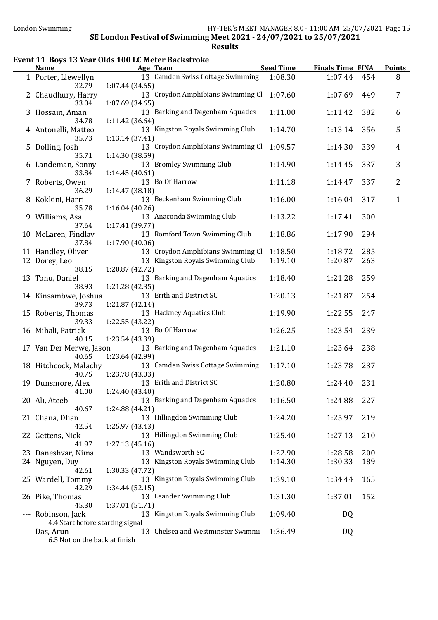### Event 11 Boys 13 Year Olds 100 LC Meter Backstroke

|   | <b>Name</b>                                |                 | Age Team                                             | <b>Seed Time</b> | <b>Finals Time FINA</b> |     | <b>Points</b> |
|---|--------------------------------------------|-----------------|------------------------------------------------------|------------------|-------------------------|-----|---------------|
|   | 1 Porter, Llewellyn                        |                 | 13 Camden Swiss Cottage Swimming                     | 1:08.30          | 1:07.44                 | 454 | 8             |
|   | 32.79                                      | 1:07.44(34.65)  |                                                      |                  |                         |     |               |
|   | 2 Chaudhury, Harry                         |                 | 13 Croydon Amphibians Swimming Cl                    | 1:07.60          | 1:07.69                 | 449 | 7             |
|   | 33.04<br>3 Hossain, Aman                   | 1:07.69 (34.65) | 13 Barking and Dagenham Aquatics                     | 1:11.00          | 1:11.42                 | 382 | 6             |
|   | 34.78                                      | 1:11.42 (36.64) |                                                      |                  |                         |     |               |
|   | 4 Antonelli, Matteo                        |                 | 13 Kingston Royals Swimming Club                     | 1:14.70          | 1:13.14                 | 356 | 5             |
|   | 35.73                                      | 1:13.14(37.41)  |                                                      |                  |                         |     |               |
|   | 5 Dolling, Josh                            |                 | 13 Croydon Amphibians Swimming Cl                    | 1:09.57          | 1:14.30                 | 339 | 4             |
|   | 35.71                                      | 1:14.30 (38.59) |                                                      |                  |                         |     |               |
|   | 6 Landeman, Sonny                          |                 | 13 Bromley Swimming Club                             | 1:14.90          | 1:14.45                 | 337 | 3             |
|   | 33.84                                      | 1:14.45(40.61)  |                                                      |                  |                         |     |               |
|   | 7 Roberts, Owen                            |                 | 13 Bo Of Harrow                                      | 1:11.18          | 1:14.47                 | 337 | 2             |
| 8 | 36.29<br>Kokkini, Harri                    | 1:14.47 (38.18) | 13 Beckenham Swimming Club                           | 1:16.00          | 1:16.04                 | 317 | $\mathbf{1}$  |
|   | 35.78                                      | 1:16.04(40.26)  |                                                      |                  |                         |     |               |
|   | 9 Williams, Asa                            |                 | 13 Anaconda Swimming Club                            | 1:13.22          | 1:17.41                 | 300 |               |
|   | 37.64                                      | 1:17.41 (39.77) |                                                      |                  |                         |     |               |
|   | 10 McLaren, Findlay                        |                 | 13 Romford Town Swimming Club                        | 1:18.86          | 1:17.90                 | 294 |               |
|   | 37.84                                      | 1:17.90(40.06)  |                                                      |                  |                         |     |               |
|   | 11 Handley, Oliver                         |                 | 13 Croydon Amphibians Swimming Cl                    | 1:18.50          | 1:18.72                 | 285 |               |
|   | 12 Dorey, Leo                              |                 | 13 Kingston Royals Swimming Club                     | 1:19.10          | 1:20.87                 | 263 |               |
|   | 38.15                                      | 1:20.87 (42.72) |                                                      |                  |                         |     |               |
|   | 13 Tonu, Daniel                            |                 | 13 Barking and Dagenham Aquatics                     | 1:18.40          | 1:21.28                 | 259 |               |
|   | 38.93                                      | 1:21.28(42.35)  | 13 Erith and District SC                             | 1:20.13          | 1:21.87                 | 254 |               |
|   | 14 Kinsambwe, Joshua<br>39.73              | 1:21.87 (42.14) |                                                      |                  |                         |     |               |
|   | 15 Roberts, Thomas                         |                 | 13 Hackney Aquatics Club                             | 1:19.90          | 1:22.55                 | 247 |               |
|   | 39.33                                      | 1:22.55 (43.22) |                                                      |                  |                         |     |               |
|   | 16 Mihali, Patrick                         |                 | 13 Bo Of Harrow                                      | 1:26.25          | 1:23.54                 | 239 |               |
|   | 40.15                                      | 1:23.54 (43.39) |                                                      |                  |                         |     |               |
|   | 17 Van Der Merwe, Jason                    |                 | 13 Barking and Dagenham Aquatics                     | 1:21.10          | 1:23.64                 | 238 |               |
|   | 40.65                                      | 1:23.64 (42.99) |                                                      |                  |                         |     |               |
|   | 18 Hitchcock, Malachy                      | 1:23.78 (43.03) | 13 Camden Swiss Cottage Swimming                     | 1:17.10          | 1:23.78                 | 237 |               |
|   | 40.75<br>19 Dunsmore, Alex                 |                 | 13 Erith and District SC                             | 1:20.80          | 1:24.40                 | 231 |               |
|   | 41.00                                      | 1:24.40 (43.40) |                                                      |                  |                         |     |               |
|   | 20 Ali, Ateeb                              |                 | 13 Barking and Dagenham Aquatics                     | 1:16.50          | 1:24.88                 | 227 |               |
|   | 40.67                                      | 1:24.88 (44.21) |                                                      |                  |                         |     |               |
|   | 21 Chana, Dhan                             |                 | 13 Hillingdon Swimming Club                          | 1:24.20          | 1:25.97                 | 219 |               |
|   | 42.54                                      | 1:25.97 (43.43) |                                                      |                  |                         |     |               |
|   | 22 Gettens, Nick                           |                 | 13 Hillingdon Swimming Club                          | 1:25.40          | 1:27.13                 | 210 |               |
|   | 41.97                                      | 1:27.13(45.16)  |                                                      |                  |                         |     |               |
|   | 23 Daneshvar, Nima                         |                 | 13 Wandsworth SC<br>13 Kingston Royals Swimming Club | 1:22.90          | 1:28.58<br>1:30.33      | 200 |               |
|   | 24 Nguyen, Duy<br>42.61                    | 1:30.33 (47.72) |                                                      | 1:14.30          |                         | 189 |               |
|   | 25 Wardell, Tommy                          |                 | 13 Kingston Royals Swimming Club                     | 1:39.10          | 1:34.44                 | 165 |               |
|   | 42.29                                      | 1:34.44 (52.15) |                                                      |                  |                         |     |               |
|   | 26 Pike, Thomas                            |                 | 13 Leander Swimming Club                             | 1:31.30          | 1:37.01                 | 152 |               |
|   | 45.30                                      | 1:37.01 (51.71) |                                                      |                  |                         |     |               |
|   | Robinson, Jack                             |                 | 13 Kingston Royals Swimming Club                     | 1:09.40          | DQ                      |     |               |
|   | 4.4 Start before starting signal           |                 |                                                      |                  |                         |     |               |
|   | Das, Arun<br>6.5 Not on the back at finish |                 | 13 Chelsea and Westminster Swimmi                    | 1:36.49          | DQ                      |     |               |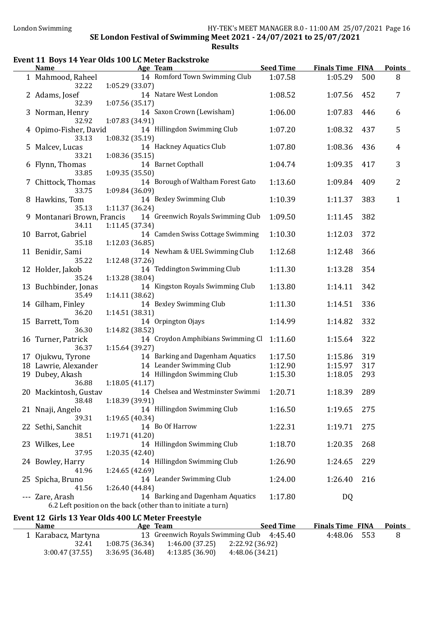$\overline{a}$ 

 $\overline{a}$ 

### SE London Festival of Swimming Meet 2021 - 24/07/2021 to 25/07/2021 Results

### Event 11 Boys 14 Year Olds 100 LC Meter Backstroke

| <b>Name</b>                                        | <b>Example 2</b> Age Team                                                                         | <b>Seed Time</b>   | <b>Finals Time FINA</b> |            | <b>Points</b>  |
|----------------------------------------------------|---------------------------------------------------------------------------------------------------|--------------------|-------------------------|------------|----------------|
| 1 Mahmood, Raheel<br>32.22                         | 14 Romford Town Swimming Club<br>1:05.29 (33.07)                                                  | 1:07.58            | 1:05.29                 | 500        | 8              |
| 2 Adams, Josef<br>32.39                            | 14 Natare West London<br>1:07.56(35.17)                                                           | 1:08.52            | 1:07.56                 | 452        | 7              |
| 3 Norman, Henry<br>32.92                           | 14 Saxon Crown (Lewisham)<br>1:07.83 (34.91)                                                      | 1:06.00            | 1:07.83                 | 446        | 6              |
| 4 Opimo-Fisher, David<br>33.13                     | 14 Hillingdon Swimming Club<br>1:08.32 (35.19)                                                    | 1:07.20            | 1:08.32                 | 437        | 5              |
| 5 Malcev, Lucas<br>33.21                           | 14 Hackney Aquatics Club<br>1:08.36(35.15)                                                        | 1:07.80            | 1:08.36                 | 436        | $\overline{4}$ |
| 6 Flynn, Thomas<br>33.85                           | 14 Barnet Copthall<br>1:09.35(35.50)                                                              | 1:04.74            | 1:09.35                 | 417        | 3              |
| 7 Chittock, Thomas<br>33.75                        | 14 Borough of Waltham Forest Gato<br>1:09.84 (36.09)                                              | 1:13.60            | 1:09.84                 | 409        | $\overline{2}$ |
| 8 Hawkins, Tom<br>35.13                            | 14 Bexley Swimming Club<br>1:11.37 (36.24)                                                        | 1:10.39            | 1:11.37                 | 383        | $\mathbf{1}$   |
| 9 Montanari Brown, Francis<br>34.11                | 14 Greenwich Royals Swimming Club<br>1:11.45 (37.34)                                              | 1:09.50            | 1:11.45                 | 382        |                |
| 10 Barrot, Gabriel<br>35.18                        | 14 Camden Swiss Cottage Swimming<br>1:12.03(36.85)                                                | 1:10.30            | 1:12.03                 | 372        |                |
| 11 Benidir, Sami<br>35.22                          | 14 Newham & UEL Swimming Club<br>1:12.48 (37.26)                                                  | 1:12.68            | 1:12.48                 | 366        |                |
| 12 Holder, Jakob<br>35.24                          | 14 Teddington Swimming Club<br>1:13.28 (38.04)<br>14 Kingston Royals Swimming Club                | 1:11.30            | 1:13.28                 | 354<br>342 |                |
| 13 Buchbinder, Jonas<br>35.49<br>14 Gilham, Finley | 1:14.11 (38.62)<br>14 Bexley Swimming Club                                                        | 1:13.80<br>1:11.30 | 1:14.11<br>1:14.51      | 336        |                |
| 36.20<br>15 Barrett, Tom                           | 1:14.51 (38.31)<br>14 Orpington Ojays                                                             | 1:14.99            | 1:14.82                 | 332        |                |
| 36.30<br>16 Turner, Patrick                        | 1:14.82 (38.52)<br>14 Croydon Amphibians Swimming Cl 1:11.60                                      |                    | 1:15.64                 | 322        |                |
| 36.37<br>17 Ojukwu, Tyrone                         | 1:15.64 (39.27)<br>14 Barking and Dagenham Aquatics                                               | 1:17.50            | 1:15.86                 | 319        |                |
| 18 Lawrie, Alexander                               | 14 Leander Swimming Club                                                                          | 1:12.90            | 1:15.97                 | 317        |                |
| 19 Dubey, Akash<br>36.88                           | 14 Hillingdon Swimming Club<br>1:18.05(41.17)                                                     | 1:15.30            | 1:18.05                 | 293        |                |
| 38.48                                              | 20 Mackintosh, Gustav 14 Chelsea and Westminster Swimmi 1:20.71<br>1:18.39 (39.91)                |                    | 1:18.39                 | 289        |                |
| 21 Nnaji, Angelo<br>39.31                          | 14 Hillingdon Swimming Club<br>1:19.65(40.34)                                                     | 1:16.50            | 1:19.65                 | 275        |                |
| 22 Sethi, Sanchit<br>38.51                         | 14 Bo Of Harrow<br>1:19.71 (41.20)                                                                | 1:22.31            | 1:19.71                 | 275        |                |
| 23 Wilkes, Lee<br>37.95                            | 14 Hillingdon Swimming Club<br>1:20.35(42.40)                                                     | 1:18.70            | 1:20.35                 | 268        |                |
| 24 Bowley, Harry<br>41.96                          | 14 Hillingdon Swimming Club<br>1:24.65(42.69)                                                     | 1:26.90            | 1:24.65                 | 229        |                |
| 25 Spicha, Bruno<br>41.56                          | 14 Leander Swimming Club<br>1:26.40 (44.84)                                                       | 1:24.00            | 1:26.40                 | 216        |                |
| --- Zare, Arash                                    | 14 Barking and Dagenham Aquatics<br>6.2 Left position on the back (other than to initiate a turn) | 1:17.80            | DQ                      |            |                |
| <b>Name</b>                                        | Event 12 Girls 13 Year Olds 400 LC Meter Freestyle<br>Age Team                                    | <b>Seed Time</b>   | <b>Finals Time FINA</b> |            | <b>Points</b>  |
|                                                    | 13 Greenwich Royals Swimming Club 4:45.40                                                         |                    |                         |            |                |
| 1 Karabacz, Martyna<br>32.41                       | $1:08.75(36.34)$ $1:46.00(37.25)$ $2:22.92(36.92)$                                                |                    | 4:48.06                 | 553        | 8              |

3:00.47 (37.55) 3:36.95 (36.48) 4:13.85 (36.90) 4:48.06 (34.21)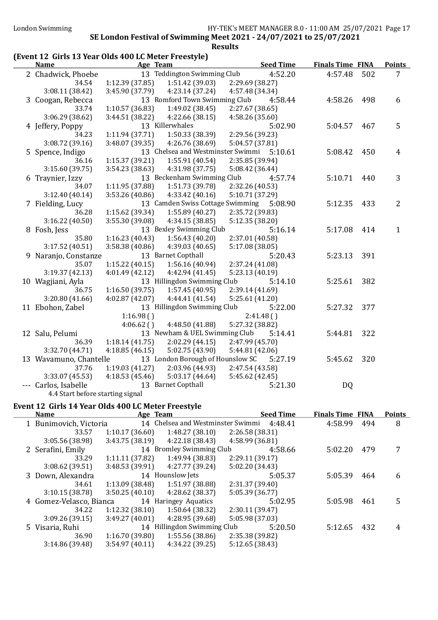### (Event 12 Girls 13 Year Olds 400 LC Meter Freestyle)

| <b>Name</b>                      |                 | Age Team                                  |                 | <b>Seed Time</b> | <b>Finals Time FINA</b> |     | <b>Points</b>  |
|----------------------------------|-----------------|-------------------------------------------|-----------------|------------------|-------------------------|-----|----------------|
| 2 Chadwick, Phoebe               |                 | 13 Teddington Swimming Club               |                 | 4:52.20          | 4:57.48                 | 502 | 7              |
| 34.54                            | 1:12.39(37.85)  | 1:51.42(39.03)                            | 2:29.69 (38.27) |                  |                         |     |                |
| 3:08.11(38.42)                   | 3:45.90 (37.79) | 4:23.14 (37.24)                           | 4:57.48 (34.34) |                  |                         |     |                |
| 3 Coogan, Rebecca                |                 | 13 Romford Town Swimming Club             |                 | 4:58.44          | 4:58.26                 | 498 | 6              |
| 33.74                            | 1:10.57(36.83)  | 1:49.02 (38.45)                           | 2:27.67 (38.65) |                  |                         |     |                |
| 3:06.29 (38.62)                  | 3:44.51(38.22)  | 4:22.66 (38.15)                           | 4:58.26 (35.60) |                  |                         |     |                |
| 4 Jeffery, Poppy                 |                 | 13 Killerwhales                           |                 | 5:02.90          | 5:04.57                 | 467 | 5              |
| 34.23                            | 1:11.94(37.71)  | 1:50.33 (38.39)                           | 2:29.56 (39.23) |                  |                         |     |                |
| 3:08.72 (39.16)                  | 3:48.07(39.35)  | 4:26.76 (38.69)                           | 5:04.57 (37.81) |                  |                         |     |                |
| 5 Spence, Indigo                 |                 | 13 Chelsea and Westminster Swimmi 5:10.61 |                 |                  | 5:08.42                 | 450 | 4              |
| 36.16                            | 1:15.37 (39.21) | 1:55.91 (40.54)                           | 2:35.85 (39.94) |                  |                         |     |                |
| 3:15.60(39.75)                   | 3:54.23(38.63)  | 4:31.98 (37.75)                           | 5:08.42 (36.44) |                  |                         |     |                |
| 6 Traynier, Izzy                 |                 | 13 Beckenham Swimming Club                |                 | 4:57.74          | 5:10.71                 | 440 | 3              |
| 34.07                            | 1:11.95 (37.88) | 1:51.73 (39.78)                           | 2:32.26 (40.53) |                  |                         |     |                |
| 3:12.40(40.14)                   | 3:53.26 (40.86) | 4:33.42(40.16)                            | 5:10.71 (37.29) |                  |                         |     |                |
| 7 Fielding, Lucy                 |                 | 13 Camden Swiss Cottage Swimming 5:08.90  |                 |                  | 5:12.35                 | 433 | $\overline{2}$ |
| 36.28                            | 1:15.62 (39.34) | 1:55.89(40.27)                            | 2:35.72 (39.83) |                  |                         |     |                |
| 3:16.22(40.50)                   | 3:55.30 (39.08) | 4:34.15(38.85)                            | 5:12.35 (38.20) |                  |                         |     |                |
| 8 Fosh, Jess                     |                 | 13 Bexley Swimming Club                   |                 | 5:16.14          | 5:17.08                 | 414 | $\mathbf{1}$   |
| 35.80                            | 1:16.23(40.43)  | 1:56.43(40.20)                            | 2:37.01 (40.58) |                  |                         |     |                |
| 3:17.52 (40.51)                  | 3:58.38(40.86)  | 4:39.03(40.65)                            | 5:17.08 (38.05) |                  |                         |     |                |
| 9 Naranjo, Constanze             |                 | 13 Barnet Copthall                        |                 | 5:20.43          | 5:23.13                 | 391 |                |
| 35.07                            | 1:15.22(40.15)  | 1:56.16(40.94)                            | 2:37.24 (41.08) |                  |                         |     |                |
| 3:19.37(42.13)                   | 4:01.49(42.12)  | 4:42.94 (41.45)                           | 5:23.13(40.19)  |                  |                         |     |                |
| 10 Wagjiani, Ayla                |                 | 13 Hillingdon Swimming Club               |                 | 5:14.10          | 5:25.61                 | 382 |                |
| 36.75                            | 1:16.50(39.75)  | 1:57.45(40.95)                            | 2:39.14 (41.69) |                  |                         |     |                |
| 3:20.80 (41.66)                  | 4:02.87(42.07)  | 4:44.41 (41.54)                           | 5:25.61(41.20)  |                  |                         |     |                |
| 11 Ebohon, Zabel                 |                 | 13 Hillingdon Swimming Club               |                 | 5:22.00          | 5:27.32                 | 377 |                |
|                                  | 1:16.98()       |                                           | 2:41.48()       |                  |                         |     |                |
|                                  | 4:06.62()       | 4:48.50 (41.88)                           | 5:27.32 (38.82) |                  |                         |     |                |
| 12 Salu, Pelumi                  |                 | 13 Newham & UEL Swimming Club             |                 | 5:14.41          | 5:44.81                 | 322 |                |
| 36.39                            | 1:18.14(41.75)  | 2:02.29 (44.15)                           | 2:47.99 (45.70) |                  |                         |     |                |
| 3:32.70 (44.71)                  | 4:18.85(46.15)  | 5:02.75(43.90)                            | 5:44.81 (42.06) |                  |                         |     |                |
| 13 Wavamuno, Chantelle           |                 | 13 London Borough of Hounslow SC          |                 | 5:27.19          | 5:45.62                 | 320 |                |
| 37.76                            | 1:19.03(41.27)  | 2:03.96 (44.93)                           | 2:47.54 (43.58) |                  |                         |     |                |
| 3:33.07 (45.53)                  | 4:18.53(45.46)  | 5:03.17(44.64)                            | 5:45.62 (42.45) |                  |                         |     |                |
| --- Carlos, Isabelle             |                 | 13 Barnet Copthall                        |                 | 5:21.30          | DQ                      |     |                |
| 4.4 Start before starting signal |                 |                                           |                 |                  |                         |     |                |

### Event 12 Girls 14 Year Olds 400 LC Meter Freestyle

 $\overline{\phantom{0}}$ 

| <b>Name</b>             | Age Team        |                             | <b>Seed Time</b>                          | <b>Finals Time FINA</b> |     | <b>Points</b> |
|-------------------------|-----------------|-----------------------------|-------------------------------------------|-------------------------|-----|---------------|
| 1 Bunimovich, Victoria  |                 |                             | 14 Chelsea and Westminster Swimmi 4:48.41 | 4:58.99                 | 494 | 8             |
| 33.57                   | 1:10.17(36.60)  | 1:48.27(38.10)              | 2:26.58(38.31)                            |                         |     |               |
| 3:05.56 (38.98)         | 3:43.75(38.19)  | 4:22.18(38.43)              | 4:58.99 (36.81)                           |                         |     |               |
| 2 Serafini, Emily       |                 | 14 Bromley Swimming Club    | 4:58.66                                   | 5:02.20                 | 479 | 7             |
| 33.29                   | 1:11.11(37.82)  | 1:49.94 (38.83)             | 2:29.11 (39.17)                           |                         |     |               |
| 3:08.62(39.51)          | 3:48.53(39.91)  | 4:27.77 (39.24)             | 5:02.20 (34.43)                           |                         |     |               |
| 3 Down, Alexandra       |                 | 14 Hounslow Jets            | 5:05.37                                   | 5:05.39                 | 464 | 6             |
| 34.61                   | 1:13.09(38.48)  | 1:51.97 (38.88)             | 2:31.37 (39.40)                           |                         |     |               |
| 3:10.15(38.78)          | 3:50.25(40.10)  | 4:28.62 (38.37)             | 5:05.39 (36.77)                           |                         |     |               |
| 4 Gomez-Velasco, Bianca |                 | 14 Haringey Aquatics        | 5:02.95                                   | 5:05.98                 | 461 | 5             |
| 34.22                   | 1:12.32(38.10)  | 1:50.64(38.32)              | 2:30.11(39.47)                            |                         |     |               |
| 3:09.26(39.15)          | 3:49.27 (40.01) | 4:28.95 (39.68)             | 5:05.98 (37.03)                           |                         |     |               |
| 5 Visaria, Ruhi         |                 | 14 Hillingdon Swimming Club | 5:20.50                                   | 5:12.65                 | 432 | 4             |
| 36.90                   | 1:16.70(39.80)  | 1:55.56(38.86)              | 2:35.38 (39.82)                           |                         |     |               |
| 3:14.86 (39.48)         | 3:54.97(40.11)  | 4:34.22(39.25)              | 5:12.65(38.43)                            |                         |     |               |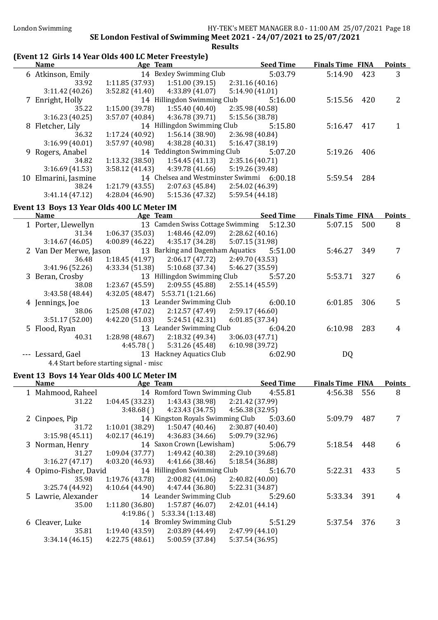### (Event 12 Girls 14 Year Olds 400 LC Meter Freestyle)

| <b>Name</b>          | Age Team       |                                   | <b>Seed Time</b> | <b>Finals Time FINA</b> |     | <b>Points</b> |
|----------------------|----------------|-----------------------------------|------------------|-------------------------|-----|---------------|
| 6 Atkinson, Emily    |                | 14 Bexley Swimming Club           | 5:03.79          | 5:14.90                 | 423 | 3             |
| 33.92                | 1:11.85(37.93) | 1:51.00(39.15)                    | 2:31.16(40.16)   |                         |     |               |
| 3:11.42(40.26)       | 3:52.82(41.40) | 4:33.89(41.07)                    | 5:14.90 (41.01)  |                         |     |               |
| 7 Enright, Holly     |                | 14 Hillingdon Swimming Club       | 5:16.00          | 5:15.56                 | 420 | 2             |
| 35.22                | 1:15.00(39.78) | 1:55.40(40.40)                    | 2:35.98 (40.58)  |                         |     |               |
| 3:16.23(40.25)       | 3:57.07(40.84) | 4:36.78 (39.71)                   | 5:15.56 (38.78)  |                         |     |               |
| 8 Fletcher, Lily     |                | 14 Hillingdon Swimming Club       | 5:15.80          | 5:16.47                 | 417 |               |
| 36.32                | 1:17.24(40.92) | 1:56.14(38.90)                    | 2:36.98 (40.84)  |                         |     |               |
| 3:16.99(40.01)       | 3:57.97(40.98) | 4:38.28(40.31)                    | 5:16.47(38.19)   |                         |     |               |
| 9 Rogers, Anabel     |                | 14 Teddington Swimming Club       | 5:07.20          | 5:19.26                 | 406 |               |
| 34.82                | 1:13.32(38.50) | 1:54.45(41.13)                    | 2:35.16(40.71)   |                         |     |               |
| 3:16.69(41.53)       | 3:58.12(41.43) | 4:39.78 (41.66)                   | 5:19.26 (39.48)  |                         |     |               |
| 10 Elmarini, Jasmine |                | 14 Chelsea and Westminster Swimmi | 6:00.18          | 5:59.54                 | 284 |               |
| 38.24                | 1:21.79(43.55) | 2:07.63(45.84)                    | 2:54.02 (46.39)  |                         |     |               |
| 3:41.14(47.12)       | 4:28.04(46.90) | 5:15.36(47.32)                    | 5:59.54(44.18)   |                         |     |               |

### Event 13 Boys 13 Year Olds 400 LC Meter IM

| <b>Name</b>            | Age Team        |                                  |                 | <b>Seed Time</b> | <b>Finals Time FINA</b> |     | <b>Points</b> |
|------------------------|-----------------|----------------------------------|-----------------|------------------|-------------------------|-----|---------------|
| 1 Porter, Llewellyn    |                 | 13 Camden Swiss Cottage Swimming |                 | 5:12.30          | 5:07.15                 | 500 | 8             |
| 31.34                  | 1:06.37(35.03)  | 1:48.46 (42.09)                  | 2:28.62(40.16)  |                  |                         |     |               |
| 3:14.67(46.05)         | 4:00.89(46.22)  | 4:35.17 (34.28)                  | 5:07.15 (31.98) |                  |                         |     |               |
| 2 Van Der Merwe, Jason |                 | 13 Barking and Dagenham Aquatics |                 | 5:51.00          | 5:46.27                 | 349 |               |
| 36.48                  | 1:18.45(41.97)  | 2:06.17(47.72)                   | 2:49.70 (43.53) |                  |                         |     |               |
| 3:41.96 (52.26)        | 4:33.34(51.38)  | 5:10.68(37.34)                   | 5:46.27 (35.59) |                  |                         |     |               |
| 3 Beran, Crosby        |                 | 13 Hillingdon Swimming Club      |                 | 5:57.20          | 5:53.71                 | 327 | 6             |
| 38.08                  | 1:23.67 (45.59) | 2:09.55(45.88)                   | 2:55.14(45.59)  |                  |                         |     |               |
| 3:43.58(48.44)         | 4:32.05(48.47)  | 5:53.71 (1:21.66)                |                 |                  |                         |     |               |
| 4 Jennings, Joe        |                 | 13 Leander Swimming Club         |                 | 6:00.10          | 6:01.85                 | 306 | 5             |
| 38.06                  | 1:25.08(47.02)  | 2:12.57(47.49)                   | 2:59.17(46.60)  |                  |                         |     |               |
| 3:51.17(52.00)         | 4:42.20(51.03)  | 5:24.51(42.31)                   | 6:01.85(37.34)  |                  |                         |     |               |
| 5 Flood, Ryan          |                 | 13 Leander Swimming Club         |                 | 6:04.20          | 6:10.98                 | 283 | 4             |
| 40.31                  | 1:28.98(48.67)  | 2:18.32(49.34)                   | 3:06.03(47.71)  |                  |                         |     |               |
|                        | 4:45.78()       | 5:31.26 (45.48)                  | 6:10.98(39.72)  |                  |                         |     |               |
| --- Lessard, Gael      |                 | 13 Hackney Aquatics Club         |                 | 6:02.90          | DQ                      |     |               |
|                        |                 |                                  |                 |                  |                         |     |               |

4.4 Start before starting signal - misc

#### Event 13 Boys 14 Year Olds 400 LC Meter IM

| <b>Name</b>           | Age Team        |                                  |                 | <b>Seed Time</b> | <b>Finals Time FINA</b> |     | <b>Points</b> |
|-----------------------|-----------------|----------------------------------|-----------------|------------------|-------------------------|-----|---------------|
| 1 Mahmood, Raheel     |                 | 14 Romford Town Swimming Club    |                 | 4:55.81          | 4:56.38                 | 556 | 8             |
| 31.22                 | 1:04.45(33.23)  | 1:43.43 (38.98)                  | 2:21.42 (37.99) |                  |                         |     |               |
|                       | 3:48.68()       | 4:23.43 (34.75)                  | 4:56.38 (32.95) |                  |                         |     |               |
| 2 Cinpoes, Pip        |                 | 14 Kingston Royals Swimming Club |                 | 5:03.60          | 5:09.79                 | 487 |               |
| 31.72                 | 1:10.01(38.29)  | 1:50.47 (40.46)                  | 2:30.87(40.40)  |                  |                         |     |               |
| 3:15.98(45.11)        | 4:02.17(46.19)  | 4:36.83(34.66)                   | 5:09.79 (32.96) |                  |                         |     |               |
| 3 Norman, Henry       |                 | 14 Saxon Crown (Lewisham)        |                 | 5:06.79          | 5:18.54                 | 448 | 6             |
| 31.27                 | 1:09.04(37.77)  | 1:49.42(40.38)                   | 2:29.10 (39.68) |                  |                         |     |               |
| 3:16.27(47.17)        | 4:03.20 (46.93) | 4:41.66(38.46)                   | 5:18.54(36.88)  |                  |                         |     |               |
| 4 Opimo-Fisher, David |                 | 14 Hillingdon Swimming Club      |                 | 5:16.70          | 5:22.31                 | 433 | 5             |
| 35.98                 | 1:19.76 (43.78) | 2:00.82(41.06)                   | 2:40.82(40.00)  |                  |                         |     |               |
| 3:25.74 (44.92)       | 4:10.64 (44.90) | 4:47.44 (36.80)                  | 5:22.31 (34.87) |                  |                         |     |               |
| 5 Lawrie, Alexander   |                 | 14 Leander Swimming Club         |                 | 5:29.60          | 5:33.34                 | 391 | 4             |
| 35.00                 | 1:11.80(36.80)  | 1:57.87(46.07)                   | 2:42.01(44.14)  |                  |                         |     |               |
|                       | 4:19.86()       | 5:33.34(1:13.48)                 |                 |                  |                         |     |               |
| 6 Cleaver, Luke       |                 | 14 Bromley Swimming Club         |                 | 5:51.29          | 5:37.54                 | 376 | 3             |
| 35.81                 | 1:19.40(43.59)  | 2:03.89 (44.49)                  | 2:47.99(44.10)  |                  |                         |     |               |
| 3:34.14(46.15)        | 4:22.75(48.61)  | 5:00.59(37.84)                   | 5:37.54 (36.95) |                  |                         |     |               |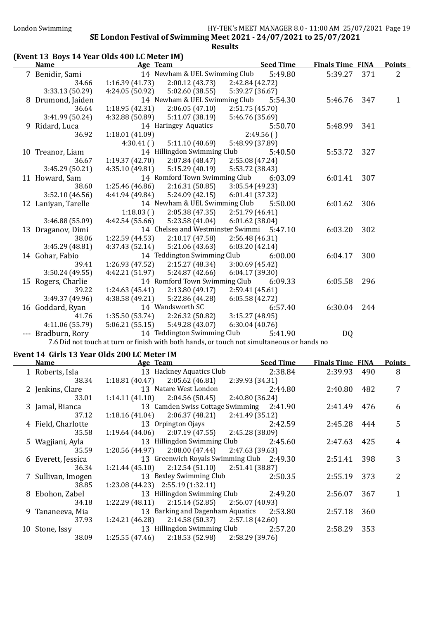### (Event 13 Boys 14 Year Olds 400 LC Meter IM)

| <u>Name</u>                                                                                                                                                                                                                                                                                                                                                                                                                                                                                | Age Team        |                                           |                 | <b>Seed Time</b> | <b>Finals Time FINA</b> |     | <b>Points</b> |
|--------------------------------------------------------------------------------------------------------------------------------------------------------------------------------------------------------------------------------------------------------------------------------------------------------------------------------------------------------------------------------------------------------------------------------------------------------------------------------------------|-----------------|-------------------------------------------|-----------------|------------------|-------------------------|-----|---------------|
|                                                                                                                                                                                                                                                                                                                                                                                                                                                                                            |                 | 14 Newham & UEL Swimming Club             |                 |                  |                         |     |               |
| 7 Benidir, Sami                                                                                                                                                                                                                                                                                                                                                                                                                                                                            |                 |                                           |                 | 5:49.80          | 5:39.27                 | 371 | 2             |
| 34.66                                                                                                                                                                                                                                                                                                                                                                                                                                                                                      | 1:16.39(41.73)  | 2:00.12(43.73)                            | 2:42.84 (42.72) |                  |                         |     |               |
| 3:33.13 (50.29)                                                                                                                                                                                                                                                                                                                                                                                                                                                                            | 4:24.05(50.92)  | 5:02.60(38.55)                            | 5:39.27 (36.67) |                  |                         |     |               |
| 8 Drumond, Jaiden                                                                                                                                                                                                                                                                                                                                                                                                                                                                          |                 | 14 Newham & UEL Swimming Club             |                 | 5:54.30          | 5:46.76                 | 347 | 1             |
| 36.64                                                                                                                                                                                                                                                                                                                                                                                                                                                                                      | 1:18.95 (42.31) | 2:06.05(47.10)                            | 2:51.75 (45.70) |                  |                         |     |               |
| 3:41.99 (50.24)                                                                                                                                                                                                                                                                                                                                                                                                                                                                            | 4:32.88 (50.89) | 5:11.07(38.19)                            | 5:46.76 (35.69) |                  |                         |     |               |
| 9 Ridard, Luca                                                                                                                                                                                                                                                                                                                                                                                                                                                                             |                 | 14 Haringey Aquatics                      |                 | 5:50.70          | 5:48.99                 | 341 |               |
| 36.92                                                                                                                                                                                                                                                                                                                                                                                                                                                                                      | 1:18.01 (41.09) |                                           |                 | 2:49.56()        |                         |     |               |
|                                                                                                                                                                                                                                                                                                                                                                                                                                                                                            | 4:30.41()       | 5:11.10(40.69)                            | 5:48.99 (37.89) |                  |                         |     |               |
| 10 Treanor, Liam                                                                                                                                                                                                                                                                                                                                                                                                                                                                           |                 | 14 Hillingdon Swimming Club               |                 | 5:40.50          | 5:53.72                 | 327 |               |
| 36.67                                                                                                                                                                                                                                                                                                                                                                                                                                                                                      | 1:19.37(42.70)  | 2:07.84(48.47)                            | 2:55.08 (47.24) |                  |                         |     |               |
| 3:45.29 (50.21)                                                                                                                                                                                                                                                                                                                                                                                                                                                                            | 4:35.10 (49.81) | 5:15.29(40.19)                            | 5:53.72 (38.43) |                  |                         |     |               |
| 11 Howard, Sam                                                                                                                                                                                                                                                                                                                                                                                                                                                                             |                 | 14 Romford Town Swimming Club             |                 | 6:03.09          | 6:01.41                 | 307 |               |
| 38.60                                                                                                                                                                                                                                                                                                                                                                                                                                                                                      | 1:25.46 (46.86) | 2:16.31(50.85)                            | 3:05.54 (49.23) |                  |                         |     |               |
| 3:52.10(46.56)                                                                                                                                                                                                                                                                                                                                                                                                                                                                             | 4:41.94 (49.84) | 5:24.09(42.15)                            | 6:01.41 (37.32) |                  |                         |     |               |
| 12 Laniyan, Tarelle                                                                                                                                                                                                                                                                                                                                                                                                                                                                        |                 | 14 Newham & UEL Swimming Club             |                 | 5:50.00          | 6:01.62                 | 306 |               |
|                                                                                                                                                                                                                                                                                                                                                                                                                                                                                            | 1:18.03(        | 2:05.38(47.35)                            | 2:51.79(46.41)  |                  |                         |     |               |
| 3:46.88 (55.09)                                                                                                                                                                                                                                                                                                                                                                                                                                                                            | 4:42.54(55.66)  | 5:23.58 (41.04)                           | 6:01.62(38.04)  |                  |                         |     |               |
| 13 Draganov, Dimi                                                                                                                                                                                                                                                                                                                                                                                                                                                                          |                 | 14 Chelsea and Westminster Swimmi 5:47.10 |                 |                  | 6:03.20                 | 302 |               |
| 38.06                                                                                                                                                                                                                                                                                                                                                                                                                                                                                      | 1:22.59 (44.53) | 2:10.17(47.58)                            | 2:56.48 (46.31) |                  |                         |     |               |
| 3:45.29 (48.81)                                                                                                                                                                                                                                                                                                                                                                                                                                                                            | 4:37.43(52.14)  | 5:21.06(43.63)                            | 6:03.20(42.14)  |                  |                         |     |               |
| 14 Gohar, Fabio                                                                                                                                                                                                                                                                                                                                                                                                                                                                            |                 | 14 Teddington Swimming Club               |                 | 6:00.00          | 6:04.17                 | 300 |               |
| 39.41                                                                                                                                                                                                                                                                                                                                                                                                                                                                                      | 1:26.93(47.52)  | 2:15.27 (48.34)                           | 3:00.69(45.42)  |                  |                         |     |               |
| 3:50.24 (49.55)                                                                                                                                                                                                                                                                                                                                                                                                                                                                            | 4:42.21(51.97)  | 5:24.87(42.66)                            | 6:04.17 (39.30) |                  |                         |     |               |
| 15 Rogers, Charlie                                                                                                                                                                                                                                                                                                                                                                                                                                                                         |                 | 14 Romford Town Swimming Club             |                 | 6:09.33          | 6:05.58                 | 296 |               |
| 39.22                                                                                                                                                                                                                                                                                                                                                                                                                                                                                      | 1:24.63(45.41)  | 2:13.80(49.17)                            | 2:59.41(45.61)  |                  |                         |     |               |
| 3:49.37 (49.96)                                                                                                                                                                                                                                                                                                                                                                                                                                                                            | 4:38.58(49.21)  | 5:22.86 (44.28)                           | 6:05.58(42.72)  |                  |                         |     |               |
| 16 Goddard, Ryan                                                                                                                                                                                                                                                                                                                                                                                                                                                                           |                 | 14 Wandsworth SC                          |                 | 6:57.40          | 6:30.04                 | 244 |               |
| 41.76                                                                                                                                                                                                                                                                                                                                                                                                                                                                                      | 1:35.50(53.74)  | 2:26.32(50.82)                            | 3:15.27(48.95)  |                  |                         |     |               |
| 4:11.06 (55.79)                                                                                                                                                                                                                                                                                                                                                                                                                                                                            | 5:06.21(55.15)  | 5:49.28 (43.07)                           | 6:30.04(40.76)  |                  |                         |     |               |
| --- Bradburn, Rory                                                                                                                                                                                                                                                                                                                                                                                                                                                                         |                 | 14 Teddington Swimming Club               |                 | 5:41.90          | DQ                      |     |               |
| $\blacksquare$ $\blacksquare$ $\blacksquare$ $\blacksquare$ $\blacksquare$ $\blacksquare$ $\blacksquare$ $\blacksquare$ $\blacksquare$ $\blacksquare$ $\blacksquare$ $\blacksquare$ $\blacksquare$ $\blacksquare$ $\blacksquare$ $\blacksquare$ $\blacksquare$ $\blacksquare$ $\blacksquare$ $\blacksquare$ $\blacksquare$ $\blacksquare$ $\blacksquare$ $\blacksquare$ $\blacksquare$ $\blacksquare$ $\blacksquare$ $\blacksquare$ $\blacksquare$ $\blacksquare$ $\blacksquare$ $\blacks$ |                 |                                           |                 |                  |                         |     |               |

7.6 Did not touch at turn or finish with both hands, or touch not simultaneous or hands no

### Event 14 Girls 13 Year Olds 200 LC Meter IM

| <b>Name</b>        | Age Team                                           | <b>Seed Time</b> | <b>Finals Time FINA</b> |     | <b>Points</b> |
|--------------------|----------------------------------------------------|------------------|-------------------------|-----|---------------|
| 1 Roberts, Isla    | 13 Hackney Aquatics Club 2:38.84                   |                  | 2:39.93 490             |     | 8             |
| 38.34              | $1:18.81(40.47)$ $2:05.62(46.81)$                  | 2:39.93 (34.31)  |                         |     |               |
| 2 Jenkins, Clare   | 13 Natare West London                              | 2:44.80          | 2:40.80                 | 482 | 7             |
| 33.01              | $1:14.11(41.10)$ $2:04.56(50.45)$                  | 2:40.80 (36.24)  |                         |     |               |
| 3 Jamal, Bianca    | 13 Camden Swiss Cottage Swimming 2:41.90           |                  | 2:41.49                 | 476 | 6             |
| 37.12              | $1:18.16(41.04)$ $2:06.37(48.21)$ $2:41.49(35.12)$ |                  |                         |     |               |
| 4 Field, Charlotte | 13 Orpington Ojays                                 | 2:42.59          | 2:45.28                 | 444 | 5             |
| 35.58              | $1:19.64(44.06)$ $2:07.19(47.55)$ $2:45.28(38.09)$ |                  |                         |     |               |
| 5 Wagjiani, Ayla   | 13 Hillingdon Swimming Club                        | 2:45.60          | 2:47.63 425             |     | 4             |
| 35.59              | $1:20.56(44.97)$ $2:08.00(47.44)$ $2:47.63(39.63)$ |                  |                         |     |               |
| 6 Everett, Jessica | 13 Greenwich Royals Swimming Club 2:49.30          |                  | 2:51.41                 | 398 | 3             |
| 36.34              | $1:21.44(45.10)$ $2:12.54(51.10)$ $2:51.41(38.87)$ |                  |                         |     |               |
| 7 Sullivan, Imogen | 13 Bexley Swimming Club                            | 2:50.35          | 2:55.19                 | 373 | 2             |
| 38.85              | $1:23.08(44.23)$ $2:55.19(1:32.11)$                |                  |                         |     |               |
| 8 Ebohon, Zabel    | 13 Hillingdon Swimming Club 2:49.20                |                  | 2:56.07                 | 367 |               |
| 34.18              | $1:22.29(48.11)$ $2:15.14(52.85)$ $2:56.07(40.93)$ |                  |                         |     |               |
| 9 Tananeeva, Mia   | 13 Barking and Dagenham Aquatics 2:53.80           |                  | 2:57.18                 | 360 |               |
| 37.93              | $1:24.21(46.28)$ $2:14.58(50.37)$ $2:57.18(42.60)$ |                  |                         |     |               |
| 10 Stone, Issy     | 13 Hillingdon Swimming Club                        | 2:57.20          | 2:58.29                 | 353 |               |
| 38.09              | $1:25.55(47.46)$ $2:18.53(52.98)$ $2:58.29(39.76)$ |                  |                         |     |               |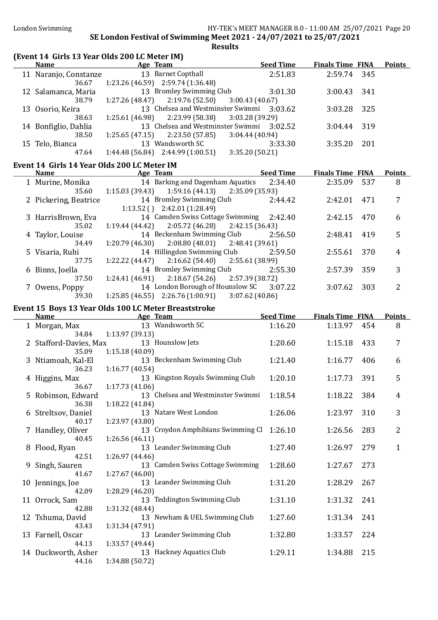# (Event 14 Girls 13 Year Olds 200 LC Meter IM)<br>Name Age Team

| <b>Name</b>                   | Age Team                                                                       | <b>Seed Time</b>           | <b>Finals Time FINA</b> |     | <b>Points</b>  |
|-------------------------------|--------------------------------------------------------------------------------|----------------------------|-------------------------|-----|----------------|
| 11 Naranjo, Constanze         | 13 Barnet Copthall                                                             | 2:51.83                    | 2:59.74                 | 345 |                |
| 36.67                         | 1:23.26 (46.59) 2:59.74 (1:36.48)                                              |                            |                         |     |                |
| 12 Salamanca, Maria           | 13 Bromley Swimming Club                                                       | 3:01.30                    | 3:00.43                 | 341 |                |
| 38.79                         | 2:19.76 (52.50)<br>1:27.26(48.47)                                              | 3:00.43(40.67)             |                         |     |                |
| 13 Osorio, Keira              | 13 Chelsea and Westminster Swimmi 3:03.62                                      |                            | 3:03.28                 | 325 |                |
| 38.63<br>14 Bonfiglio, Dahlia | 1:25.61(46.98)<br>2:23.99 (58.38)<br>13 Chelsea and Westminster Swimmi 3:02.52 | 3:03.28 (39.29)            | 3:04.44                 | 319 |                |
| 38.50                         | $1:25.65(47.15)$ $2:23.50(57.85)$                                              | 3:04.44(40.94)             |                         |     |                |
| 15 Telo, Bianca               | 13 Wandsworth SC                                                               | 3:33.30                    | 3:35.20                 | 201 |                |
| 47.64                         | $1:44.48(56.84)$ $2:44.99(1:00.51)$                                            | 3:35.20 (50.21)            |                         |     |                |
|                               | Event 14 Girls 14 Year Olds 200 LC Meter IM                                    |                            |                         |     |                |
| <b>Name</b>                   | <b>Example 2</b> Age Team                                                      | <b>Seed Time</b>           | <b>Finals Time FINA</b> |     | <b>Points</b>  |
| 1 Murine, Monika              | 14 Barking and Dagenham Aquatics                                               | 2:34.40                    | 2:35.09                 | 537 | 8              |
| 35.60                         | $1:15.03(39.43)$ $1:59.16(44.13)$                                              | 2:35.09 (35.93)            |                         |     |                |
| 2 Pickering, Beatrice         | 14 Bromley Swimming Club                                                       | 2:44.42                    | 2:42.01                 | 471 | 7              |
|                               | $1:13.52$ () $2:42.01$ (1:28.49)                                               |                            |                         |     |                |
| 3 HarrisBrown, Eva            | 14 Camden Swiss Cottage Swimming                                               | 2:42.40                    | 2:42.15                 | 470 | 6              |
| 35.02                         | 2:05.72(46.28)<br>1:19.44 (44.42)                                              | 2:42.15 (36.43)            |                         |     |                |
| 4 Taylor, Louise              | 14 Beckenham Swimming Club<br>2:08.80(48.01)                                   | 2:56.50                    | 2:48.41                 | 419 | 5              |
| 34.49<br>5 Visaria, Ruhi      | 1:20.79(46.30)<br>14 Hillingdon Swimming Club                                  | 2:48.41 (39.61)<br>2:59.50 | 2:55.61                 | 370 | 4              |
| 37.75                         | 2:16.62(54.40)<br>1:22.22 (44.47)                                              | 2:55.61 (38.99)            |                         |     |                |
| 6 Binns, Joella               | 14 Bromley Swimming Club                                                       | 2:55.30                    | 2:57.39                 | 359 | 3              |
| 37.50                         | 1:24.41(46.91)<br>2:18.67(54.26)                                               | 2:57.39 (38.72)            |                         |     |                |
| 7 Owens, Poppy                | 14 London Borough of Hounslow SC                                               | 3:07.22                    | 3:07.62                 | 303 | 2              |
| 39.30                         | $1:25.85(46.55)$ $2:26.76(1:00.91)$                                            | 3:07.62(40.86)             |                         |     |                |
|                               | Event 15 Boys 13 Year Olds 100 LC Meter Breaststroke                           |                            |                         |     |                |
| <b>Name</b>                   | Age Team                                                                       | <b>Seed Time</b>           | <b>Finals Time FINA</b> |     | <b>Points</b>  |
| 1 Morgan, Max                 | 13 Wandsworth SC                                                               | 1:16.20                    | 1:13.97                 | 454 | 8              |
| 34.84                         | 1:13.97 (39.13)                                                                |                            |                         |     |                |
| 2 Stafford-Davies, Max        | 13 Hounslow Jets                                                               | 1:20.60                    | 1:15.18                 | 433 | 7              |
| 35.09<br>3 Ntiamoah, Kal-El   | 1:15.18 (40.09)<br>13 Beckenham Swimming Club                                  | 1:21.40                    | 1:16.77                 | 406 | 6              |
| 36.23                         | 1:16.77(40.54)                                                                 |                            |                         |     |                |
| 4 Higgins, Max                | 13 Kingston Royals Swimming Club                                               | 1:20.10                    | 1:17.73                 | 391 | 5              |
| 36.67                         | 1:17.73(41.06)                                                                 |                            |                         |     |                |
| 5 Robinson, Edward            | 13 Chelsea and Westminster Swimmi                                              | 1:18.54                    | 1:18.22                 | 384 | $\overline{4}$ |
| 36.38                         | 1:18.22 (41.84)                                                                |                            |                         |     |                |
| 6 Streltsov, Daniel           | 13 Natare West London                                                          | 1:26.06                    | 1:23.97                 | 310 | 3              |
| 40.17                         | 1:23.97 (43.80)                                                                |                            |                         |     |                |
| 7 Handley, Oliver             | 13 Croydon Amphibians Swimming Cl 1:26.10<br>1:26.56(46.11)                    |                            | 1:26.56                 | 283 | $\overline{2}$ |
| 40.45<br>8 Flood, Ryan        | 13 Leander Swimming Club                                                       | 1:27.40                    | 1:26.97                 | 279 | $\mathbf{1}$   |
| 42.51                         | 1:26.97 (44.46)                                                                |                            |                         |     |                |
| 9 Singh, Sauren               |                                                                                |                            |                         |     |                |
|                               |                                                                                |                            |                         |     |                |
| 41.67                         | 13 Camden Swiss Cottage Swimming<br>1:27.67(46.00)                             | 1:28.60                    | 1:27.67                 | 273 |                |
| 10 Jennings, Joe              | 13 Leander Swimming Club                                                       | 1:31.20                    | 1:28.29                 | 267 |                |
| 42.09                         | 1:28.29 (46.20)                                                                |                            |                         |     |                |
| 11 Orrock, Sam                | 13 Teddington Swimming Club                                                    | 1:31.10                    | 1:31.32                 | 241 |                |
| 42.88                         | 1:31.32 (48.44)                                                                |                            |                         |     |                |
| 12 Tshuma, David              | 13 Newham & UEL Swimming Club                                                  | 1:27.60                    | 1:31.34                 | 241 |                |
| 43.43                         | 1:31.34 (47.91)                                                                |                            |                         |     |                |
| 13 Farnell, Oscar             | 13 Leander Swimming Club                                                       | 1:32.80                    | 1:33.57                 | 224 |                |
| 44.13<br>14 Duckworth, Asher  | 1:33.57 (49.44)<br>13 Hackney Aquatics Club                                    | 1:29.11                    | 1:34.88                 | 215 |                |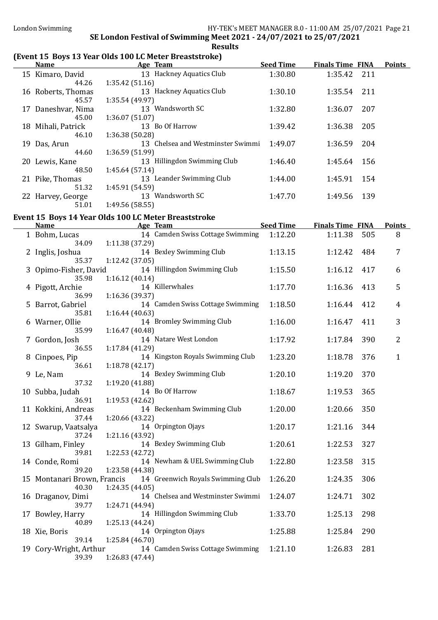### (Event 15 Boys 13 Year Olds 100 LC Meter Breaststroke)

| <b>Name</b>                          | <u>Age Team</u>                                      | <b>Seed Time</b> | <b>Finals Time FINA</b> |     | <b>Points</b>  |
|--------------------------------------|------------------------------------------------------|------------------|-------------------------|-----|----------------|
| 15 Kimaro, David<br>44.26            | 13 Hackney Aquatics Club<br>1:35.42(51.16)           | 1:30.80          | 1:35.42                 | 211 |                |
| 16 Roberts, Thomas<br>45.57          | 13 Hackney Aquatics Club<br>1:35.54 (49.97)          | 1:30.10          | 1:35.54                 | 211 |                |
| 17 Daneshvar, Nima<br>45.00          | 13 Wandsworth SC<br>1:36.07(51.07)                   | 1:32.80          | 1:36.07                 | 207 |                |
| 18 Mihali, Patrick<br>46.10          | 13 Bo Of Harrow<br>1:36.38 (50.28)                   | 1:39.42          | 1:36.38                 | 205 |                |
| 19 Das, Arun<br>44.60                | 13 Chelsea and Westminster Swimmi<br>1:36.59 (51.99) | 1:49.07          | 1:36.59                 | 204 |                |
| 20 Lewis, Kane<br>48.50              | 13 Hillingdon Swimming Club<br>1:45.64(57.14)        | 1:46.40          | 1:45.64                 | 156 |                |
| 21 Pike, Thomas<br>51.32             | 13 Leander Swimming Club<br>1:45.91 (54.59)          | 1:44.00          | 1:45.91                 | 154 |                |
| 22 Harvey, George<br>51.01           | 13 Wandsworth SC<br>1:49.56 (58.55)                  | 1:47.70          | 1:49.56                 | 139 |                |
|                                      | Event 15 Boys 14 Year Olds 100 LC Meter Breaststroke |                  |                         |     |                |
| <b>Name</b>                          | <u>Age Team</u>                                      | Seed Time        | <b>Finals Time FINA</b> |     | <b>Points</b>  |
| 1 Bohm, Lucas<br>34.09               | 14 Camden Swiss Cottage Swimming<br>1:11.38 (37.29)  | 1:12.20          | 1:11.38                 | 505 | 8              |
| 2 Inglis, Joshua<br>35.37            | 14 Bexley Swimming Club<br>1:12.42 (37.05)           | 1:13.15          | 1:12.42                 | 484 | 7              |
| 3 Opimo-Fisher, David<br>35.98       | 14 Hillingdon Swimming Club<br>1:16.12(40.14)        | 1:15.50          | 1:16.12                 | 417 | 6              |
| 4 Pigott, Archie<br>36.99            | 14 Killerwhales<br>1:16.36 (39.37)                   | 1:17.70          | 1:16.36                 | 413 | 5              |
| 5 Barrot, Gabriel<br>35.81           | 14 Camden Swiss Cottage Swimming<br>1:16.44(40.63)   | 1:18.50          | 1:16.44                 | 412 | 4              |
| 6 Warner, Ollie<br>35.99             | 14 Bromley Swimming Club<br>1:16.47 (40.48)          | 1:16.00          | 1:16.47                 | 411 | 3              |
| 7 Gordon, Josh<br>36.55              | 14 Natare West London<br>1:17.84 (41.29)             | 1:17.92          | 1:17.84                 | 390 | $\overline{2}$ |
| 8 Cinpoes, Pip<br>36.61              | 14 Kingston Royals Swimming Club<br>1:18.78(42.17)   | 1:23.20          | 1:18.78                 | 376 | $\mathbf{1}$   |
| 9 Le, Nam<br>37.32                   | 14 Bexley Swimming Club<br>1:19.20 (41.88)           | 1:20.10          | 1:19.20                 | 370 |                |
| 10 Subba, Judah<br>36.91             | 14 Bo Of Harrow<br>1:19.53(42.62)                    | 1:18.67          | 1:19.53                 | 365 |                |
| 11 Kokkini, Andreas<br>37.44         | 14 Beckenham Swimming Club<br>1:20.66 (43.22)        | 1:20.00          | 1:20.66                 | 350 |                |
| 12 Swarup, Vaatsalya<br>37.24        | 14 Orpington Ojays<br>1:21.16 (43.92)                | 1:20.17          | 1:21.16                 | 344 |                |
| 13 Gilham, Finley<br>39.81           | 14 Bexley Swimming Club<br>1:22.53 (42.72)           | 1:20.61          | 1:22.53                 | 327 |                |
| 14 Conde, Romi<br>39.20              | 14 Newham & UEL Swimming Club<br>1:23.58 (44.38)     | 1:22.80          | 1:23.58                 | 315 |                |
| 15 Montanari Brown, Francis<br>40.30 | 14 Greenwich Royals Swimming Club<br>1:24.35(44.05)  | 1:26.20          | 1:24.35                 | 306 |                |
| 16 Draganov, Dimi<br>39.77           | 14 Chelsea and Westminster Swimmi<br>1:24.71 (44.94) | 1:24.07          | 1:24.71                 | 302 |                |
| 17 Bowley, Harry<br>40.89            | 14 Hillingdon Swimming Club<br>1:25.13 (44.24)       | 1:33.70          | 1:25.13                 | 298 |                |
| 18 Xie, Boris<br>39.14               | 14 Orpington Ojays<br>1:25.84 (46.70)                | 1:25.88          | 1:25.84                 | 290 |                |
| 19 Cory-Wright, Arthur<br>39.39      | 14 Camden Swiss Cottage Swimming<br>1:26.83 (47.44)  | 1:21.10          | 1:26.83                 | 281 |                |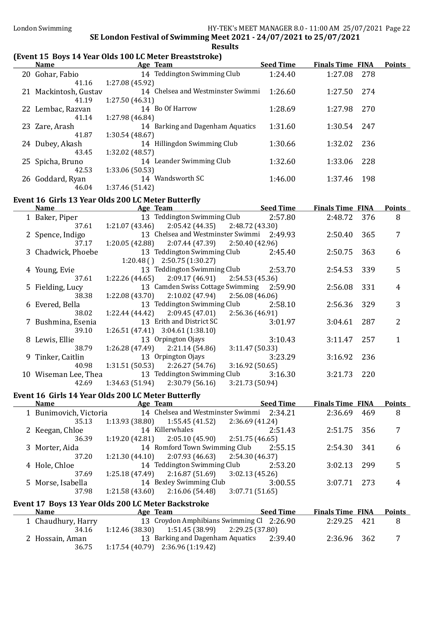### (Event 15 Boys 14 Year Olds 100 LC Meter Breaststroke)

| <b>Name</b>           | Age Team                          | <b>Seed Time</b> | <b>Finals Time FINA</b> |       | <b>Points</b> |
|-----------------------|-----------------------------------|------------------|-------------------------|-------|---------------|
| 20 Gohar, Fabio       | 14 Teddington Swimming Club       | 1:24.40          | 1:27.08                 | - 278 |               |
| 41.16                 | 1:27.08 (45.92)                   |                  |                         |       |               |
| 21 Mackintosh, Gustav | 14 Chelsea and Westminster Swimmi | 1:26.60          | 1:27.50                 | 274   |               |
| 41.19                 | 1:27.50(46.31)                    |                  |                         |       |               |
| 22 Lembac, Razvan     | 14 Bo Of Harrow                   | 1:28.69          | 1:27.98                 | 270   |               |
| 41.14                 | 1:27.98 (46.84)                   |                  |                         |       |               |
| 23 Zare, Arash        | 14 Barking and Dagenham Aquatics  | 1:31.60          | 1:30.54                 | 247   |               |
| 41.87                 | 1:30.54(48.67)                    |                  |                         |       |               |
| 24 Dubey, Akash       | 14 Hillingdon Swimming Club       | 1:30.66          | 1:32.02                 | 236   |               |
| 43.45                 | 1:32.02 (48.57)                   |                  |                         |       |               |
| 25 Spicha, Bruno      | 14 Leander Swimming Club          | 1:32.60          | 1:33.06                 | 228   |               |
| 42.53                 | 1:33.06 (50.53)                   |                  |                         |       |               |
| 26 Goddard, Ryan      | 14 Wandsworth SC                  | 1:46.00          | 1:37.46                 | 198   |               |
| 46.04                 | 1:37.46 (51.42)                   |                  |                         |       |               |

### Event 16 Girls 13 Year Olds 200 LC Meter Butterfly

| <b>Name</b>          | Age Team                                              |                 | <b>Seed Time</b> | <b>Finals Time FINA</b> |     | <b>Points</b> |
|----------------------|-------------------------------------------------------|-----------------|------------------|-------------------------|-----|---------------|
| 1 Baker, Piper       | 13 Teddington Swimming Club                           |                 | 2:57.80          | 2:48.72 376             |     | 8             |
| 37.61                | $1:21.07(43.46)$ $2:05.42(44.35)$ $2:48.72(43.30)$    |                 |                  |                         |     |               |
| 2 Spence, Indigo     | 13 Chelsea and Westminster Swimmi 2:49.93             |                 |                  | 2:50.40                 | 365 | 7             |
| 37.17                | $1:20.05(42.88)$ $2:07.44(47.39)$ $2:50.40(42.96)$    |                 |                  |                         |     |               |
| 3 Chadwick, Phoebe   | 13 Teddington Swimming Club                           |                 | 2:45.40          | 2:50.75                 | 363 | 6             |
|                      | $1:20.48()$ 2:50.75 (1:30.27)                         |                 |                  |                         |     |               |
| 4 Young, Evie        | 13 Teddington Swimming Club 2:53.70                   |                 |                  | 2:54.53                 | 339 | 5             |
| 37.61                | $1:22.26$ (44.65) $2:09.17$ (46.91) $2:54.53$ (45.36) |                 |                  |                         |     |               |
| 5 Fielding, Lucy     | 13 Camden Swiss Cottage Swimming 2:59.90              |                 |                  | 2:56.08                 | 331 | 4             |
| 38.38                | $1:22.08(43.70)$ $2:10.02(47.94)$ $2:56.08(46.06)$    |                 |                  |                         |     |               |
| 6 Evered, Bella      | 13 Teddington Swimming Club                           |                 | 2:58.10          | 2:56.36                 | 329 | 3             |
| 38.02                | $1:22.44(44.42)$ $2:09.45(47.01)$ $2:56.36(46.91)$    |                 |                  |                         |     |               |
| 7 Bushmina, Esenia   | 13 Erith and District SC                              |                 | 3:01.97          | 3:04.61                 | 287 | 2             |
| 39.10                | $1:26.51(47.41)$ $3:04.61(1:38.10)$                   |                 |                  |                         |     |               |
| 8 Lewis, Ellie       | 13 Orpington Ojays                                    |                 | 3:10.43          | 3:11.47                 | 257 |               |
| 38.79                | $1:26.28(47.49)$ $2:21.14(54.86)$                     | 3:11.47 (50.33) |                  |                         |     |               |
| 9 Tinker, Caitlin    | 13 Orpington Ojays                                    |                 | 3:23.29          | 3:16.92                 | 236 |               |
| 40.98                | $1:31.51(50.53)$ $2:26.27(54.76)$                     | 3:16.92(50.65)  |                  |                         |     |               |
| 10 Wiseman Lee, Thea | 13 Teddington Swimming Club                           |                 | 3:16.30          | 3:21.73                 | 220 |               |
| 42.69                | $1:34.63(51.94)$ $2:30.79(56.16)$                     | 3:21.73(50.94)  |                  |                         |     |               |

### Event 16 Girls 14 Year Olds 200 LC Meter Butterfly

| <b>Name</b>            | Age Team                          | <b>Seed Time</b> | <b>Finals Time FINA</b> | <b>Points</b> |
|------------------------|-----------------------------------|------------------|-------------------------|---------------|
| 1 Bunimovich, Victoria | 14 Chelsea and Westminster Swimmi | 2:34.21          | 2:36.69<br>469          | 8             |
| 35.13                  | 1:55.45 (41.52)<br>1:13.93(38.80) | 2:36.69(41.24)   |                         |               |
| 2 Keegan, Chloe        | 14 Killerwhales                   | 2:51.43          | -356<br>2:51.75         | 7             |
| 36.39                  | 2:05.10 (45.90)<br>1:19.20(42.81) | 2:51.75(46.65)   |                         |               |
| 3 Morter, Aida         | 14 Romford Town Swimming Club     | 2:55.15          | 2:54.30<br>341          | 6             |
| 37.20                  | 2:07.93 (46.63)<br>1:21.30(44.10) | 2:54.30(46.37)   |                         |               |
| 4 Hole, Chloe          | 14 Teddington Swimming Club       | 2:53.20          | 299<br>3:02.13          | 5             |
| 37.69                  | 2:16.87(51.69)<br>1:25.18(47.49)  | 3:02.13(45.26)   |                         |               |
| 5 Morse, Isabella      | 14 Bexley Swimming Club           | 3:00.55          | 273<br>3:07.71          | 4             |
| 37.98                  | 2:16.06(54.48)<br>1:21.58(43.60)  | 3:07.71(51.65)   |                         |               |
|                        |                                   |                  |                         |               |

### Event 17 Boys 13 Year Olds 200 LC Meter Backstroke

| LVCIII I/ DOVS IS ICAI ONIS LOV LC MEICI DACKSLIONE |                    |                                                    |                  |                         |  |               |
|-----------------------------------------------------|--------------------|----------------------------------------------------|------------------|-------------------------|--|---------------|
|                                                     | <b>Name</b>        | Age Team                                           | <b>Seed Time</b> | <b>Finals Time FINA</b> |  | <b>Points</b> |
|                                                     | 1 Chaudhury, Harry | 13 Croydon Amphibians Swimming Cl 2:26.90          |                  | 2:29.25 421             |  |               |
|                                                     | 34.16              | $1:12.46(38.30)$ $1:51.45(38.99)$ $2:29.25(37.80)$ |                  |                         |  |               |
|                                                     | 2 Hossain, Aman    | 13 Barking and Dagenham Aquatics                   | 2:39.40          | 2:36.96 362             |  |               |
|                                                     | 36.75              | $1:17.54(40.79)$ $2:36.96(1:19.42)$                |                  |                         |  |               |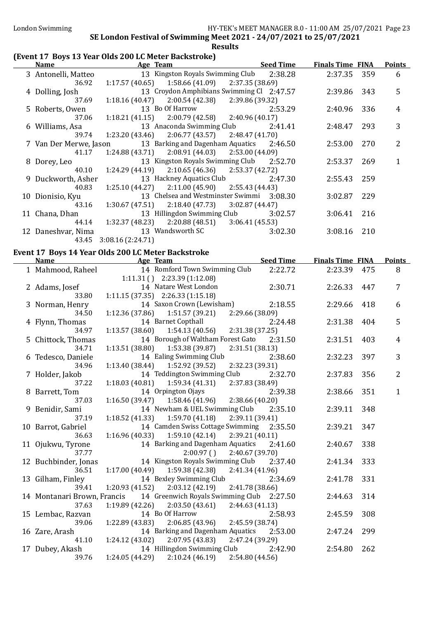### (Event 17 Boys 13 Year Olds 200 LC Meter Backstroke)

| <b>Name</b>            | Age Team                                           | <b>Seed Time</b> | <b>Finals Time FINA</b> |     | <b>Points</b> |
|------------------------|----------------------------------------------------|------------------|-------------------------|-----|---------------|
| 3 Antonelli, Matteo    | 13 Kingston Royals Swimming Club 2:38.28           |                  | 2:37.35 359             |     | 6             |
| 36.92                  | $1:17.57(40.65)$ $1:58.66(41.09)$ $2:37.35(38.69)$ |                  |                         |     |               |
| 4 Dolling, Josh        | 13 Croydon Amphibians Swimming Cl 2:47.57          |                  | 2:39.86                 | 343 | 5             |
| 37.69                  | $1:18.16(40.47)$ $2:00.54(42.38)$ $2:39.86(39.32)$ |                  |                         |     |               |
| 5 Roberts, Owen        | 13 Bo Of Harrow                                    | 2:53.29          | 2:40.96                 | 336 | 4             |
| 37.06                  | $1:18.21(41.15)$ $2:00.79(42.58)$ $2:40.96(40.17)$ |                  |                         |     |               |
| 6 Williams, Asa        | 13 Anaconda Swimming Club                          | 2:41.41          | 2:48.47                 | 293 | 3             |
| 39.74                  | $1:23.20(43.46)$ $2:06.77(43.57)$ $2:48.47(41.70)$ |                  |                         |     |               |
| 7 Van Der Merwe, Jason | 13 Barking and Dagenham Aquatics 2:46.50           |                  | 2:53.00                 | 270 | 2             |
| 41.17                  | $1:24.88(43.71)$ $2:08.91(44.03)$ $2:53.00(44.09)$ |                  |                         |     |               |
| 8 Dorey, Leo           | 13 Kingston Royals Swimming Club 2:52.70           |                  | 2:53.37                 | 269 |               |
| 40.10                  | $1:24.29(44.19)$ $2:10.65(46.36)$ $2:53.37(42.72)$ |                  |                         |     |               |
| 9 Duckworth, Asher     | 13 Hackney Aquatics Club                           | 2:47.30          | 2:55.43                 | 259 |               |
| 40.83                  | $1:25.10(44.27)$ $2:11.00(45.90)$ $2:55.43(44.43)$ |                  |                         |     |               |
| 10 Dionisio, Kyu       | 13 Chelsea and Westminster Swimmi 3:08.30          |                  | 3:02.87                 | 229 |               |
| 43.16                  | $1:30.67(47.51)$ $2:18.40(47.73)$ $3:02.87(44.47)$ |                  |                         |     |               |
| 11 Chana, Dhan         | 13 Hillingdon Swimming Club                        | 3:02.57          | 3:06.41                 | 216 |               |
| 44.14                  | $1:32.37(48.23)$ $2:20.88(48.51)$ $3:06.41(45.53)$ |                  |                         |     |               |
| 12 Daneshvar, Nima     | 13 Wandsworth SC                                   | 3:02.30          | 3:08.16                 | 210 |               |
| 43.45                  | 3:08.16 (2:24.71)                                  |                  |                         |     |               |

### Event 17 Boys 14 Year Olds 200 LC Meter Backstroke

| <b>Name</b>                 | Age Team                                  | <b>Seed Time</b> | <b>Finals Time FINA</b> |     | <b>Points</b>  |
|-----------------------------|-------------------------------------------|------------------|-------------------------|-----|----------------|
| 1 Mahmood, Raheel           | 14 Romford Town Swimming Club             | 2:22.72          | 2:23.39                 | 475 | 8              |
|                             | $1:11.31()$ $2:23.39(1:12.08)$            |                  |                         |     |                |
| 2 Adams, Josef              | 14 Natare West London                     | 2:30.71          | 2:26.33                 | 447 | $\overline{7}$ |
| 33.80                       | $1:11.15(37.35)$ $2:26.33(1:15.18)$       |                  |                         |     |                |
| 3 Norman, Henry             | 14 Saxon Crown (Lewisham)                 | 2:18.55          | 2:29.66                 | 418 | 6              |
| 34.50                       | $1:12.36(37.86)$ $1:51.57(39.21)$         | 2:29.66 (38.09)  |                         |     |                |
| 4 Flynn, Thomas             | 14 Barnet Copthall                        | 2:24.48          | 2:31.38                 | 404 | 5              |
| 34.97                       | $1:13.57(38.60)$ $1:54.13(40.56)$         | 2:31.38 (37.25)  |                         |     |                |
| 5 Chittock, Thomas          | 14 Borough of Waltham Forest Gato         | 2:31.50          | 2:31.51                 | 403 | $\overline{4}$ |
| 34.71                       | 1:13.51(38.80)<br>1:53.38 (39.87)         | 2:31.51 (38.13)  |                         |     |                |
| 6 Tedesco, Daniele          | 14 Ealing Swimming Club                   | 2:38.60          | 2:32.23                 | 397 | 3              |
| 34.96                       | 1:52.92 (39.52)<br>1:13.40 (38.44)        | 2:32.23 (39.31)  |                         |     |                |
| 7 Holder, Jakob             | 14 Teddington Swimming Club               | 2:32.70          | 2:37.83                 | 356 | $\overline{2}$ |
| 37.22                       | $1:18.03(40.81)$ $1:59.34(41.31)$         | 2:37.83 (38.49)  |                         |     |                |
| 8 Barrett, Tom              | 14 Orpington Ojays                        | 2:39.38          | 2:38.66                 | 351 | $\mathbf{1}$   |
| 37.03                       | 1:16.50(39.47)<br>1:58.46 (41.96)         | 2:38.66 (40.20)  |                         |     |                |
| 9 Benidir, Sami             | 14 Newham & UEL Swimming Club             | 2:35.10          | 2:39.11                 | 348 |                |
| 37.19                       | 1:59.70(41.18)<br>1:18.52(41.33)          | 2:39.11 (39.41)  |                         |     |                |
| 10 Barrot, Gabriel          | 14 Camden Swiss Cottage Swimming 2:35.50  |                  | 2:39.21                 | 347 |                |
| 36.63                       | $1:16.96(40.33)$ $1:59.10(42.14)$         | 2:39.21(40.11)   |                         |     |                |
| 11 Ojukwu, Tyrone           | 14 Barking and Dagenham Aquatics 2:41.60  |                  | 2:40.67                 | 338 |                |
| 37.77                       | 2:00.97()                                 | 2:40.67 (39.70)  |                         |     |                |
| 12 Buchbinder, Jonas        | 14 Kingston Royals Swimming Club 2:37.40  |                  | 2:41.34                 | 333 |                |
| 36.51                       | $1:17.00(40.49)$ $1:59.38(42.38)$         | 2:41.34 (41.96)  |                         |     |                |
| 13 Gilham, Finley           | 14 Bexley Swimming Club                   | 2:34.69          | 2:41.78                 | 331 |                |
| 39.41                       | 1:20.93(41.52)<br>2:03.12 (42.19)         | 2:41.78 (38.66)  |                         |     |                |
| 14 Montanari Brown, Francis | 14 Greenwich Royals Swimming Club 2:27.50 |                  | 2:44.63                 | 314 |                |
| 37.63                       | $1:19.89(42.26)$ $2:03.50(43.61)$         | 2:44.63(41.13)   |                         |     |                |
| 15 Lembac, Razvan           | 14 Bo Of Harrow                           | 2:58.93          | 2:45.59                 | 308 |                |
| 39.06                       | 1:22.89 (43.83)<br>2:06.85(43.96)         | 2:45.59 (38.74)  |                         |     |                |
| 16 Zare, Arash              | 14 Barking and Dagenham Aquatics          | 2:53.00          | 2:47.24                 | 299 |                |
| 41.10                       | 1:24.12(43.02)<br>2:07.95 (43.83)         | 2:47.24 (39.29)  |                         |     |                |
| 17 Dubey, Akash             | 14 Hillingdon Swimming Club               | 2:42.90          | 2:54.80                 | 262 |                |
| 39.76                       | 1:24.05 (44.29)<br>2:10.24(46.19)         | 2:54.80 (44.56)  |                         |     |                |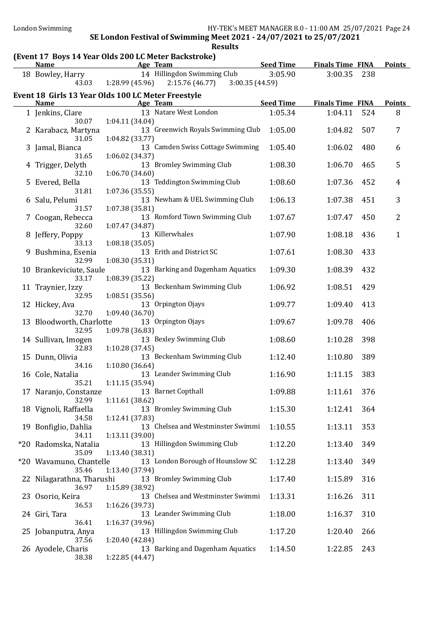### (Event 17 Boys 14 Year Olds 200 LC Meter Backstroke)

| $\frac{1}{2}$<br>Name                              | <b>Example 2016</b> Age Team       |                                               | <b>Seed Time</b>   | <b>Finals Time FINA</b> |            | <b>Points</b>  |
|----------------------------------------------------|------------------------------------|-----------------------------------------------|--------------------|-------------------------|------------|----------------|
| 18 Bowley, Harry                                   |                                    | 14 Hillingdon Swimming Club                   | 3:05.90            | 3:00.35                 | 238        |                |
| 43.03                                              | 1:28.99 (45.96)                    | 2:15.76(46.77)<br>3:00.35 (44.59)             |                    |                         |            |                |
| Event 18 Girls 13 Year Olds 100 LC Meter Freestyle |                                    |                                               |                    |                         |            |                |
| <b>Name</b>                                        |                                    | Age Team                                      | <b>Seed Time</b>   | <b>Finals Time FINA</b> |            | <b>Points</b>  |
| 1 Jenkins, Clare                                   |                                    | 13 Natare West London                         | 1:05.34            | 1:04.11                 | 524        | 8              |
| 30.07<br>2 Karabacz, Martyna                       | 1:04.11(34.04)                     | 13 Greenwich Royals Swimming Club             | 1:05.00            | 1:04.82                 | 507        | 7              |
| 31.05<br>3 Jamal, Bianca<br>31.65                  | 1:04.82 (33.77)<br>1:06.02(34.37)  | 13 Camden Swiss Cottage Swimming              | 1:05.40            | 1:06.02                 | 480        | 6              |
| 4 Trigger, Delyth<br>32.10                         | 1:06.70(34.60)                     | 13 Bromley Swimming Club                      | 1:08.30            | 1:06.70                 | 465        | 5              |
| 5 Evered, Bella<br>31.81                           | 1:07.36(35.55)                     | 13 Teddington Swimming Club                   | 1:08.60            | 1:07.36                 | 452        | $\overline{4}$ |
| 6 Salu, Pelumi<br>31.57                            | 1:07.38(35.81)                     | 13 Newham & UEL Swimming Club                 | 1:06.13            | 1:07.38                 | 451        | 3              |
| 7 Coogan, Rebecca<br>32.60                         | 1:07.47 (34.87)                    | 13 Romford Town Swimming Club                 | 1:07.67            | 1:07.47                 | 450        | $\overline{2}$ |
| 8 Jeffery, Poppy<br>33.13                          | 1:08.18(35.05)                     | 13 Killerwhales                               | 1:07.90            | 1:08.18                 | 436        | $\mathbf{1}$   |
| 9 Bushmina, Esenia<br>32.99                        | 1:08.30(35.31)                     | 13 Erith and District SC                      | 1:07.61            | 1:08.30                 | 433        |                |
| 10 Brankeviciute, Saule<br>33.17                   | 1:08.39 (35.22)                    | 13 Barking and Dagenham Aquatics              | 1:09.30            | 1:08.39                 | 432        |                |
| 11 Traynier, Izzy<br>32.95                         | 1:08.51(35.56)                     | 13 Beckenham Swimming Club                    | 1:06.92            | 1:08.51                 | 429        |                |
| 12 Hickey, Ava<br>32.70                            | 1:09.40 (36.70)                    | 13 Orpington Ojays                            | 1:09.77            | 1:09.40                 | 413        |                |
| 13 Bloodworth, Charlotte<br>32.95                  | 1:09.78 (36.83)                    | 13 Orpington Ojays<br>13 Bexley Swimming Club | 1:09.67<br>1:08.60 | 1:09.78<br>1:10.28      | 406<br>398 |                |
| 14 Sullivan, Imogen<br>32.83<br>15 Dunn, Olivia    | 1:10.28 (37.45)                    | 13 Beckenham Swimming Club                    | 1:12.40            | 1:10.80                 | 389        |                |
| 34.16<br>16 Cole, Natalia                          | 1:10.80 (36.64)                    | 13 Leander Swimming Club                      | 1:16.90            | 1:11.15                 | 383        |                |
| 35.21<br>17 Naranjo, Constanze                     | 1:11.15(35.94)                     | 13 Barnet Copthall                            | 1:09.88            | 1:11.61                 | 376        |                |
| 32.99<br>18 Vignoli, Raffaella                     | 1:11.61(38.62)                     | 13 Bromley Swimming Club                      | 1:15.30            | 1:12.41                 | 364        |                |
| 34.58<br>19 Bonfiglio, Dahlia                      | 1:12.41 (37.83)                    | 13 Chelsea and Westminster Swimmi             | 1:10.55            | 1:13.11                 | 353        |                |
| 34.11<br>*20 Radomska, Natalia                     | 1:13.11 (39.00)                    | 13 Hillingdon Swimming Club                   | 1:12.20            | 1:13.40                 | 349        |                |
| 35.09<br>*20 Wavamuno, Chantelle                   | 1:13.40 (38.31)                    | 13 London Borough of Hounslow SC              | 1:12.28            | 1:13.40                 | 349        |                |
| 35.46<br>22 Nilagarathna, Tharushi                 | 1:13.40 (37.94)                    | 13 Bromley Swimming Club                      | 1:17.40            | 1:15.89                 | 316        |                |
| 36.97<br>23 Osorio, Keira                          | 1:15.89 (38.92)                    | 13 Chelsea and Westminster Swimmi             | 1:13.31            | 1:16.26                 | 311        |                |
| 36.53<br>24 Giri, Tara<br>36.41                    | 1:16.26 (39.73)<br>1:16.37 (39.96) | 13 Leander Swimming Club                      | 1:18.00            | 1:16.37                 | 310        |                |
| 25 Jobanputra, Anya<br>37.56                       | 1:20.40 (42.84)                    | 13 Hillingdon Swimming Club                   | 1:17.20            | 1:20.40                 | 266        |                |
| 26 Ayodele, Charis<br>38.38                        | 1:22.85 (44.47)                    | 13 Barking and Dagenham Aquatics              | 1:14.50            | 1:22.85                 | 243        |                |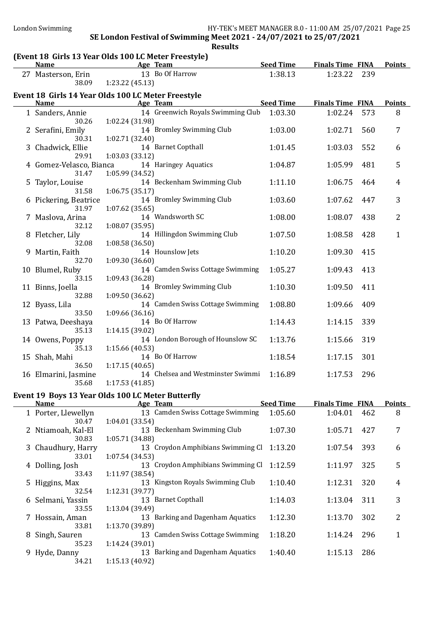| 13 Bo Of Harrow<br>1:38.13<br>1:23.22<br>239<br>27 Masterson, Erin<br>1:23.22 (45.13)<br>38.09<br>Event 18 Girls 14 Year Olds 100 LC Meter Freestyle<br><b>Seed Time</b><br><b>Finals Time FINA</b><br><b>Points</b><br><b>Name</b><br>Age Team<br>14 Greenwich Royals Swimming Club<br>1:03.30<br>1:02.24<br>573<br>8<br>1 Sanders, Annie<br>30.26<br>1:02.24 (31.98)<br>14 Bromley Swimming Club<br>1:03.00<br>560<br>2 Serafini, Emily<br>1:02.71<br>7<br>30.31<br>1:02.71 (32.40)<br>14 Barnet Copthall<br>3 Chadwick, Ellie<br>1:01.45<br>1:03.03<br>552<br>6<br>29.91<br>1:03.03(33.12)<br>14 Haringey Aquatics<br>1:04.87<br>1:05.99<br>5<br>4 Gomez-Velasco, Bianca<br>481<br>1:05.99 (34.52)<br>31.47<br>14 Beckenham Swimming Club<br>1:11.10<br>1:06.75<br>5 Taylor, Louise<br>464<br>4<br>1:06.75(35.17)<br>31.58<br>14 Bromley Swimming Club<br>3<br>1:03.60<br>6 Pickering, Beatrice<br>1:07.62<br>447<br>31.97<br>1:07.62(35.65)<br>2<br>14 Wandsworth SC<br>1:08.00<br>1:08.07<br>Maslova, Arina<br>438<br>32.12<br>1:08.07(35.95)<br>14 Hillingdon Swimming Club<br>8 Fletcher, Lily<br>1:07.50<br>1:08.58<br>$\mathbf{1}$<br>428<br>32.08<br>1:08.58(36.50)<br>14 Hounslow Jets<br>1:10.20<br>1:09.30<br>Martin, Faith<br>415<br>32.70<br>1:09.30(36.60)<br>14 Camden Swiss Cottage Swimming<br>1:05.27<br>413<br>10 Blumel, Ruby<br>1:09.43<br>33.15<br>1:09.43 (36.28)<br>14 Bromley Swimming Club<br>1:10.30<br>1:09.50<br>11 Binns, Joella<br>411<br>32.88<br>1:09.50(36.62)<br>14 Camden Swiss Cottage Swimming<br>1:08.80<br>1:09.66<br>409<br>12 Byass, Lila<br>33.50<br>1:09.66(36.16)<br>14 Bo Of Harrow<br>1:14.43<br>339<br>13 Patwa, Deeshaya<br>1:14.15<br>35.13<br>1:14.15(39.02)<br>14 London Borough of Hounslow SC<br>1:13.76<br>319<br>14 Owens, Poppy<br>1:15.66<br>35.13<br>1:15.66(40.53)<br>14 Bo Of Harrow<br>1:18.54<br>301<br>15 Shah, Mahi<br>1:17.15<br>36.50<br>1:17.15(40.65)<br>14 Chelsea and Westminster Swimmi<br>1:16.89<br>296<br>16 Elmarini, Jasmine<br>1:17.53<br>1:17.53(41.85)<br>35.68<br>Event 19 Boys 13 Year Olds 100 LC Meter Butterfly<br><b>Seed Time</b><br><b>Finals Time FINA</b><br><b>Points</b><br><b>Name</b><br>Age Team<br>13 Camden Swiss Cottage Swimming<br>1 Porter, Llewellyn<br>1:05.60<br>1:04.01<br>462<br>8<br>1:04.01(33.54)<br>30.47<br>13 Beckenham Swimming Club<br>1:07.30<br>2 Ntiamoah, Kal-El<br>1:05.71<br>427<br>7<br>1:05.71 (34.88)<br>30.83<br>13 Croydon Amphibians Swimming Cl<br>1:13.20<br>3 Chaudhury, Harry<br>1:07.54<br>393<br>6<br>1:07.54(34.53)<br>33.01<br>13 Croydon Amphibians Swimming Cl<br>1:12.59<br>5<br>4 Dolling, Josh<br>1:11.97<br>325<br>33.43<br>1:11.97 (38.54)<br>13 Kingston Royals Swimming Club<br>1:10.40<br>1:12.31<br>320<br>5 Higgins, Max<br>4<br>1:12.31 (39.77)<br>32.54<br>13 Barnet Copthall<br>1:14.03<br>1:13.04<br>3<br>Selmani, Yassin<br>311<br>6<br>1:13.04 (39.49)<br>33.55<br>13 Barking and Dagenham Aquatics<br>1:12.30<br>2<br>1:13.70<br>302<br>7 Hossain, Aman<br>1:13.70 (39.89)<br>33.81<br>13 Camden Swiss Cottage Swimming<br>1:18.20<br>1:14.24<br>296<br>8 Singh, Sauren<br>1<br>35.23<br>1:14.24 (39.01)<br>13 Barking and Dagenham Aquatics<br>1:40.40<br>Hyde, Danny<br>1:15.13<br>286<br>9<br>34.21<br>1:15.13 (40.92) | (Event 18 Girls 13 Year Olds 100 LC Meter Freestyle)<br><b>Name</b> | Age Team | <b>Seed Time</b> | <b>Finals Time FINA</b> | <b>Points</b> |
|--------------------------------------------------------------------------------------------------------------------------------------------------------------------------------------------------------------------------------------------------------------------------------------------------------------------------------------------------------------------------------------------------------------------------------------------------------------------------------------------------------------------------------------------------------------------------------------------------------------------------------------------------------------------------------------------------------------------------------------------------------------------------------------------------------------------------------------------------------------------------------------------------------------------------------------------------------------------------------------------------------------------------------------------------------------------------------------------------------------------------------------------------------------------------------------------------------------------------------------------------------------------------------------------------------------------------------------------------------------------------------------------------------------------------------------------------------------------------------------------------------------------------------------------------------------------------------------------------------------------------------------------------------------------------------------------------------------------------------------------------------------------------------------------------------------------------------------------------------------------------------------------------------------------------------------------------------------------------------------------------------------------------------------------------------------------------------------------------------------------------------------------------------------------------------------------------------------------------------------------------------------------------------------------------------------------------------------------------------------------------------------------------------------------------------------------------------------------------------------------------------------------------------------------------------------------------------------------------------------------------------------------------------------------------------------------------------------------------------------------------------------------------------------------------------------------------------------------------------------------------------------------------------------------------------------------------------------------------------------------------------------------------------------------------------------------------------------------------------------------------------------------------------------------------------------------------------------------------------------------------------------------------------------|---------------------------------------------------------------------|----------|------------------|-------------------------|---------------|
|                                                                                                                                                                                                                                                                                                                                                                                                                                                                                                                                                                                                                                                                                                                                                                                                                                                                                                                                                                                                                                                                                                                                                                                                                                                                                                                                                                                                                                                                                                                                                                                                                                                                                                                                                                                                                                                                                                                                                                                                                                                                                                                                                                                                                                                                                                                                                                                                                                                                                                                                                                                                                                                                                                                                                                                                                                                                                                                                                                                                                                                                                                                                                                                                                                                                                      |                                                                     |          |                  |                         |               |
|                                                                                                                                                                                                                                                                                                                                                                                                                                                                                                                                                                                                                                                                                                                                                                                                                                                                                                                                                                                                                                                                                                                                                                                                                                                                                                                                                                                                                                                                                                                                                                                                                                                                                                                                                                                                                                                                                                                                                                                                                                                                                                                                                                                                                                                                                                                                                                                                                                                                                                                                                                                                                                                                                                                                                                                                                                                                                                                                                                                                                                                                                                                                                                                                                                                                                      |                                                                     |          |                  |                         |               |
|                                                                                                                                                                                                                                                                                                                                                                                                                                                                                                                                                                                                                                                                                                                                                                                                                                                                                                                                                                                                                                                                                                                                                                                                                                                                                                                                                                                                                                                                                                                                                                                                                                                                                                                                                                                                                                                                                                                                                                                                                                                                                                                                                                                                                                                                                                                                                                                                                                                                                                                                                                                                                                                                                                                                                                                                                                                                                                                                                                                                                                                                                                                                                                                                                                                                                      |                                                                     |          |                  |                         |               |
|                                                                                                                                                                                                                                                                                                                                                                                                                                                                                                                                                                                                                                                                                                                                                                                                                                                                                                                                                                                                                                                                                                                                                                                                                                                                                                                                                                                                                                                                                                                                                                                                                                                                                                                                                                                                                                                                                                                                                                                                                                                                                                                                                                                                                                                                                                                                                                                                                                                                                                                                                                                                                                                                                                                                                                                                                                                                                                                                                                                                                                                                                                                                                                                                                                                                                      |                                                                     |          |                  |                         |               |
|                                                                                                                                                                                                                                                                                                                                                                                                                                                                                                                                                                                                                                                                                                                                                                                                                                                                                                                                                                                                                                                                                                                                                                                                                                                                                                                                                                                                                                                                                                                                                                                                                                                                                                                                                                                                                                                                                                                                                                                                                                                                                                                                                                                                                                                                                                                                                                                                                                                                                                                                                                                                                                                                                                                                                                                                                                                                                                                                                                                                                                                                                                                                                                                                                                                                                      |                                                                     |          |                  |                         |               |
|                                                                                                                                                                                                                                                                                                                                                                                                                                                                                                                                                                                                                                                                                                                                                                                                                                                                                                                                                                                                                                                                                                                                                                                                                                                                                                                                                                                                                                                                                                                                                                                                                                                                                                                                                                                                                                                                                                                                                                                                                                                                                                                                                                                                                                                                                                                                                                                                                                                                                                                                                                                                                                                                                                                                                                                                                                                                                                                                                                                                                                                                                                                                                                                                                                                                                      |                                                                     |          |                  |                         |               |
|                                                                                                                                                                                                                                                                                                                                                                                                                                                                                                                                                                                                                                                                                                                                                                                                                                                                                                                                                                                                                                                                                                                                                                                                                                                                                                                                                                                                                                                                                                                                                                                                                                                                                                                                                                                                                                                                                                                                                                                                                                                                                                                                                                                                                                                                                                                                                                                                                                                                                                                                                                                                                                                                                                                                                                                                                                                                                                                                                                                                                                                                                                                                                                                                                                                                                      |                                                                     |          |                  |                         |               |
|                                                                                                                                                                                                                                                                                                                                                                                                                                                                                                                                                                                                                                                                                                                                                                                                                                                                                                                                                                                                                                                                                                                                                                                                                                                                                                                                                                                                                                                                                                                                                                                                                                                                                                                                                                                                                                                                                                                                                                                                                                                                                                                                                                                                                                                                                                                                                                                                                                                                                                                                                                                                                                                                                                                                                                                                                                                                                                                                                                                                                                                                                                                                                                                                                                                                                      |                                                                     |          |                  |                         |               |
|                                                                                                                                                                                                                                                                                                                                                                                                                                                                                                                                                                                                                                                                                                                                                                                                                                                                                                                                                                                                                                                                                                                                                                                                                                                                                                                                                                                                                                                                                                                                                                                                                                                                                                                                                                                                                                                                                                                                                                                                                                                                                                                                                                                                                                                                                                                                                                                                                                                                                                                                                                                                                                                                                                                                                                                                                                                                                                                                                                                                                                                                                                                                                                                                                                                                                      |                                                                     |          |                  |                         |               |
|                                                                                                                                                                                                                                                                                                                                                                                                                                                                                                                                                                                                                                                                                                                                                                                                                                                                                                                                                                                                                                                                                                                                                                                                                                                                                                                                                                                                                                                                                                                                                                                                                                                                                                                                                                                                                                                                                                                                                                                                                                                                                                                                                                                                                                                                                                                                                                                                                                                                                                                                                                                                                                                                                                                                                                                                                                                                                                                                                                                                                                                                                                                                                                                                                                                                                      |                                                                     |          |                  |                         |               |
|                                                                                                                                                                                                                                                                                                                                                                                                                                                                                                                                                                                                                                                                                                                                                                                                                                                                                                                                                                                                                                                                                                                                                                                                                                                                                                                                                                                                                                                                                                                                                                                                                                                                                                                                                                                                                                                                                                                                                                                                                                                                                                                                                                                                                                                                                                                                                                                                                                                                                                                                                                                                                                                                                                                                                                                                                                                                                                                                                                                                                                                                                                                                                                                                                                                                                      |                                                                     |          |                  |                         |               |
|                                                                                                                                                                                                                                                                                                                                                                                                                                                                                                                                                                                                                                                                                                                                                                                                                                                                                                                                                                                                                                                                                                                                                                                                                                                                                                                                                                                                                                                                                                                                                                                                                                                                                                                                                                                                                                                                                                                                                                                                                                                                                                                                                                                                                                                                                                                                                                                                                                                                                                                                                                                                                                                                                                                                                                                                                                                                                                                                                                                                                                                                                                                                                                                                                                                                                      |                                                                     |          |                  |                         |               |
|                                                                                                                                                                                                                                                                                                                                                                                                                                                                                                                                                                                                                                                                                                                                                                                                                                                                                                                                                                                                                                                                                                                                                                                                                                                                                                                                                                                                                                                                                                                                                                                                                                                                                                                                                                                                                                                                                                                                                                                                                                                                                                                                                                                                                                                                                                                                                                                                                                                                                                                                                                                                                                                                                                                                                                                                                                                                                                                                                                                                                                                                                                                                                                                                                                                                                      |                                                                     |          |                  |                         |               |
|                                                                                                                                                                                                                                                                                                                                                                                                                                                                                                                                                                                                                                                                                                                                                                                                                                                                                                                                                                                                                                                                                                                                                                                                                                                                                                                                                                                                                                                                                                                                                                                                                                                                                                                                                                                                                                                                                                                                                                                                                                                                                                                                                                                                                                                                                                                                                                                                                                                                                                                                                                                                                                                                                                                                                                                                                                                                                                                                                                                                                                                                                                                                                                                                                                                                                      |                                                                     |          |                  |                         |               |
|                                                                                                                                                                                                                                                                                                                                                                                                                                                                                                                                                                                                                                                                                                                                                                                                                                                                                                                                                                                                                                                                                                                                                                                                                                                                                                                                                                                                                                                                                                                                                                                                                                                                                                                                                                                                                                                                                                                                                                                                                                                                                                                                                                                                                                                                                                                                                                                                                                                                                                                                                                                                                                                                                                                                                                                                                                                                                                                                                                                                                                                                                                                                                                                                                                                                                      |                                                                     |          |                  |                         |               |
|                                                                                                                                                                                                                                                                                                                                                                                                                                                                                                                                                                                                                                                                                                                                                                                                                                                                                                                                                                                                                                                                                                                                                                                                                                                                                                                                                                                                                                                                                                                                                                                                                                                                                                                                                                                                                                                                                                                                                                                                                                                                                                                                                                                                                                                                                                                                                                                                                                                                                                                                                                                                                                                                                                                                                                                                                                                                                                                                                                                                                                                                                                                                                                                                                                                                                      |                                                                     |          |                  |                         |               |
|                                                                                                                                                                                                                                                                                                                                                                                                                                                                                                                                                                                                                                                                                                                                                                                                                                                                                                                                                                                                                                                                                                                                                                                                                                                                                                                                                                                                                                                                                                                                                                                                                                                                                                                                                                                                                                                                                                                                                                                                                                                                                                                                                                                                                                                                                                                                                                                                                                                                                                                                                                                                                                                                                                                                                                                                                                                                                                                                                                                                                                                                                                                                                                                                                                                                                      |                                                                     |          |                  |                         |               |
|                                                                                                                                                                                                                                                                                                                                                                                                                                                                                                                                                                                                                                                                                                                                                                                                                                                                                                                                                                                                                                                                                                                                                                                                                                                                                                                                                                                                                                                                                                                                                                                                                                                                                                                                                                                                                                                                                                                                                                                                                                                                                                                                                                                                                                                                                                                                                                                                                                                                                                                                                                                                                                                                                                                                                                                                                                                                                                                                                                                                                                                                                                                                                                                                                                                                                      |                                                                     |          |                  |                         |               |
|                                                                                                                                                                                                                                                                                                                                                                                                                                                                                                                                                                                                                                                                                                                                                                                                                                                                                                                                                                                                                                                                                                                                                                                                                                                                                                                                                                                                                                                                                                                                                                                                                                                                                                                                                                                                                                                                                                                                                                                                                                                                                                                                                                                                                                                                                                                                                                                                                                                                                                                                                                                                                                                                                                                                                                                                                                                                                                                                                                                                                                                                                                                                                                                                                                                                                      |                                                                     |          |                  |                         |               |
|                                                                                                                                                                                                                                                                                                                                                                                                                                                                                                                                                                                                                                                                                                                                                                                                                                                                                                                                                                                                                                                                                                                                                                                                                                                                                                                                                                                                                                                                                                                                                                                                                                                                                                                                                                                                                                                                                                                                                                                                                                                                                                                                                                                                                                                                                                                                                                                                                                                                                                                                                                                                                                                                                                                                                                                                                                                                                                                                                                                                                                                                                                                                                                                                                                                                                      |                                                                     |          |                  |                         |               |
|                                                                                                                                                                                                                                                                                                                                                                                                                                                                                                                                                                                                                                                                                                                                                                                                                                                                                                                                                                                                                                                                                                                                                                                                                                                                                                                                                                                                                                                                                                                                                                                                                                                                                                                                                                                                                                                                                                                                                                                                                                                                                                                                                                                                                                                                                                                                                                                                                                                                                                                                                                                                                                                                                                                                                                                                                                                                                                                                                                                                                                                                                                                                                                                                                                                                                      |                                                                     |          |                  |                         |               |
|                                                                                                                                                                                                                                                                                                                                                                                                                                                                                                                                                                                                                                                                                                                                                                                                                                                                                                                                                                                                                                                                                                                                                                                                                                                                                                                                                                                                                                                                                                                                                                                                                                                                                                                                                                                                                                                                                                                                                                                                                                                                                                                                                                                                                                                                                                                                                                                                                                                                                                                                                                                                                                                                                                                                                                                                                                                                                                                                                                                                                                                                                                                                                                                                                                                                                      |                                                                     |          |                  |                         |               |
|                                                                                                                                                                                                                                                                                                                                                                                                                                                                                                                                                                                                                                                                                                                                                                                                                                                                                                                                                                                                                                                                                                                                                                                                                                                                                                                                                                                                                                                                                                                                                                                                                                                                                                                                                                                                                                                                                                                                                                                                                                                                                                                                                                                                                                                                                                                                                                                                                                                                                                                                                                                                                                                                                                                                                                                                                                                                                                                                                                                                                                                                                                                                                                                                                                                                                      |                                                                     |          |                  |                         |               |
|                                                                                                                                                                                                                                                                                                                                                                                                                                                                                                                                                                                                                                                                                                                                                                                                                                                                                                                                                                                                                                                                                                                                                                                                                                                                                                                                                                                                                                                                                                                                                                                                                                                                                                                                                                                                                                                                                                                                                                                                                                                                                                                                                                                                                                                                                                                                                                                                                                                                                                                                                                                                                                                                                                                                                                                                                                                                                                                                                                                                                                                                                                                                                                                                                                                                                      |                                                                     |          |                  |                         |               |
|                                                                                                                                                                                                                                                                                                                                                                                                                                                                                                                                                                                                                                                                                                                                                                                                                                                                                                                                                                                                                                                                                                                                                                                                                                                                                                                                                                                                                                                                                                                                                                                                                                                                                                                                                                                                                                                                                                                                                                                                                                                                                                                                                                                                                                                                                                                                                                                                                                                                                                                                                                                                                                                                                                                                                                                                                                                                                                                                                                                                                                                                                                                                                                                                                                                                                      |                                                                     |          |                  |                         |               |
|                                                                                                                                                                                                                                                                                                                                                                                                                                                                                                                                                                                                                                                                                                                                                                                                                                                                                                                                                                                                                                                                                                                                                                                                                                                                                                                                                                                                                                                                                                                                                                                                                                                                                                                                                                                                                                                                                                                                                                                                                                                                                                                                                                                                                                                                                                                                                                                                                                                                                                                                                                                                                                                                                                                                                                                                                                                                                                                                                                                                                                                                                                                                                                                                                                                                                      |                                                                     |          |                  |                         |               |
|                                                                                                                                                                                                                                                                                                                                                                                                                                                                                                                                                                                                                                                                                                                                                                                                                                                                                                                                                                                                                                                                                                                                                                                                                                                                                                                                                                                                                                                                                                                                                                                                                                                                                                                                                                                                                                                                                                                                                                                                                                                                                                                                                                                                                                                                                                                                                                                                                                                                                                                                                                                                                                                                                                                                                                                                                                                                                                                                                                                                                                                                                                                                                                                                                                                                                      |                                                                     |          |                  |                         |               |
|                                                                                                                                                                                                                                                                                                                                                                                                                                                                                                                                                                                                                                                                                                                                                                                                                                                                                                                                                                                                                                                                                                                                                                                                                                                                                                                                                                                                                                                                                                                                                                                                                                                                                                                                                                                                                                                                                                                                                                                                                                                                                                                                                                                                                                                                                                                                                                                                                                                                                                                                                                                                                                                                                                                                                                                                                                                                                                                                                                                                                                                                                                                                                                                                                                                                                      |                                                                     |          |                  |                         |               |
|                                                                                                                                                                                                                                                                                                                                                                                                                                                                                                                                                                                                                                                                                                                                                                                                                                                                                                                                                                                                                                                                                                                                                                                                                                                                                                                                                                                                                                                                                                                                                                                                                                                                                                                                                                                                                                                                                                                                                                                                                                                                                                                                                                                                                                                                                                                                                                                                                                                                                                                                                                                                                                                                                                                                                                                                                                                                                                                                                                                                                                                                                                                                                                                                                                                                                      |                                                                     |          |                  |                         |               |
|                                                                                                                                                                                                                                                                                                                                                                                                                                                                                                                                                                                                                                                                                                                                                                                                                                                                                                                                                                                                                                                                                                                                                                                                                                                                                                                                                                                                                                                                                                                                                                                                                                                                                                                                                                                                                                                                                                                                                                                                                                                                                                                                                                                                                                                                                                                                                                                                                                                                                                                                                                                                                                                                                                                                                                                                                                                                                                                                                                                                                                                                                                                                                                                                                                                                                      |                                                                     |          |                  |                         |               |
|                                                                                                                                                                                                                                                                                                                                                                                                                                                                                                                                                                                                                                                                                                                                                                                                                                                                                                                                                                                                                                                                                                                                                                                                                                                                                                                                                                                                                                                                                                                                                                                                                                                                                                                                                                                                                                                                                                                                                                                                                                                                                                                                                                                                                                                                                                                                                                                                                                                                                                                                                                                                                                                                                                                                                                                                                                                                                                                                                                                                                                                                                                                                                                                                                                                                                      |                                                                     |          |                  |                         |               |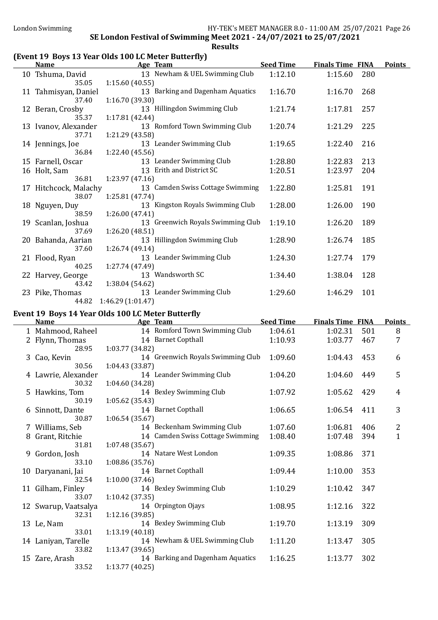### (Event 19 Boys 13 Year Olds 100 LC Meter Butterfly)

| <b>Name</b>           |                           | Age Team                          | <b>Seed Time</b> | <b>Finals Time FINA</b> |     | <b>Points</b> |
|-----------------------|---------------------------|-----------------------------------|------------------|-------------------------|-----|---------------|
| 10 Tshuma, David      |                           | 13 Newham & UEL Swimming Club     | 1:12.10          | 1:15.60                 | 280 |               |
|                       | 1:15.60(40.55)<br>35.05   |                                   |                  |                         |     |               |
| 11 Tahmisyan, Daniel  |                           | 13 Barking and Dagenham Aquatics  | 1:16.70          | 1:16.70                 | 268 |               |
|                       | 1:16.70 (39.30)<br>37.40  |                                   |                  |                         |     |               |
| 12 Beran, Crosby      |                           | 13 Hillingdon Swimming Club       | 1:21.74          | 1:17.81                 | 257 |               |
|                       | 1:17.81 (42.44)<br>35.37  |                                   |                  |                         |     |               |
| 13 Ivanov, Alexander  |                           | 13 Romford Town Swimming Club     | 1:20.74          | 1:21.29                 | 225 |               |
|                       | 37.71<br>1:21.29 (43.58)  |                                   |                  |                         |     |               |
| 14 Jennings, Joe      |                           | 13 Leander Swimming Club          | 1:19.65          | 1:22.40                 | 216 |               |
|                       | 36.84<br>1:22.40 (45.56)  |                                   |                  |                         |     |               |
| 15 Farnell, Oscar     |                           | 13 Leander Swimming Club          | 1:28.80          | 1:22.83                 | 213 |               |
| 16 Holt, Sam          |                           | 13 Erith and District SC          | 1:20.51          | 1:23.97                 | 204 |               |
|                       | 36.81<br>1:23.97(47.16)   |                                   |                  |                         |     |               |
| 17 Hitchcock, Malachy |                           | 13 Camden Swiss Cottage Swimming  | 1:22.80          | 1:25.81                 | 191 |               |
|                       | 38.07<br>1:25.81 (47.74)  |                                   |                  |                         |     |               |
| 18 Nguyen, Duy        |                           | 13 Kingston Royals Swimming Club  | 1:28.00          | 1:26.00                 | 190 |               |
|                       | 1:26.00(47.41)<br>38.59   |                                   |                  |                         |     |               |
| 19 Scanlan, Joshua    |                           | 13 Greenwich Royals Swimming Club | 1:19.10          | 1:26.20                 | 189 |               |
|                       | 1:26.20 (48.51)<br>37.69  |                                   |                  |                         |     |               |
| 20 Bahanda, Aarian    |                           | 13 Hillingdon Swimming Club       | 1:28.90          | 1:26.74                 | 185 |               |
|                       | 37.60<br>1:26.74 (49.14)  |                                   |                  |                         |     |               |
| 21 Flood, Ryan        |                           | 13 Leander Swimming Club          | 1:24.30          | 1:27.74                 | 179 |               |
|                       | 1:27.74 (47.49)<br>40.25  |                                   |                  |                         |     |               |
| 22 Harvey, George     |                           | 13 Wandsworth SC                  | 1:34.40          | 1:38.04                 | 128 |               |
|                       | 1:38.04 (54.62)<br>43.42  |                                   |                  |                         |     |               |
| 23 Pike, Thomas       |                           | 13 Leander Swimming Club          | 1:29.60          | 1:46.29                 | 101 |               |
|                       | 44.82<br>1:46.29(1:01.47) |                                   |                  |                         |     |               |

#### Event 19 Boys 14 Year Olds 100 LC Meter Butterfly

| <b>Name</b>          | Age Team                          | <b>Seed Time</b> | <b>Finals Time FINA</b> |     | <b>Points</b> |
|----------------------|-----------------------------------|------------------|-------------------------|-----|---------------|
| 1 Mahmood, Raheel    | 14 Romford Town Swimming Club     | 1:04.61          | 1:02.31                 | 501 | 8             |
| 2 Flynn, Thomas      | 14 Barnet Copthall                | 1:10.93          | 1:03.77                 | 467 | 7             |
| 28.95                | 1:03.77 (34.82)                   |                  |                         |     |               |
| 3 Cao, Kevin         | 14 Greenwich Royals Swimming Club | 1:09.60          | 1:04.43                 | 453 | 6             |
| 30.56                | 1:04.43(33.87)                    |                  |                         |     |               |
| 4 Lawrie, Alexander  | 14 Leander Swimming Club          | 1:04.20          | 1:04.60                 | 449 | 5             |
| 30.32                | 1:04.60 (34.28)                   |                  |                         |     |               |
| 5 Hawkins, Tom       | 14 Bexley Swimming Club           | 1:07.92          | 1:05.62                 | 429 | 4             |
| 30.19                | 1:05.62(35.43)                    |                  |                         |     |               |
| 6 Sinnott, Dante     | 14 Barnet Copthall                | 1:06.65          | 1:06.54                 | 411 | 3             |
| 30.87                | 1:06.54(35.67)                    |                  |                         |     |               |
| 7 Williams, Seb      | 14 Beckenham Swimming Club        | 1:07.60          | 1:06.81                 | 406 | 2             |
| 8 Grant, Ritchie     | 14 Camden Swiss Cottage Swimming  | 1:08.40          | 1:07.48                 | 394 | $\mathbf{1}$  |
| 31.81                | 1:07.48(35.67)                    |                  |                         |     |               |
| 9 Gordon, Josh       | 14 Natare West London             | 1:09.35          | 1:08.86                 | 371 |               |
| 33.10                | 1:08.86(35.76)                    |                  |                         |     |               |
| 10 Daryanani, Jai    | 14 Barnet Copthall                | 1:09.44          | 1:10.00                 | 353 |               |
| 32.54                | 1:10.00(37.46)                    |                  |                         |     |               |
| 11 Gilham, Finley    | 14 Bexley Swimming Club           | 1:10.29          | 1:10.42                 | 347 |               |
| 33.07                | 1:10.42(37.35)                    |                  |                         |     |               |
| 12 Swarup, Vaatsalya | 14 Orpington Ojays                | 1:08.95          | 1:12.16                 | 322 |               |
| 32.31                | 1:12.16(39.85)                    |                  |                         |     |               |
| 13 Le, Nam           | 14 Bexley Swimming Club           | 1:19.70          | 1:13.19                 | 309 |               |
| 33.01                | 1:13.19(40.18)                    |                  |                         |     |               |
| 14 Laniyan, Tarelle  | 14 Newham & UEL Swimming Club     | 1:11.20          | 1:13.47                 | 305 |               |
| 33.82                | 1:13.47(39.65)                    |                  |                         |     |               |
| 15 Zare, Arash       | 14 Barking and Dagenham Aquatics  | 1:16.25          | 1:13.77                 | 302 |               |
| 33.52                | 1:13.77(40.25)                    |                  |                         |     |               |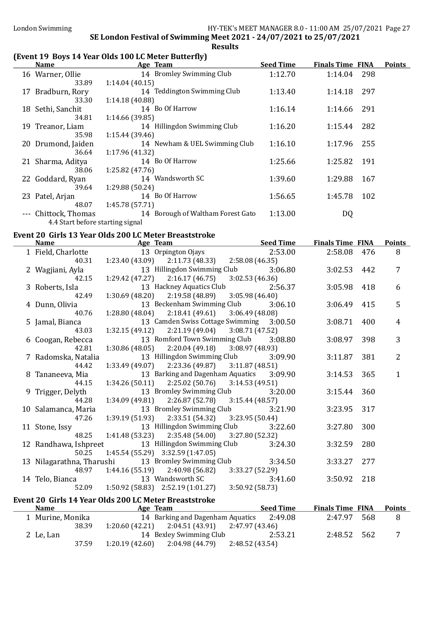### (Event 19 Boys 14 Year Olds 100 LC Meter Butterfly)

| <b>Name</b>          | Age Team                          | <b>Seed Time</b> | <b>Finals Time FINA</b> |     | <b>Points</b> |
|----------------------|-----------------------------------|------------------|-------------------------|-----|---------------|
| 16 Warner, Ollie     | 14 Bromley Swimming Club          | 1:12.70          | 1:14.04 298             |     |               |
| 33.89                | 1:14.04(40.15)                    |                  |                         |     |               |
| 17 Bradburn, Rory    | 14 Teddington Swimming Club       | 1:13.40          | 1:14.18                 | 297 |               |
| 33.30                | 1:14.18(40.88)                    |                  |                         |     |               |
| 18 Sethi, Sanchit    | 14 Bo Of Harrow                   | 1:16.14          | 1:14.66                 | 291 |               |
| 34.81                | 1:14.66(39.85)                    |                  |                         |     |               |
| 19 Treanor, Liam     | 14 Hillingdon Swimming Club       | 1:16.20          | 1:15.44                 | 282 |               |
| 35.98                | 1:15.44(39.46)                    |                  |                         |     |               |
| 20 Drumond, Jaiden   | 14 Newham & UEL Swimming Club     | 1:16.10          | 1:17.96                 | 255 |               |
| 36.64                | 1:17.96(41.32)                    |                  |                         |     |               |
| 21 Sharma, Aditya    | 14 Bo Of Harrow                   | 1:25.66          | 1:25.82                 | 191 |               |
| 38.06                | 1:25.82(47.76)                    |                  |                         |     |               |
| 22 Goddard, Ryan     | 14 Wandsworth SC                  | 1:39.60          | 1:29.88                 | 167 |               |
| 39.64                | 1:29.88(50.24)                    |                  |                         |     |               |
| 23 Patel, Arjan      | 14 Bo Of Harrow                   | 1:56.65          | 1:45.78                 | 102 |               |
| 48.07                | 1:45.78 (57.71)                   |                  |                         |     |               |
| --- Chittock, Thomas | 14 Borough of Waltham Forest Gato | 1:13.00          | DQ                      |     |               |
|                      | 4.4 Start before starting signal  |                  |                         |     |               |

### Event 20 Girls 13 Year Olds 200 LC Meter Breaststroke

| <b>Name</b>               | Age Team                                                | <b>Example 2 Seed Time</b> | <b>Finals Time FINA</b> |     | <b>Points</b>  |
|---------------------------|---------------------------------------------------------|----------------------------|-------------------------|-----|----------------|
| 1 Field, Charlotte        | 13 Orpington Ojays                                      | 2:53.00                    | 2:58.08 476             |     | 8              |
| 40.31                     | $1:23.40(43.09)$ $2:11.73(48.33)$ $2:58.08(46.35)$      |                            |                         |     |                |
| 2 Wagjiani, Ayla          | 13 Hillingdon Swimming Club 3:06.80                     |                            | 3:02.53 442             |     | $\overline{7}$ |
| 42.15                     | $1:29.42(47.27)$ $2:16.17(46.75)$                       | 3:02.53(46.36)             |                         |     |                |
| 3 Roberts, Isla           | 13 Hackney Aquatics Club                                | 2:56.37                    | 3:05.98                 | 418 | 6              |
| 42.49                     | $1:30.69(48.20)$ $2:19.58(48.89)$                       | 3:05.98(46.40)             |                         |     |                |
| 4 Dunn, Olivia            | 13 Beckenham Swimming Club 3:06.10                      |                            | 3:06.49                 | 415 | 5              |
| 40.76                     | $1:28.80(48.04)$ $2:18.41(49.61)$                       | 3:06.49(48.08)             |                         |     |                |
| 5 Jamal, Bianca           | 13 Camden Swiss Cottage Swimming 3:00.50                |                            | 3:08.71                 | 400 | 4              |
| 43.03                     | $1:32.15(49.12)$ $2:21.19(49.04)$                       | 3:08.71(47.52)             |                         |     |                |
| 6 Coogan, Rebecca         | 13 Romford Town Swimming Club 3:08.80                   |                            | 3:08.97                 | 398 | 3              |
| 42.81                     | $1:30.86(48.05)$ $2:20.04(49.18)$ $3:08.97(48.93)$      |                            |                         |     |                |
| 7 Radomska, Natalia       | 13 Hillingdon Swimming Club                             | 3:09.90                    | 3:11.87                 | 381 | $\overline{2}$ |
| 44.42                     | $1:33.49$ (49.07) $2:23.36$ (49.87) $3:11.87$ (48.51)   |                            |                         |     |                |
| 8 Tananeeva, Mia          | 13 Barking and Dagenham Aquatics                        | 3:09.90                    | 3:14.53                 | 365 | $\mathbf{1}$   |
| 44.15                     | $1:34.26(50.11)$ $2:25.02(50.76)$ $3:14.53(49.51)$      |                            |                         |     |                |
| 9 Trigger, Delyth         | 13 Bromley Swimming Club 3:20.00                        |                            | 3:15.44                 | 360 |                |
| 44.28                     | $1:34.09(49.81)$ $2:26.87(52.78)$ $3:15.44(48.57)$      |                            |                         |     |                |
| 10 Salamanca, Maria       | 13 Bromley Swimming Club                                | 3:21.90                    | 3:23.95                 | 317 |                |
| 47.26                     | $1:39.19(51.93)$ $2:33.51(54.32)$                       | 3:23.95(50.44)             |                         |     |                |
| 11 Stone, Issy            | 13 Hillingdon Swimming Club 3:22.60                     |                            | 3:27.80                 | 300 |                |
| 48.25                     | $1:41.48(53.23)$ $2:35.48(54.00)$ $3:27.80(52.32)$      |                            |                         |     |                |
| 12 Randhawa, Ishpreet     | 13 Hillingdon Swimming Club                             | 3:24.30                    | 3:32.59                 | 280 |                |
| 50.25                     | 1:45.54 (55.29) 3:32.59 (1:47.05)                       |                            |                         |     |                |
| 13 Nilagarathna, Tharushi | 13 Bromley Swimming Club                                | 3:34.50                    | 3:33.27 277             |     |                |
| 48.97                     | $1:44.16(55.19)$ $2:40.98(56.82)$                       | 3:33.27 (52.29)            |                         |     |                |
|                           | 14 Telo, Bianca 13 Wandsworth SC                        | 3:41.60                    | 3:50.92 218             |     |                |
| 52.09                     | $1:50.92$ (58.83) $2:52.19$ (1:01.27) $3:50.92$ (58.73) |                            |                         |     |                |
|                           | Event 20 Girls 14 Year Olds 200 LC Meter Breaststroke   |                            |                         |     |                |
| <b>Name</b>               | <b>Example 2</b> Age Team                               | <b>Seed Time</b>           | <b>Finals Time FINA</b> |     | <b>Points</b>  |

| <b>Name</b>      | Age Team                                           | <b>Seed Time</b> | <b>Finals Time FINA</b> | Points |
|------------------|----------------------------------------------------|------------------|-------------------------|--------|
| 1 Murine, Monika | 14 Barking and Dagenham Aquatics                   | 2:49.08          | 2:47.97 568             | 8      |
| 38.39            | $1:20.60(42.21)$ $2:04.51(43.91)$ $2:47.97(43.46)$ |                  |                         |        |
| 2 Le, Lan        | 14 Bexley Swimming Club                            | 2:53.21          | 2:48.52 562             |        |
| 37.59            | $1:20.19(42.60)$ $2:04.98(44.79)$ $2:48.52(43.54)$ |                  |                         |        |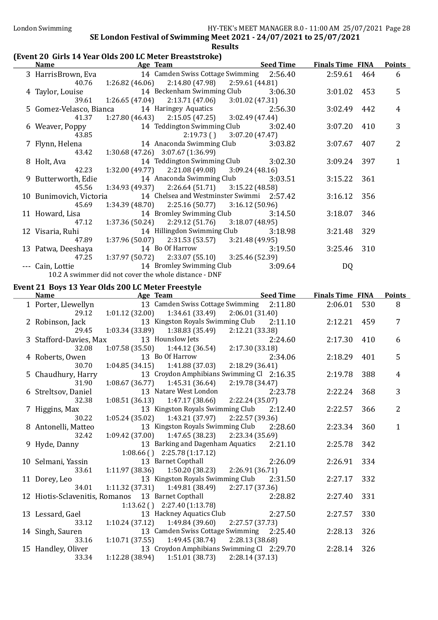### (Event 20 Girls 14 Year Olds 200 LC Meter Breaststroke)

| <b>Name</b>             | Age Team Seed Time                                                |         | <b>Finals Time FINA</b> |     | <b>Points</b>  |
|-------------------------|-------------------------------------------------------------------|---------|-------------------------|-----|----------------|
|                         | 3 HarrisBrown, Eva 14 Camden Swiss Cottage Swimming 2:56.40       |         | 2:59.61 464             |     | 6              |
| 40.76                   | $1:26.82(46.06)$ $2:14.80(47.98)$ $2:59.61(44.81)$                |         |                         |     |                |
|                         | 4 Taylor, Louise 14 Beckenham Swimming Club                       | 3:06.30 | $3:01.02$ 453           |     | 5              |
| 39.61                   | $1:26.65(47.04)$ $2:13.71(47.06)$ $3:01.02(47.31)$                |         |                         |     |                |
|                         | 5 Gomez-Velasco, Bianca 14 Haringey Aquatics                      | 2:56.30 | 3:02.49                 | 442 | $\overline{4}$ |
| 41.37                   | $1:27.80(46.43)$ $2:15.05(47.25)$ $3:02.49(47.44)$                |         |                         |     |                |
|                         | 6 Weaver, Poppy 14 Teddington Swimming Club 3:02.40               |         | 3:07.20                 | 410 | 3              |
| 43.85                   | $2:19.73()$ $3:07.20(47.47)$                                      |         |                         |     |                |
| 7 Flynn, Helena         | 14 Anaconda Swimming Club 3:03.82                                 |         | 3:07.67                 | 407 | $\overline{2}$ |
| 43.42                   | 1:30.68 (47.26) 3:07.67 (1:36.99)                                 |         |                         |     |                |
| 8 Holt, Ava             | 14 Teddington Swimming Club 3:02.30                               |         | 3:09.24 397             |     | $\mathbf{1}$   |
| 42.23                   | $1:32.00(49.77)$ $2:21.08(49.08)$ $3:09.24(48.16)$                |         |                         |     |                |
| 9 Butterworth, Edie     | 14 Anaconda Swimming Club 3:03.51                                 |         | 3:15.22 361             |     |                |
| 45.56                   | $1:34.93(49.37)$ $2:26.64(51.71)$ $3:15.22(48.58)$                |         |                         |     |                |
| 10 Bunimovich, Victoria | 14 Chelsea and Westminster Swimmi 2:57.42                         |         | 3:16.12 356             |     |                |
| 45.69                   | $1:34.39(48.70)$ $2:25.16(50.77)$ $3:16.12(50.96)$                |         |                         |     |                |
| 11 Howard, Lisa         | 14 Bromley Swimming Club                                          | 3:14.50 | 3:18.07                 | 346 |                |
| 47.12                   | $1:37.36(50.24)$ $2:29.12(51.76)$ $3:18.07(48.95)$                |         |                         |     |                |
| 12 Visaria, Ruhi        | 14 Hillingdon Swimming Club 3:18.98                               |         | 3:21.48                 | 329 |                |
| 47.89                   | $1:37.96(50.07)$ $2:31.53(53.57)$ $3:21.48(49.95)$                |         |                         |     |                |
| 13 Patwa, Deeshaya      | 14 Bo Of Harrow 3:19.50                                           |         | 3:25.46 310             |     |                |
|                         | 47.25   1:37.97   (50.72)   2:33.07   (55.10)   3:25.46   (52.39) |         |                         |     |                |
|                         | --- Cain, Lottie 14 Bromley Swimming Club                         | 3:09.64 | DQ                      |     |                |
|                         | 10.2 A swimmer did not cover the whole distance - DNF             |         |                         |     |                |
|                         | <u>Evant 21 Roys 13 Vaar Olds 200 LC Mater Ergestyle</u>          |         |                         |     |                |

#### Event 21 Boys 13 Year Olds 200 LC Meter Freestyle

| <b>Name</b>            | Age Team                                              | <b>Example 2 Seed Time</b>                |         | <b>Finals Time FINA</b> |     | <b>Points</b>  |
|------------------------|-------------------------------------------------------|-------------------------------------------|---------|-------------------------|-----|----------------|
| 1 Porter, Llewellyn    |                                                       | 13 Camden Swiss Cottage Swimming 2:11.80  |         | 2:06.01                 | 530 | 8              |
| 29.12                  | $1:01.12$ (32.00) $1:34.61$ (33.49) $2:06.01$ (31.40) |                                           |         |                         |     |                |
| 2 Robinson, Jack       |                                                       | 13 Kingston Royals Swimming Club 2:11.10  |         | 2:12.21                 | 459 | 7              |
| 29.45                  | $1:03.34(33.89)$ $1:38.83(35.49)$                     | 2:12.21 (33.38)                           |         |                         |     |                |
| 3 Stafford-Davies, Max | 13 Hounslow Jets                                      |                                           | 2:24.60 | 2:17.30                 | 410 | 6              |
| 32.08                  | $1:07.58(35.50)$ $1:44.12(36.54)$                     | 2:17.30 (33.18)                           |         |                         |     |                |
| 4 Roberts, Owen        | 13 Bo Of Harrow                                       |                                           | 2:34.06 | 2:18.29                 | 401 | 5              |
| 30.70                  | $1:04.85(34.15)$ $1:41.88(37.03)$                     | 2:18.29(36.41)                            |         |                         |     |                |
| 5 Chaudhury, Harry     |                                                       | 13 Croydon Amphibians Swimming Cl 2:16.35 |         | 2:19.78                 | 388 | 4              |
| 31.90                  | $1:08.67(36.77)$ $1:45.31(36.64)$                     | 2:19.78 (34.47)                           |         |                         |     |                |
| 6 Streltsov, Daniel    | 13 Natare West London                                 |                                           | 2:23.78 | 2:22.24                 | 368 | 3              |
| 32.38                  | $1:08.51(36.13)$ $1:47.17(38.66)$ $2:22.24(35.07)$    |                                           |         |                         |     |                |
| 7 Higgins, Max         |                                                       | 13 Kingston Royals Swimming Club 2:12.40  |         | 2:22.57                 | 366 | $\overline{2}$ |
| 30.22                  | $1:05.24(35.02)$ $1:43.21(37.97)$ $2:22.57(39.36)$    |                                           |         |                         |     |                |
| 8 Antonelli, Matteo    |                                                       | 13 Kingston Royals Swimming Club          | 2:28.60 | 2:23.34                 | 360 | $\mathbf{1}$   |
| 32.42                  | $1:09.42(37.00)$ $1:47.65(38.23)$ $2:23.34(35.69)$    |                                           |         |                         |     |                |
| 9 Hyde, Danny          |                                                       | 13 Barking and Dagenham Aquatics 2:21.10  |         | 2:25.78                 | 342 |                |
|                        | $1:08.66$ () $2:25.78$ (1:17.12)                      |                                           |         |                         |     |                |
| 10 Selmani, Yassin     | 13 Barnet Copthall                                    |                                           | 2:26.09 | 2:26.91                 | 334 |                |
| 33.61                  | 1:11.97 (38.36)                                       | $1:50.20(38.23)$ $2:26.91(36.71)$         |         |                         |     |                |
| 11 Dorey, Leo          | 13 Kingston Royals Swimming Club 2:31.50              |                                           |         | 2:27.17                 | 332 |                |
| 34.01                  | $1:11.32(37.31)$ $1:49.81(38.49)$                     | 2:27.17 (37.36)                           |         |                         |     |                |
|                        | 12 Hiotis-Sclavenitis, Romanos 13 Barnet Copthall     |                                           | 2:28.82 | 2:27.40                 | 331 |                |
|                        | $1:13.62$ () $2:27.40$ (1:13.78)                      |                                           |         |                         |     |                |
| 13 Lessard, Gael       | 13 Hackney Aquatics Club                              |                                           | 2:27.50 | 2:27.57                 | 330 |                |
| 33.12                  | $1:10.24(37.12)$ $1:49.84(39.60)$                     | 2:27.57 (37.73)                           |         |                         |     |                |
| 14 Singh, Sauren       |                                                       | 13 Camden Swiss Cottage Swimming 2:25.40  |         | 2:28.13                 | 326 |                |
| 33.16                  | $1:10.71(37.55)$ $1:49.45(38.74)$ $2:28.13(38.68)$    |                                           |         |                         |     |                |
| 15 Handley, Oliver     |                                                       | 13 Croydon Amphibians Swimming Cl 2:29.70 |         | 2:28.14                 | 326 |                |
| 33.34                  | $1:12.28(38.94)$ $1:51.01(38.73)$                     | 2:28.14(37.13)                            |         |                         |     |                |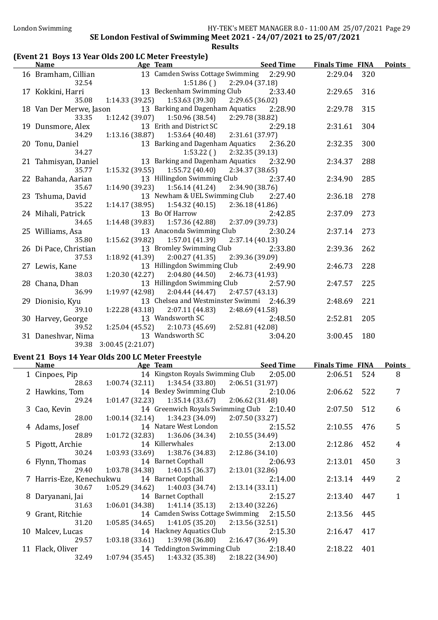### (Event 21 Boys 13 Year Olds 200 LC Meter Freestyle)

| <b>Name</b>               | Age Team                                                       | <b>Seed Time</b>          | <b>Finals Time FINA</b> |     | <b>Points</b> |
|---------------------------|----------------------------------------------------------------|---------------------------|-------------------------|-----|---------------|
| 16 Bramham, Cillian       | 13 Camden Swiss Cottage Swimming 2:29.90                       |                           | 2:29.04                 | 320 |               |
| 32.54                     | 1:51.86()                                                      | 2:29.04 (37.18)           |                         |     |               |
| 17 Kokkini, Harri         | 13 Beckenham Swimming Club 2:33.40                             |                           | 2:29.65                 | 316 |               |
| 35.08                     | 1:14.33(39.25)<br>1:53.63 (39.30)                              | 2:29.65 (36.02)           |                         |     |               |
| 18 Van Der Merwe, Jason   | 13 Barking and Dagenham Aquatics 2:28.90                       |                           | 2:29.78                 | 315 |               |
| 33.35                     | $1:12.42(39.07)$ $1:50.96(38.54)$                              | 2:29.78 (38.82)           |                         |     |               |
| 19 Dunsmore, Alex         | 13 Erith and District SC                                       | 2:29.18                   | 2:31.61                 | 304 |               |
| 34.29                     | 1:13.16(38.87)<br>1:53.64 (40.48)                              | 2:31.61 (37.97)           |                         |     |               |
| 20 Tonu, Daniel           | 13 Barking and Dagenham Aquatics 2:36.20                       |                           | 2:32.35                 | 300 |               |
| 34.27                     | 1:53.22(                                                       | 2:32.35 (39.13)           |                         |     |               |
| 21 Tahmisyan, Daniel      | 13 Barking and Dagenham Aquatics                               | 2:32.90                   | 2:34.37                 | 288 |               |
| 35.77                     | $1:15.32(39.55)$ $1:55.72(40.40)$                              | 2:34.37 (38.65)           |                         |     |               |
| 22 Bahanda, Aarian        | 13 Hillingdon Swimming Club                                    | 2:37.40                   | 2:34.90                 | 285 |               |
| 35.67                     | $1:14.90(39.23)$ $1:56.14(41.24)$                              | 2:34.90 (38.76)           |                         |     |               |
| 23 Tshuma, David          | 13 Newham & UEL Swimming Club                                  | 2:27.40                   | 2:36.18                 | 278 |               |
| 35.22                     | $1:14.17(38.95)$ $1:54.32(40.15)$                              | 2:36.18(41.86)            |                         |     |               |
| 24 Mihali, Patrick        | 13 Bo Of Harrow                                                | 2:42.85                   | 2:37.09                 | 273 |               |
| 34.65                     | $1:14.48(39.83)$ $1:57.36(42.88)$<br>13 Anaconda Swimming Club | 2:37.09 (39.73)           |                         |     |               |
| 25 Williams, Asa<br>35.80 | $1:15.62(39.82)$ $1:57.01(41.39)$                              | 2:30.24<br>2:37.14(40.13) | 2:37.14                 | 273 |               |
| 26 Di Pace, Christian     | 13 Bromley Swimming Club                                       | 2:33.80                   | 2:39.36                 | 262 |               |
| 37.53                     | 1:18.92 (41.39)<br>2:00.27(41.35)                              | 2:39.36 (39.09)           |                         |     |               |
| 27 Lewis, Kane            | 13 Hillingdon Swimming Club                                    | 2:49.90                   | 2:46.73                 | 228 |               |
| 38.03                     | $1:20.30(42.27)$ $2:04.80(44.50)$                              | 2:46.73 (41.93)           |                         |     |               |
| 28 Chana, Dhan            | 13 Hillingdon Swimming Club                                    | 2:57.90                   | 2:47.57                 | 225 |               |
| 36.99                     | $1:19.97(42.98)$ $2:04.44(44.47)$                              | 2:47.57(43.13)            |                         |     |               |
| 29 Dionisio, Kyu          | 13 Chelsea and Westminster Swimmi 2:46.39                      |                           | 2:48.69                 | 221 |               |
| 39.10                     | $1:22.28(43.18)$ $2:07.11(44.83)$                              | 2:48.69(41.58)            |                         |     |               |
| 30 Harvey, George         | 13 Wandsworth SC                                               | 2:48.50                   | 2:52.81                 | 205 |               |
| 39.52                     | 1:25.04(45.52)<br>2:10.73 (45.69)                              | 2:52.81 (42.08)           |                         |     |               |
| 31 Daneshvar, Nima        | 13 Wandsworth SC                                               | 3:04.20                   | 3:00.45                 | 180 |               |
| 39.38                     | 3:00.45 (2:21.07)                                              |                           |                         |     |               |

### Event 21 Boys 14 Year Olds 200 LC Meter Freestyle

| <b>Name</b>      | Age Team                                           | <b>Seed Time</b> | <b>Finals Time FINA</b> |     | <b>Points</b>  |
|------------------|----------------------------------------------------|------------------|-------------------------|-----|----------------|
| 1 Cinpoes, Pip   | 14 Kingston Royals Swimming Club 2:05.00           |                  | 2:06.51 524             |     | 8              |
| 28.63            | $1:00.74(32.11)$ $1:34.54(33.80)$                  | 2:06.51(31.97)   |                         |     |                |
| 2 Hawkins, Tom   | 14 Bexley Swimming Club                            | 2:10.06          | 2:06.62 522             |     | 7              |
| 29.24            | $1:01.47(32.23)$ $1:35.14(33.67)$                  | 2:06.62 (31.48)  |                         |     |                |
| 3 Cao, Kevin     | 14 Greenwich Royals Swimming Club 2:10.40          |                  | 2:07.50                 | 512 | 6              |
| 28.00            | $1:00.14(32.14)$ $1:34.23(34.09)$                  | 2:07.50(33.27)   |                         |     |                |
| 4 Adams, Josef   | 14 Natare West London                              | 2:15.52          | 2:10.55                 | 476 | 5              |
| 28.89            | $1:01.72(32.83)$ $1:36.06(34.34)$                  | 2:10.55(34.49)   |                         |     |                |
| 5 Pigott, Archie | 14 Killerwhales                                    | 2:13.00          | 2:12.86                 | 452 | 4              |
| 30.24            | $1:03.93(33.69)$ $1:38.76(34.83)$                  | 2:12.86(34.10)   |                         |     |                |
| 6 Flynn, Thomas  | 14 Barnet Copthall                                 | 2:06.93          | 2:13.01 450             |     | 3              |
| 29.40            | $1:03.78(34.38)$ $1:40.15(36.37)$                  | 2:13.01(32.86)   |                         |     |                |
|                  | 7 Harris-Eze, Kenechukwu 14 Barnet Copthall        | 2:14.00          | 2:13.14                 | 449 | $\overline{2}$ |
| 30.67            | $1:05.29(34.62)$ $1:40.03(34.74)$                  | 2:13.14(33.11)   |                         |     |                |
| 8 Daryanani, Jai | 14 Barnet Copthall                                 | 2:15.27          | 2:13.40                 | 447 | 1              |
| 31.63            | $1:06.01(34.38)$ $1:41.14(35.13)$ $2:13.40(32.26)$ |                  |                         |     |                |
| 9 Grant, Ritchie | 14 Camden Swiss Cottage Swimming 2:15.50           |                  | 2:13.56 445             |     |                |
| 31.20            | $1:05.85(34.65)$ $1:41.05(35.20)$ $2:13.56(32.51)$ |                  |                         |     |                |
| 10 Malcev, Lucas | 14 Hackney Aquatics Club                           | 2:15.30          | 2:16.47 417             |     |                |
| 29.57            | $1:03.18(33.61)$ $1:39.98(36.80)$ $2:16.47(36.49)$ |                  |                         |     |                |
| 11 Flack, Oliver | 14 Teddington Swimming Club                        | 2:18.40          | 2:18.22                 | 401 |                |
| 32.49            | $1:07.94(35.45)$ $1:43.32(35.38)$ $2:18.22(34.90)$ |                  |                         |     |                |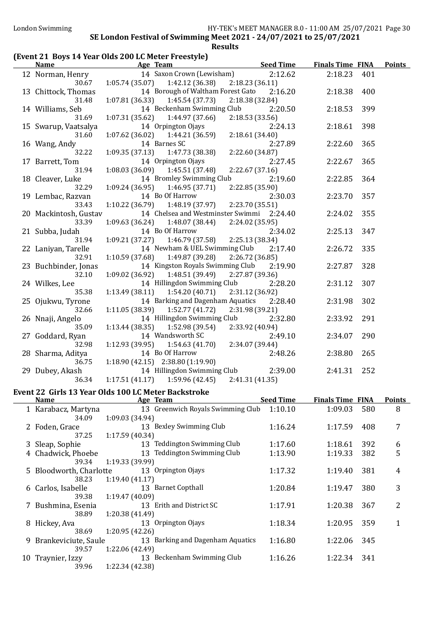# (Event 21 Boys 14 Year Olds 200 LC Meter Freestyle)

| <u>Name</u>                   | <b>Exam Age Team Seed Time Finals Time FINA</b>                          |                 |             |     | <b>Points</b> |
|-------------------------------|--------------------------------------------------------------------------|-----------------|-------------|-----|---------------|
|                               | 12 Norman, Henry 14 Saxon Crown (Lewisham) 2:12.62                       |                 | 2:18.23     | 401 |               |
|                               | 30.67 1:05.74 (35.07) 1:42.12 (36.38) 2:18.23 (36.11)                    |                 |             |     |               |
| 13 Chittock, Thomas           | 14 Borough of Waltham Forest Gato 2:16.20 2:18.38                        |                 |             | 400 |               |
| 31.48                         | $1:07.81(36.33)$ $1:45.54(37.73)$                                        | 2:18.38(32.84)  |             |     |               |
| 14 Williams, Seb              | 14 Beckenham Swimming Club 2:20.50 2:18.53                               |                 |             | 399 |               |
| 31.69                         | $1:07.31(35.62)$ $1:44.97(37.66)$ $2:18.53(33.56)$                       |                 |             |     |               |
| 15 Swarup, Vaatsalya          | 14 Orpington Ojays                                                       | 2:24.13         | 2:18.61     | 398 |               |
| 31.60                         | $1:07.62$ (36.02) $1:44.21$ (36.59) $2:18.61$ (34.40)                    |                 |             |     |               |
| 16 Wang, Andy                 | 14 Barnes SC                                                             | 2:27.89         | 2:22.60     | 365 |               |
| 32.22                         | $1:09.35(37.13)$ $1:47.73(38.38)$ $2:22.60(34.87)$                       |                 |             |     |               |
| 17 Barrett, Tom               | 14 Orpington Ojays                                                       | 2:27.45         | 2:22.67     | 365 |               |
| 31.94                         | $1:08.03(36.09)$ $1:45.51(37.48)$                                        | 2:22.67(37.16)  |             |     |               |
| 18 Cleaver, Luke              | 14 Bromley Swimming Club 2:19.60                                         |                 | 2:22.85     | 364 |               |
| 32.29                         | $1:09.24(36.95)$ $1:46.95(37.71)$ $2:22.85(35.90)$                       |                 |             |     |               |
| 19 Lembac, Razvan             | 14 Bo Of Harrow                                                          | 2:30.03         | 2:23.70     | 357 |               |
| 33.43                         | 1:10.22 (36.79) 1:48.19 (37.97) 2:23.70 (35.51)                          |                 |             |     |               |
| 20 Mackintosh, Gustav         | 14 Chelsea and Westminster Swimmi 2:24.40                                |                 | 2:24.02     | 355 |               |
| 33.39                         | $1:09.63(36.24)$ $1:48.07(38.44)$ $2:24.02(35.95)$                       |                 |             |     |               |
| 21 Subba, Judah               | 14 Bo Of Harrow                                                          | 2:34.02         | 2:25.13     | 347 |               |
| 31.94                         | $1:09.21(37.27)$ $1:46.79(37.58)$ $2:25.13(38.34)$                       |                 |             |     |               |
| 22 Laniyan, Tarelle           | 14 Newham & UEL Swimming Club 2:17.40                                    |                 | 2:26.72     | 335 |               |
| 32.91                         | $1:10.59(37.68)$ $1:49.87(39.28)$ $2:26.72(36.85)$                       |                 |             |     |               |
| 23 Buchbinder, Jonas<br>32.10 | 14 Kingston Royals Swimming Club 2:19.90                                 |                 | 2:27.87     | 328 |               |
|                               | $1:09.02(36.92)$ $1:48.51(39.49)$<br>14 Hillingdon Swimming Club 2:28.20 | 2:27.87 (39.36) | 2:31.12     | 307 |               |
| 24 Wilkes, Lee<br>35.38       | $1:13.49(38.11)$ $1:54.20(40.71)$ $2:31.12(36.92)$                       |                 |             |     |               |
| 25 Ojukwu, Tyrone             | 14 Barking and Dagenham Aquatics 2:28.40                                 |                 | 2:31.98     | 302 |               |
| 32.66                         | $1:11.05(38.39)$ $1:52.77(41.72)$                                        | 2:31.98 (39.21) |             |     |               |
| 26 Nnaji, Angelo              | 14 Hillingdon Swimming Club 2:32.80                                      |                 | 2:33.92     | 291 |               |
| 35.09                         | $1:13.44(38.35)$ $1:52.98(39.54)$ $2:33.92(40.94)$                       |                 |             |     |               |
| 27 Goddard, Ryan              | 14 Wandsworth SC                                                         | 2:49.10         | 2:34.07     | 290 |               |
| 32.98                         | 1:12.93 (39.95)   1:54.63 (41.70)   2:34.07 (39.44)                      |                 |             |     |               |
| 28 Sharma, Aditya             | 14 Bo Of Harrow                                                          | 2:48.26         | 2:38.80     | 265 |               |
| 36.75                         | $1:18.90(42.15)$ $2:38.80(1:19.90)$                                      |                 |             |     |               |
| 29 Dubey, Akash               | 14 Hillingdon Swimming Club 2:39.00                                      |                 | 2:41.31 252 |     |               |
| 36.34                         | 1:17.51 (41.17) $1:59.96$ (42.45) $2:41.31$ (41.35)                      |                 |             |     |               |

### Event 22 Girls 13 Year Olds 100 LC Meter Backstroke

| <b>Name</b>             |                 | Age Team                          | <b>Seed Time</b> | <b>Finals Time FINA</b> |     | <b>Points</b>  |
|-------------------------|-----------------|-----------------------------------|------------------|-------------------------|-----|----------------|
| 1 Karabacz, Martyna     |                 | 13 Greenwich Royals Swimming Club | 1:10.10          | 1:09.03                 | 580 | 8              |
| 34.09                   | 1:09.03(34.94)  |                                   |                  |                         |     |                |
| 2 Foden, Grace          |                 | 13 Bexley Swimming Club           | 1:16.24          | 1:17.59                 | 408 | 7              |
| 37.25                   | 1:17.59(40.34)  |                                   |                  |                         |     |                |
| 3 Sleap, Sophie         |                 | 13 Teddington Swimming Club       | 1:17.60          | 1:18.61                 | 392 | 6              |
| 4 Chadwick, Phoebe      |                 | 13 Teddington Swimming Club       | 1:13.90          | 1:19.33                 | 382 | 5              |
| 39.34                   | 1:19.33(39.99)  |                                   |                  |                         |     |                |
| 5 Bloodworth, Charlotte |                 | 13 Orpington Ojays                | 1:17.32          | 1:19.40                 | 381 | 4              |
| 38.23                   | 1:19.40(41.17)  |                                   |                  |                         |     |                |
| 6 Carlos, Isabelle      |                 | 13 Barnet Copthall                | 1:20.84          | 1:19.47                 | 380 | 3              |
| 39.38                   | 1:19.47(40.09)  |                                   |                  |                         |     |                |
| 7 Bushmina, Esenia      |                 | 13 Erith and District SC          | 1:17.91          | 1:20.38                 | 367 | $\overline{2}$ |
| 38.89                   | 1:20.38(41.49)  |                                   |                  |                         |     |                |
| 8 Hickey, Ava           |                 | 13 Orpington Ojays                | 1:18.34          | 1:20.95                 | 359 | 1              |
| 38.69                   | 1:20.95(42.26)  |                                   |                  |                         |     |                |
| 9 Brankeviciute, Saule  |                 | 13 Barking and Dagenham Aquatics  | 1:16.80          | 1:22.06                 | 345 |                |
| 39.57                   | 1:22.06 (42.49) |                                   |                  |                         |     |                |
| 10 Traynier, Izzy       |                 | 13 Beckenham Swimming Club        | 1:16.26          | 1:22.34                 | 341 |                |
| 39.96                   | 1:22.34 (42.38) |                                   |                  |                         |     |                |